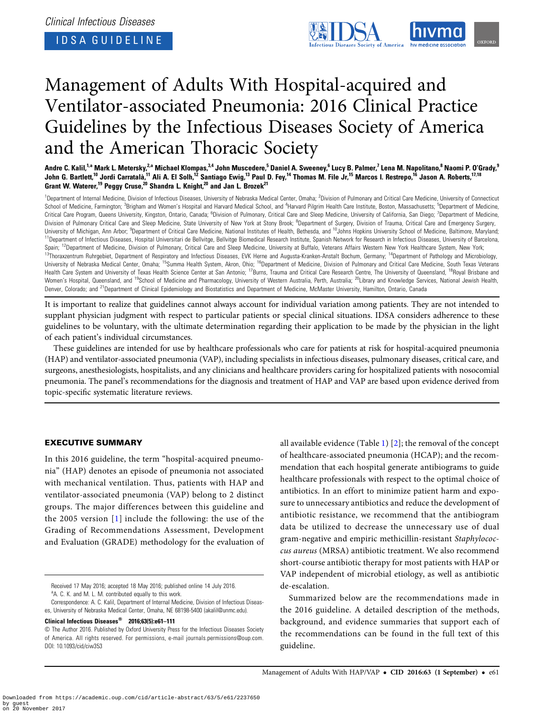IDSA GUIDELINE



# Management of Adults With Hospital-acquired and Ventilator-associated Pneumonia: 2016 Clinical Practice Guidelines by the Infectious Diseases Society of America and the American Thoracic Society

Andre C. Kalil,<sup>1,a</sup> Mark L. Metersky,<sup>2,a</sup> Michael Klompas,<sup>3,4</sup> John Muscedere,<sup>5</sup> Daniel A. Sweeney,<sup>6</sup> Lucy B. Palmer,<sup>7</sup> Lena M. Napolitano,<sup>8</sup> Naomi P. O'Grady,<sup>9</sup> John G. Bartlett,<sup>10</sup> Jordi Carratalà,<sup>11</sup> Ali A. El Solh,<sup>12</sup> Santiago Ewig,<sup>13</sup> Paul D. Fey,<sup>14</sup> Thomas M. File Jr,<sup>15</sup> Marcos I. Restrepo,<sup>16</sup> Jason A. Roberts,<sup>17,18</sup> Grant W. Waterer,<sup>19</sup> Peggy Cruse,<sup>20</sup> Shandra L. Knight,<sup>20</sup> and Jan L. Brozek<sup>21</sup>

<sup>1</sup>Department of Internal Medicine, Division of Infectious Diseases, University of Nebraska Medical Center, Omaha; <sup>2</sup>Division of Pulmonary and Critical Care Medicine, University of Connecticut School of Medicine, Farmington; <sup>3</sup>Brigham and Women's Hospital and Harvard Medical School, and <sup>4</sup>Harvard Pilgrim Health Care Institute, Boston, Massachusetts; <sup>5</sup>Department of Medicine, Critical Care Program, Queens University, Kingston, Ontario, Canada; <sup>6</sup>Division of Pulmonary, Critical Care and Sleep Medicine, University of California, San Diego; <sup>7</sup>Department of Medicine, Division of Pulmonary Critical Care and Sleep Medicine, State University of New York at Stony Brook; <sup>8</sup>Department of Surgery, Division of Trauma, Critical Care and Emergency Surgery, University of Michigan, Ann Arbor; <sup>9</sup>Department of Critical Care Medicine, National Institutes of Health, Bethesda, and <sup>10</sup>Johns Hopkins University School of Medicine, Baltimore, Maryland; 11Department of Infectious Diseases, Hospital Universitari de Bellvitge, Bellvitge Biomedical Research Institute, Spanish Network for Research in Infectious Diseases, University of Barcelona, Spain; <sup>12</sup>Department of Medicine, Division of Pulmonary, Critical Care and Sleep Medicine, University at Buffalo, Veterans Affairs Western New York Healthcare System, New York; <sup>13</sup>Thoraxzentrum Ruhrgebiet, Department of Respiratory and Infectious Diseases, EVK Herne and Augusta-Kranken-Anstalt Bochum, Germany; <sup>14</sup>Department of Pathology and Microbiology,

University of Nebraska Medical Center, Omaha; <sup>15</sup>Summa Health System, Akron, Ohio; <sup>16</sup>Department of Medicine, Division of Pulmonary and Critical Care Medicine, South Texas Veterans Health Care System and University of Texas Health Science Center at San Antonio; <sup>17</sup>Burns, Trauma and Critical Care Research Centre, The University of Queensland, <sup>18</sup>Royal Brisbane and Women's Hospital, Queensland, and <sup>19</sup>School of Medicine and Pharmacology, University of Western Australia, Perth, Australia; <sup>20</sup>Library and Knowledge Services, National Jewish Health, Denver, Colorado; and <sup>21</sup>Department of Clinical Epidemiology and Biostatistics and Department of Medicine, McMaster University, Hamilton, Ontario, Canada

It is important to realize that guidelines cannot always account for individual variation among patients. They are not intended to supplant physician judgment with respect to particular patients or special clinical situations. IDSA considers adherence to these guidelines to be voluntary, with the ultimate determination regarding their application to be made by the physician in the light of each patient's individual circumstances.

These guidelines are intended for use by healthcare professionals who care for patients at risk for hospital-acquired pneumonia (HAP) and ventilator-associated pneumonia (VAP), including specialists in infectious diseases, pulmonary diseases, critical care, and surgeons, anesthesiologists, hospitalists, and any clinicians and healthcare providers caring for hospitalized patients with nosocomial pneumonia. The panel's recommendations for the diagnosis and treatment of HAP and VAP are based upon evidence derived from topic-specific systematic literature reviews.

## EXECUTIVE SUMMARY

In this 2016 guideline, the term "hospital-acquired pneumonia" (HAP) denotes an episode of pneumonia not associated with mechanical ventilation. Thus, patients with HAP and ventilator-associated pneumonia (VAP) belong to 2 distinct groups. The major differences between this guideline and the 2005 version [[1](#page-42-0)] include the following: the use of the Grading of Recommendations Assessment, Development and Evaluation (GRADE) methodology for the evaluation of

Clinical Infectious Diseases® 2016;63(5):e61–111

all available evidence (Table [1](#page-1-0))  $[2]$  $[2]$ ; the removal of the concept of healthcare-associated pneumonia (HCAP); and the recommendation that each hospital generate antibiograms to guide healthcare professionals with respect to the optimal choice of antibiotics. In an effort to minimize patient harm and exposure to unnecessary antibiotics and reduce the development of antibiotic resistance, we recommend that the antibiogram data be utilized to decrease the unnecessary use of dual gram-negative and empiric methicillin-resistant Staphylococcus aureus (MRSA) antibiotic treatment. We also recommend short-course antibiotic therapy for most patients with HAP or VAP independent of microbial etiology, as well as antibiotic de-escalation.

Summarized below are the recommendations made in the 2016 guideline. A detailed description of the methods, background, and evidence summaries that support each of the recommendations can be found in the full text of this guideline.

Management of Adults With HAP/VAP • CID 2016:63 (1 September) • e61

Received 17 May 2016; accepted 18 May 2016; published online 14 July 2016. <sup>a</sup>A. C. K. and M. L. M. contributed equally to this work.

Correspondence: A. C. Kalil, Department of Internal Medicine, Division of Infectious Diseases, University of Nebraska Medical Center, Omaha, NE 68198-5400 [\(akalil@unmc.edu\)](mailto:akalil@unmc.edu).

<sup>©</sup> The Author 2016. Published by Oxford University Press for the Infectious Diseases Society of America. All rights reserved. For permissions, e-mail [journals.permissions@oup.com](mailto:journals.permissions@oup.com). DOI: 10.1093/cid/ciw353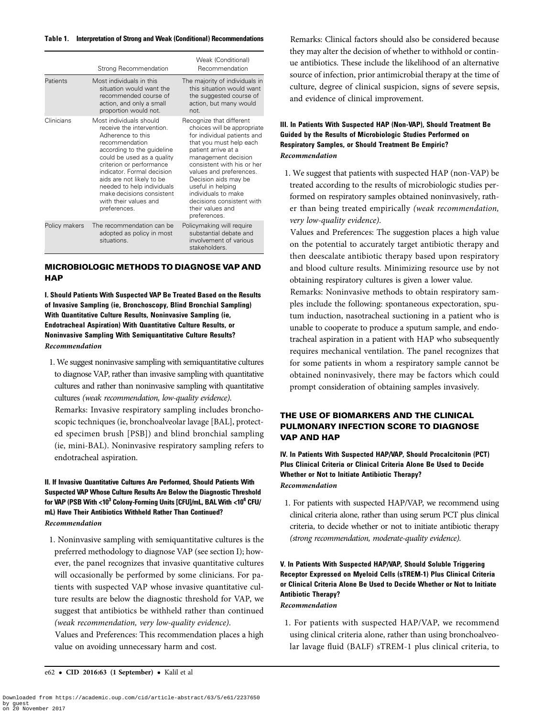#### <span id="page-1-0"></span>Table 1. Interpretation of Strong and Weak (Conditional) Recommendations

|               | Strong Recommendation                                                                                                                                                                                                                                                                                                                              | Weak (Conditional)<br>Recommendation                                                                                                                                                                                                                                                                                                                          |
|---------------|----------------------------------------------------------------------------------------------------------------------------------------------------------------------------------------------------------------------------------------------------------------------------------------------------------------------------------------------------|---------------------------------------------------------------------------------------------------------------------------------------------------------------------------------------------------------------------------------------------------------------------------------------------------------------------------------------------------------------|
| Patients      | Most individuals in this<br>situation would want the<br>recommended course of<br>action, and only a small<br>proportion would not.                                                                                                                                                                                                                 | The majority of individuals in<br>this situation would want<br>the suggested course of<br>action, but many would<br>not.                                                                                                                                                                                                                                      |
| Clinicians    | Most individuals should<br>receive the intervention.<br>Adherence to this<br>recommendation<br>according to the guideline<br>could be used as a quality<br>criterion or performance<br>indicator. Formal decision<br>aids are not likely to be<br>needed to help individuals<br>make decisions consistent<br>with their values and<br>preferences. | Recognize that different<br>choices will be appropriate<br>for individual patients and<br>that you must help each<br>patient arrive at a<br>management decision<br>consistent with his or her<br>values and preferences.<br>Decision aids may be<br>useful in helping<br>individuals to make<br>decisions consistent with<br>their values and<br>preferences. |
| Policy makers | The recommendation can be<br>adopted as policy in most<br>situations.                                                                                                                                                                                                                                                                              | Policymaking will require<br>substantial debate and<br>involvement of various<br>stakeholders.                                                                                                                                                                                                                                                                |

## MICROBIOLOGIC METHODS TO DIAGNOSE VAP AND **HAP**

I. Should Patients With Suspected VAP Be Treated Based on the Results of Invasive Sampling (ie, Bronchoscopy, Blind Bronchial Sampling) With Quantitative Culture Results, Noninvasive Sampling (ie, Endotracheal Aspiration) With Quantitative Culture Results, or Noninvasive Sampling With Semiquantitative Culture Results? Recommendation

1. We suggest noninvasive sampling with semiquantitative cultures to diagnose VAP, rather than invasive sampling with quantitative cultures and rather than noninvasive sampling with quantitative cultures (weak recommendation, low-quality evidence).

Remarks: Invasive respiratory sampling includes bronchoscopic techniques (ie, bronchoalveolar lavage [BAL], protected specimen brush [PSB]) and blind bronchial sampling (ie, mini-BAL). Noninvasive respiratory sampling refers to endotracheal aspiration.

## II. If Invasive Quantitative Cultures Are Performed, Should Patients With Suspected VAP Whose Culture Results Are Below the Diagnostic Threshold for VAP (PSB With  $<$  10<sup>3</sup> Colony-Forming Units [CFU]/mL, BAL With  $<$  10<sup>4</sup> CFU/ mL) Have Their Antibiotics Withheld Rather Than Continued? Recommendation

1. Noninvasive sampling with semiquantitative cultures is the preferred methodology to diagnose VAP (see section I); however, the panel recognizes that invasive quantitative cultures will occasionally be performed by some clinicians. For patients with suspected VAP whose invasive quantitative culture results are below the diagnostic threshold for VAP, we suggest that antibiotics be withheld rather than continued (weak recommendation, very low-quality evidence).

Values and Preferences: This recommendation places a high value on avoiding unnecessary harm and cost.

Remarks: Clinical factors should also be considered because they may alter the decision of whether to withhold or continue antibiotics. These include the likelihood of an alternative source of infection, prior antimicrobial therapy at the time of culture, degree of clinical suspicion, signs of severe sepsis, and evidence of clinical improvement.

## III. In Patients With Suspected HAP (Non-VAP), Should Treatment Be Guided by the Results of Microbiologic Studies Performed on Respiratory Samples, or Should Treatment Be Empiric? Recommendation

1. We suggest that patients with suspected HAP (non-VAP) be treated according to the results of microbiologic studies performed on respiratory samples obtained noninvasively, rather than being treated empirically (weak recommendation, very low-quality evidence).

Values and Preferences: The suggestion places a high value on the potential to accurately target antibiotic therapy and then deescalate antibiotic therapy based upon respiratory and blood culture results. Minimizing resource use by not obtaining respiratory cultures is given a lower value.

Remarks: Noninvasive methods to obtain respiratory samples include the following: spontaneous expectoration, sputum induction, nasotracheal suctioning in a patient who is unable to cooperate to produce a sputum sample, and endotracheal aspiration in a patient with HAP who subsequently requires mechanical ventilation. The panel recognizes that for some patients in whom a respiratory sample cannot be obtained noninvasively, there may be factors which could prompt consideration of obtaining samples invasively.

## THE USE OF BIOMARKERS AND THE CLINICAL PULMONARY INFECTION SCORE TO DIAGNOSE VAP AND HAP

IV. In Patients With Suspected HAP/VAP, Should Procalcitonin (PCT) Plus Clinical Criteria or Clinical Criteria Alone Be Used to Decide Whether or Not to Initiate Antibiotic Therapy? Recommendation

1. For patients with suspected HAP/VAP, we recommend using clinical criteria alone, rather than using serum PCT plus clinical criteria, to decide whether or not to initiate antibiotic therapy (strong recommendation, moderate-quality evidence).

## V. In Patients With Suspected HAP/VAP, Should Soluble Triggering Receptor Expressed on Myeloid Cells (sTREM-1) Plus Clinical Criteria or Clinical Criteria Alone Be Used to Decide Whether or Not to Initiate Antibiotic Therapy? Recommendation

1. For patients with suspected HAP/VAP, we recommend using clinical criteria alone, rather than using bronchoalveolar lavage fluid (BALF) sTREM-1 plus clinical criteria, to

e62 • CID 2016:63 (1 September) • Kalil et al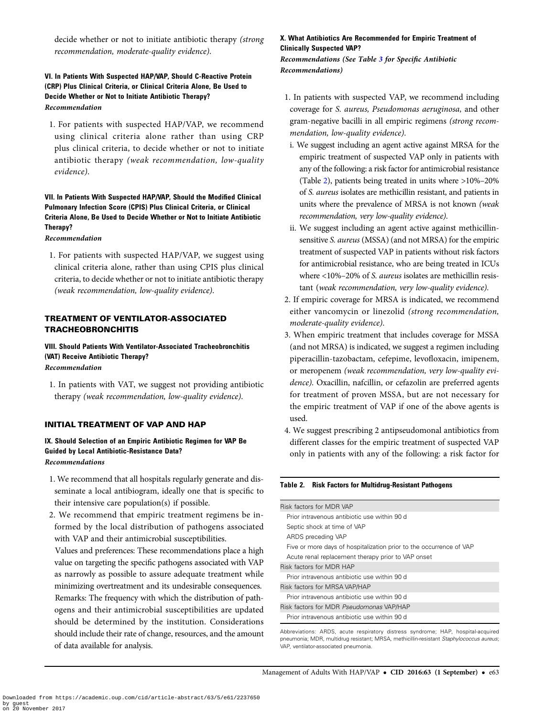<span id="page-2-0"></span>decide whether or not to initiate antibiotic therapy (strong recommendation, moderate-quality evidence).

## VI. In Patients With Suspected HAP/VAP, Should C-Reactive Protein (CRP) Plus Clinical Criteria, or Clinical Criteria Alone, Be Used to Decide Whether or Not to Initiate Antibiotic Therapy? Recommendation

1. For patients with suspected HAP/VAP, we recommend using clinical criteria alone rather than using CRP plus clinical criteria, to decide whether or not to initiate antibiotic therapy (weak recommendation, low-quality evidence).

## VII. In Patients With Suspected HAP/VAP, Should the Modified Clinical Pulmonary Infection Score (CPIS) Plus Clinical Criteria, or Clinical Criteria Alone, Be Used to Decide Whether or Not to Initiate Antibiotic Therapy?

Recommendation

1. For patients with suspected HAP/VAP, we suggest using clinical criteria alone, rather than using CPIS plus clinical criteria, to decide whether or not to initiate antibiotic therapy (weak recommendation, low-quality evidence).

## TREATMENT OF VENTILATOR-ASSOCIATED **TRACHEOBRONCHITIS**

## VIII. Should Patients With Ventilator-Associated Tracheobronchitis (VAT) Receive Antibiotic Therapy? Recommendation

1. In patients with VAT, we suggest not providing antibiotic therapy (weak recommendation, low-quality evidence).

## INITIAL TREATMENT OF VAP AND HAP

#### IX. Should Selection of an Empiric Antibiotic Regimen for VAP Be Guided by Local Antibiotic-Resistance Data? Recommendations

- 1. We recommend that all hospitals regularly generate and disseminate a local antibiogram, ideally one that is specific to their intensive care population(s) if possible.
- 2. We recommend that empiric treatment regimens be informed by the local distribution of pathogens associated with VAP and their antimicrobial susceptibilities.

Values and preferences: These recommendations place a high value on targeting the specific pathogens associated with VAP as narrowly as possible to assure adequate treatment while minimizing overtreatment and its undesirable consequences. Remarks: The frequency with which the distribution of pathogens and their antimicrobial susceptibilities are updated should be determined by the institution. Considerations should include their rate of change, resources, and the amount of data available for analysis.

## X. What Antibiotics Are Recommended for Empiric Treatment of Clinically Suspected VAP?

Recommendations (See Table [3](#page-3-0) for Specific Antibiotic Recommendations)

- 1. In patients with suspected VAP, we recommend including coverage for S. aureus, Pseudomonas aeruginosa, and other gram-negative bacilli in all empiric regimens (strong recommendation, low-quality evidence).
- i. We suggest including an agent active against MRSA for the empiric treatment of suspected VAP only in patients with any of the following: a risk factor for antimicrobial resistance (Table 2), patients being treated in units where >10%–20% of S. aureus isolates are methicillin resistant, and patients in units where the prevalence of MRSA is not known (weak recommendation, very low-quality evidence).
- ii. We suggest including an agent active against methicillinsensitive S. aureus (MSSA) (and not MRSA) for the empiric treatment of suspected VAP in patients without risk factors for antimicrobial resistance, who are being treated in ICUs where <10%–20% of S. aureus isolates are methicillin resistant (weak recommendation, very low-quality evidence).
- 2. If empiric coverage for MRSA is indicated, we recommend either vancomycin or linezolid (strong recommendation, moderate-quality evidence).
- 3. When empiric treatment that includes coverage for MSSA (and not MRSA) is indicated, we suggest a regimen including piperacillin-tazobactam, cefepime, levofloxacin, imipenem, or meropenem (weak recommendation, very low-quality evidence). Oxacillin, nafcillin, or cefazolin are preferred agents for treatment of proven MSSA, but are not necessary for the empiric treatment of VAP if one of the above agents is used.
- 4. We suggest prescribing 2 antipseudomonal antibiotics from different classes for the empiric treatment of suspected VAP only in patients with any of the following: a risk factor for

#### Table 2. Risk Factors for Multidrug-Resistant Pathogens

| Risk factors for MDR VAP                                            |  |  |  |
|---------------------------------------------------------------------|--|--|--|
| Prior intravenous antibiotic use within 90 d                        |  |  |  |
| Septic shock at time of VAP                                         |  |  |  |
| ARDS preceding VAP                                                  |  |  |  |
| Five or more days of hospitalization prior to the occurrence of VAP |  |  |  |
| Acute renal replacement therapy prior to VAP onset                  |  |  |  |
| Risk factors for MDR HAP                                            |  |  |  |
| Prior intravenous antibiotic use within 90 d                        |  |  |  |
| Risk factors for MRSA VAP/HAP                                       |  |  |  |
| Prior intravenous antibiotic use within 90 d                        |  |  |  |
| Risk factors for MDR Pseudomonas VAP/HAP                            |  |  |  |
| Prior intravenous antibiotic use within 90 d                        |  |  |  |

Abbreviations: ARDS, acute respiratory distress syndrome; HAP, hospital-acquired pneumonia; MDR, multidrug resistant; MRSA, methicillin-resistant Staphylococcus aureus; VAP, ventilator-associated pneumonia.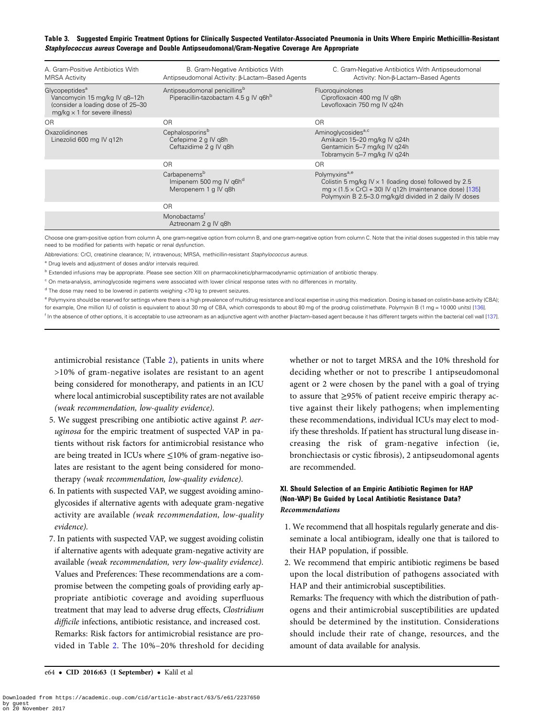#### <span id="page-3-0"></span>Table 3. Suggested Empiric Treatment Options for Clinically Suspected Ventilator-Associated Pneumonia in Units Where Empiric Methicillin-Resistant Staphylococcus aureus Coverage and Double Antipseudomonal/Gram-Negative Coverage Are Appropriate

| A. Gram-Positive Antibiotics With<br><b>MRSA Activity</b>                                                                                 | B. Gram-Negative Antibiotics With<br>Antipseudomonal Activity: β-Lactam-Based Agents          | C. Gram-Negative Antibiotics With Antipseudomonal<br>Activity: Non-B-Lactam-Based Agents                                                                                                                                       |
|-------------------------------------------------------------------------------------------------------------------------------------------|-----------------------------------------------------------------------------------------------|--------------------------------------------------------------------------------------------------------------------------------------------------------------------------------------------------------------------------------|
| Glycopeptides <sup>a</sup><br>Vancomycin 15 mg/kg IV q8-12h<br>(consider a loading dose of 25-30)<br>$mq/kg \times 1$ for severe illness) | Antipseudomonal penicillins <sup>b</sup><br>Piperacillin-tazobactam 4.5 g IV g6h <sup>b</sup> | Fluoroquinolones<br>Ciprofloxacin 400 mg IV q8h<br>Levofloxacin 750 mg IV q24h                                                                                                                                                 |
| OR                                                                                                                                        | OR                                                                                            | <b>OR</b>                                                                                                                                                                                                                      |
| Oxazolidinones<br>Linezolid 600 mg IV q12h                                                                                                | Cephalosporinsb<br>Cefepime 2 q IV q8h<br>Ceftazidime 2 g IV g8h                              | Aminoglycosides <sup>a,c</sup><br>Amikacin 15-20 mg/kg IV g24h<br>Gentamicin 5-7 mg/kg IV g24h<br>Tobramycin 5-7 mg/kg IV g24h                                                                                                 |
|                                                                                                                                           | OR                                                                                            | <b>OR</b>                                                                                                                                                                                                                      |
|                                                                                                                                           | Carbapenems <sup>b</sup><br>Imipenem 500 mg IV q6h <sup>d</sup><br>Meropenem 1 g IV g8h       | Polymyxins <sup>a,e</sup><br>Colistin 5 mg/kg IV $\times$ 1 (loading dose) followed by 2.5<br>mg $\times$ (1.5 $\times$ CrCl + 30) IV g12h (maintenance dose) [135]<br>Polymyxin B 2.5-3.0 mg/kg/d divided in 2 daily IV doses |
|                                                                                                                                           | OR                                                                                            |                                                                                                                                                                                                                                |
|                                                                                                                                           | Monobactams <sup>t</sup><br>Aztreonam 2 g IV g8h                                              |                                                                                                                                                                                                                                |

Choose one gram-positive option from column A, one gram-negative option from column B, and one gram-negative option from column C. Note that the initial doses suggested in this table may need to be modified for patients with hepatic or renal dysfunction.

Abbreviations: CrCl, creatinine clearance; IV, intravenous; MRSA, methicillin-resistant Staphylococcus aureus.

<sup>a</sup> Drug levels and adjustment of doses and/or intervals required.

<sup>b</sup> Extended infusions may be appropriate. Please see section XIII on pharmacokinetic/pharmacodynamic optimization of antibiotic therapy.

<sup>c</sup> On meta-analysis, aminoglycoside regimens were associated with lower clinical response rates with no differences in mortality.

<sup>d</sup> The dose may need to be lowered in patients weighing <70 kg to prevent seizures.

e Polymyxins should be reserved for settings where there is a high prevalence of multidrug resistance and local expertise in using this medication. Dosing is based on colistin-base activity (CBA); for example, One million IU of colistin is equivalent to about 30 mg of CBA, which corresponds to about 80 mg of the prodrug colistimethate. Polymyxin B (1 mg = 10 000 units) [[136\]](#page-45-0).

f In the absence of other options, it is acceptable to use aztreonam as an adjunctive agent with another β-lactam–based agent because it has different targets within the bacterial cell wall [[137\]](#page-45-0).

antimicrobial resistance (Table [2](#page-2-0)), patients in units where >10% of gram-negative isolates are resistant to an agent being considered for monotherapy, and patients in an ICU where local antimicrobial susceptibility rates are not available (weak recommendation, low-quality evidence).

- 5. We suggest prescribing one antibiotic active against P. aeruginosa for the empiric treatment of suspected VAP in patients without risk factors for antimicrobial resistance who are being treated in ICUs where ≤10% of gram-negative isolates are resistant to the agent being considered for monotherapy (weak recommendation, low-quality evidence).
- 6. In patients with suspected VAP, we suggest avoiding aminoglycosides if alternative agents with adequate gram-negative activity are available (weak recommendation, low-quality evidence).
- 7. In patients with suspected VAP, we suggest avoiding colistin if alternative agents with adequate gram-negative activity are available (weak recommendation, very low-quality evidence). Values and Preferences: These recommendations are a compromise between the competing goals of providing early appropriate antibiotic coverage and avoiding superfluous treatment that may lead to adverse drug effects, Clostridium difficile infections, antibiotic resistance, and increased cost. Remarks: Risk factors for antimicrobial resistance are provided in Table [2.](#page-2-0) The 10%–20% threshold for deciding

whether or not to target MRSA and the 10% threshold for deciding whether or not to prescribe 1 antipseudomonal agent or 2 were chosen by the panel with a goal of trying to assure that ≥95% of patient receive empiric therapy active against their likely pathogens; when implementing these recommendations, individual ICUs may elect to modify these thresholds. If patient has structural lung disease increasing the risk of gram-negative infection (ie, bronchiectasis or cystic fibrosis), 2 antipseudomonal agents are recommended.

## XI. Should Selection of an Empiric Antibiotic Regimen for HAP (Non-VAP) Be Guided by Local Antibiotic Resistance Data? Recommendations

- 1. We recommend that all hospitals regularly generate and disseminate a local antibiogram, ideally one that is tailored to their HAP population, if possible.
- 2. We recommend that empiric antibiotic regimens be based upon the local distribution of pathogens associated with HAP and their antimicrobial susceptibilities.
- Remarks: The frequency with which the distribution of pathogens and their antimicrobial susceptibilities are updated should be determined by the institution. Considerations should include their rate of change, resources, and the amount of data available for analysis.

e64 • CID 2016:63 (1 September) • Kalil et al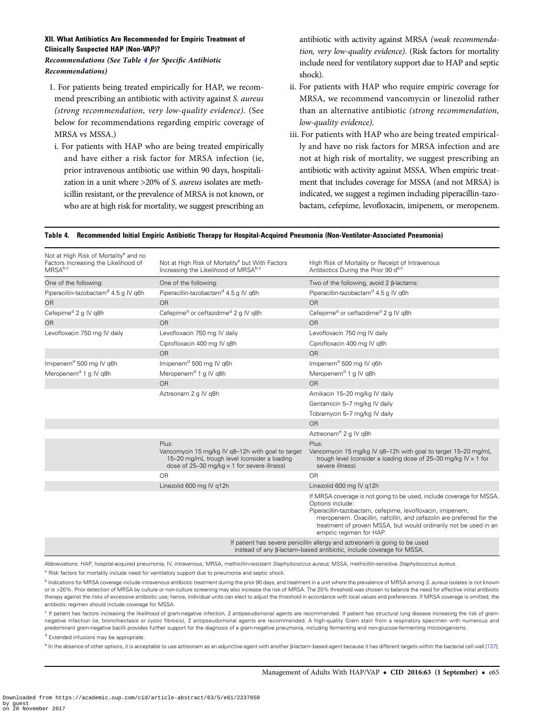## <span id="page-4-0"></span>XII. What Antibiotics Are Recommended for Empiric Treatment of Clinically Suspected HAP (Non-VAP)?

Recommendations (See Table 4 for Specific Antibiotic Recommendations)

- 1. For patients being treated empirically for HAP, we recommend prescribing an antibiotic with activity against S. aureus (strong recommendation, very low-quality evidence). (See below for recommendations regarding empiric coverage of MRSA vs MSSA.)
- i. For patients with HAP who are being treated empirically and have either a risk factor for MRSA infection (ie, prior intravenous antibiotic use within 90 days, hospitalization in a unit where >20% of S. aureus isolates are methicillin resistant, or the prevalence of MRSA is not known, or who are at high risk for mortality, we suggest prescribing an

antibiotic with activity against MRSA (weak recommendation, very low-quality evidence). (Risk factors for mortality include need for ventilatory support due to HAP and septic shock).

- ii. For patients with HAP who require empiric coverage for MRSA, we recommend vancomycin or linezolid rather than an alternative antibiotic (strong recommendation, low-quality evidence).
- iii. For patients with HAP who are being treated empirically and have no risk factors for MRSA infection and are not at high risk of mortality, we suggest prescribing an antibiotic with activity against MSSA. When empiric treatment that includes coverage for MSSA (and not MRSA) is indicated, we suggest a regimen including piperacillin-tazobactam, cefepime, levofloxacin, imipenem, or meropenem.

## Table 4. Recommended Initial Empiric Antibiotic Therapy for Hospital-Acquired Pneumonia (Non-Ventilator-Associated Pneumonia)

| Not at High Risk of Mortality <sup>a</sup> and no<br>Factors Increasing the Likelihood of<br>$MRSA^{b,c}$ | Not at High Risk of Mortality <sup>a</sup> but With Factors<br>Increasing the Likelihood of MRSA <sup>b,c</sup>                                                  | High Risk of Mortality or Receipt of Intravenous<br>Antibiotics During the Prior 90 da,c                                                                                                                                                                                                                                       |
|-----------------------------------------------------------------------------------------------------------|------------------------------------------------------------------------------------------------------------------------------------------------------------------|--------------------------------------------------------------------------------------------------------------------------------------------------------------------------------------------------------------------------------------------------------------------------------------------------------------------------------|
| One of the following:                                                                                     | One of the following:                                                                                                                                            | Two of the following, avoid $2$ $\beta$ -lactams:                                                                                                                                                                                                                                                                              |
| Piperacillin-tazobactam <sup>d</sup> 4.5 g IV q6h                                                         | Piperacillin-tazobactam <sup>d</sup> 4.5 g IV q6h                                                                                                                | Piperacillin-tazobactam <sup>d</sup> 4.5 g IV g6h                                                                                                                                                                                                                                                                              |
| OR                                                                                                        | <b>OR</b>                                                                                                                                                        | <b>OR</b>                                                                                                                                                                                                                                                                                                                      |
| Cefepime <sup>d</sup> 2 g IV q8h                                                                          | Cefepime <sup>d</sup> or ceftazidime <sup>d</sup> 2 g IV q8h                                                                                                     | Cefepime <sup>d</sup> or ceftazidime <sup>d</sup> 2 g IV q8h                                                                                                                                                                                                                                                                   |
| <b>OR</b>                                                                                                 | <b>OR</b>                                                                                                                                                        | <b>OR</b>                                                                                                                                                                                                                                                                                                                      |
| Levofloxacin 750 mg IV daily                                                                              | Levofloxacin 750 mg IV daily                                                                                                                                     | Levofloxacin 750 mg IV daily                                                                                                                                                                                                                                                                                                   |
|                                                                                                           | Ciprofloxacin 400 mg IV q8h                                                                                                                                      | Ciprofloxacin 400 mg IV g8h                                                                                                                                                                                                                                                                                                    |
|                                                                                                           | <b>OR</b>                                                                                                                                                        | <b>OR</b>                                                                                                                                                                                                                                                                                                                      |
| Imipenem <sup>d</sup> 500 mg IV q6h                                                                       | Imipenem <sup>d</sup> 500 mg IV q6h                                                                                                                              | Imipenem <sup>d</sup> 500 mg IV q6h                                                                                                                                                                                                                                                                                            |
| Meropenem <sup>d</sup> 1 g IV q8h                                                                         | Meropenem <sup>d</sup> 1 g IV q8h                                                                                                                                | Meropenem <sup>d</sup> 1 g IV q8h                                                                                                                                                                                                                                                                                              |
|                                                                                                           | <b>OR</b>                                                                                                                                                        | <b>OR</b>                                                                                                                                                                                                                                                                                                                      |
|                                                                                                           | Aztreonam 2 g IV q8h                                                                                                                                             | Amikacin 15-20 mg/kg IV daily                                                                                                                                                                                                                                                                                                  |
|                                                                                                           |                                                                                                                                                                  | Gentamicin 5-7 mg/kg IV daily                                                                                                                                                                                                                                                                                                  |
|                                                                                                           |                                                                                                                                                                  | Tobramycin 5-7 mg/kg IV daily                                                                                                                                                                                                                                                                                                  |
|                                                                                                           |                                                                                                                                                                  | <b>OR</b>                                                                                                                                                                                                                                                                                                                      |
|                                                                                                           |                                                                                                                                                                  | Aztreonam <sup>e</sup> 2 g IV q8h                                                                                                                                                                                                                                                                                              |
|                                                                                                           | Plus:<br>Vancomycin 15 mg/kg IV q8-12h with goal to target<br>15-20 mg/mL trough level (consider a loading<br>dose of 25-30 mg/kg $\times$ 1 for severe illness) | Plus:<br>Vancomycin 15 mg/kg IV q8-12h with goal to target 15-20 mg/mL<br>trough level (consider a loading dose of 25-30 mg/kg IV $\times$ 1 for<br>severe illness)                                                                                                                                                            |
|                                                                                                           | OR                                                                                                                                                               | OR                                                                                                                                                                                                                                                                                                                             |
|                                                                                                           | Linezolid 600 mg IV q12h                                                                                                                                         | Linezolid 600 mg IV g12h                                                                                                                                                                                                                                                                                                       |
|                                                                                                           |                                                                                                                                                                  | If MRSA coverage is not going to be used, include coverage for MSSA.<br>Options include:<br>Piperacillin-tazobactam, cefepime, levofloxacin, imipenem,<br>meropenem. Oxacillin, nafcillin, and cefazolin are preferred for the<br>treatment of proven MSSA, but would ordinarily not be used in an<br>empiric regimen for HAP. |
|                                                                                                           |                                                                                                                                                                  | If patient has severe penicillin allergy and aztreonam is going to be used<br>instead of any $\beta$ -lactam-based antibiotic, include coverage for MSSA.                                                                                                                                                                      |

Abbreviations: HAP, hospital-acquired pneumonia; IV, intravenous; MRSA, methicillin-resistant Staphylococcus aureus; MSSA, methicillin-sensitive Staphylococcus aureus;

<sup>a</sup> Risk factors for mortality include need for ventilatory support due to pneumonia and septic shock.

<sup>b</sup> Indications for MRSA coverage include intravenous antibiotic treatment during the prior 90 days, and treatment in a unit where the prevalence of MRSA among S. aureus isolates is not known or is >20%. Prior detection of MRSA by culture or non-culture screening may also increase the risk of MRSA. The 20% threshold was chosen to balance the need for effective initial antibiotic therapy against the risks of excessive antibiotic use; hence, individual units can elect to adjust the threshold in accordance with local values and preferences. If MRSA coverage is omitted, the antibiotic regimen should include coverage for MSSA.

c If patient has factors increasing the likelihood of gram-negative infection, 2 antipseudomonal agents are recommended. If patient has structural lung disease increasing the risk of gramnegative infection (ie, bronchiectasis or cystic fibrosis), 2 antipseudomonal agents are recommended. A high-quality Gram stain from a respiratory specimen with numerous and predominant gram-negative bacilli provides further support for the diagnosis of a gram-negative pneumonia, including fermenting and non-glucose-fermenting microorganisms

<sup>d</sup> Extended infusions may be appropriate.

<sup>e</sup> In the absence of other options, it is acceptable to use aztreonam as an adjunctive agent with another β-lactam–based agent because it has different targets within the bacterial cell wall [[137\]](#page-45-0).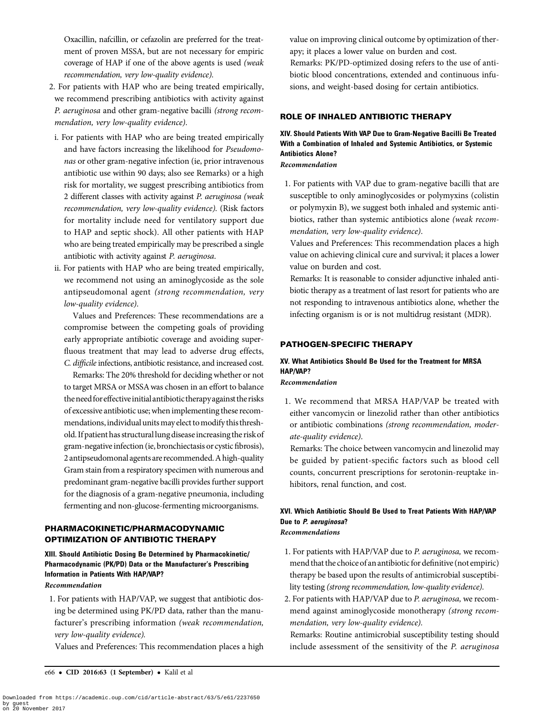Oxacillin, nafcillin, or cefazolin are preferred for the treatment of proven MSSA, but are not necessary for empiric coverage of HAP if one of the above agents is used (weak recommendation, very low-quality evidence).

- 2. For patients with HAP who are being treated empirically, we recommend prescribing antibiotics with activity against P. aeruginosa and other gram-negative bacilli (strong recommendation, very low-quality evidence).
- i. For patients with HAP who are being treated empirically and have factors increasing the likelihood for Pseudomonas or other gram-negative infection (ie, prior intravenous antibiotic use within 90 days; also see Remarks) or a high risk for mortality, we suggest prescribing antibiotics from 2 different classes with activity against P. aeruginosa (weak recommendation, very low-quality evidence). (Risk factors for mortality include need for ventilatory support due to HAP and septic shock). All other patients with HAP who are being treated empirically may be prescribed a single antibiotic with activity against P. aeruginosa.
- ii. For patients with HAP who are being treated empirically, we recommend not using an aminoglycoside as the sole antipseudomonal agent (strong recommendation, very low-quality evidence).

Values and Preferences: These recommendations are a compromise between the competing goals of providing early appropriate antibiotic coverage and avoiding superfluous treatment that may lead to adverse drug effects, C. difficile infections, antibiotic resistance, and increased cost.

Remarks: The 20% threshold for deciding whether or not to target MRSA or MSSA was chosen in an effort to balance the need for effective initial antibiotic therapy against the risks of excessive antibiotic use; when implementing these recommendations, individual units may elect to modify this threshold. If patient has structurallung diseaseincreasing the risk of gram-negative infection (ie, bronchiectasis or cystic fibrosis), 2 antipseudomonal agents are recommended.A high-quality Gram stain from a respiratory specimen with numerous and predominant gram-negative bacilli provides further support for the diagnosis of a gram-negative pneumonia, including fermenting and non-glucose-fermenting microorganisms.

## PHARMACOKINETIC/PHARMACODYNAMIC OPTIMIZATION OF ANTIBIOTIC THERAPY

## XIII. Should Antibiotic Dosing Be Determined by Pharmacokinetic/ Pharmacodynamic (PK/PD) Data or the Manufacturer's Prescribing Information in Patients With HAP/VAP? Recommendation

1. For patients with HAP/VAP, we suggest that antibiotic dosing be determined using PK/PD data, rather than the manufacturer's prescribing information (weak recommendation, very low-quality evidence).

Values and Preferences: This recommendation places a high

value on improving clinical outcome by optimization of therapy; it places a lower value on burden and cost.

Remarks: PK/PD-optimized dosing refers to the use of antibiotic blood concentrations, extended and continuous infusions, and weight-based dosing for certain antibiotics.

## ROLE OF INHALED ANTIBIOTIC THERAPY

# XIV. Should Patients With VAP Due to Gram-Negative Bacilli Be Treated With a Combination of Inhaled and Systemic Antibiotics, or Systemic Antibiotics Alone?

Recommendation

1. For patients with VAP due to gram-negative bacilli that are susceptible to only aminoglycosides or polymyxins (colistin or polymyxin B), we suggest both inhaled and systemic antibiotics, rather than systemic antibiotics alone (weak recommendation, very low-quality evidence).

Values and Preferences: This recommendation places a high value on achieving clinical cure and survival; it places a lower value on burden and cost.

Remarks: It is reasonable to consider adjunctive inhaled antibiotic therapy as a treatment of last resort for patients who are not responding to intravenous antibiotics alone, whether the infecting organism is or is not multidrug resistant (MDR).

## PATHOGEN-SPECIFIC THERAPY

# XV. What Antibiotics Should Be Used for the Treatment for MRSA HAP/VAP?

Recommendation

1. We recommend that MRSA HAP/VAP be treated with either vancomycin or linezolid rather than other antibiotics or antibiotic combinations (strong recommendation, moderate-quality evidence).

Remarks: The choice between vancomycin and linezolid may be guided by patient-specific factors such as blood cell counts, concurrent prescriptions for serotonin-reuptake inhibitors, renal function, and cost.

#### XVI. Which Antibiotic Should Be Used to Treat Patients With HAP/VAP Due to P. aeruginosa? Recommendations

- 1. For patients with HAP/VAP due to P. aeruginosa, we recommend that the choice of an antibiotic for definitive (not empiric) therapy be based upon the results of antimicrobial susceptibility testing (strong recommendation, low-quality evidence).
- 2. For patients with HAP/VAP due to P. aeruginosa, we recommend against aminoglycoside monotherapy (strong recommendation, very low-quality evidence).

Remarks: Routine antimicrobial susceptibility testing should include assessment of the sensitivity of the P. aeruginosa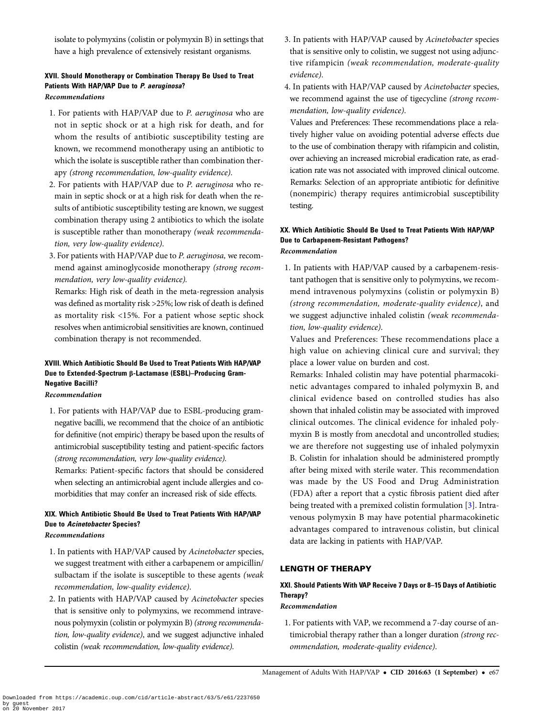isolate to polymyxins (colistin or polymyxin B) in settings that have a high prevalence of extensively resistant organisms.

#### XVII. Should Monotherapy or Combination Therapy Be Used to Treat Patients With HAP/VAP Due to P. aeruginosa? Recommendations

- 1. For patients with HAP/VAP due to P. aeruginosa who are not in septic shock or at a high risk for death, and for whom the results of antibiotic susceptibility testing are known, we recommend monotherapy using an antibiotic to which the isolate is susceptible rather than combination therapy (strong recommendation, low-quality evidence).
- 2. For patients with HAP/VAP due to P. aeruginosa who remain in septic shock or at a high risk for death when the results of antibiotic susceptibility testing are known, we suggest combination therapy using 2 antibiotics to which the isolate is susceptible rather than monotherapy (weak recommendation, very low-quality evidence).
- 3. For patients with HAP/VAP due to P. aeruginosa, we recommend against aminoglycoside monotherapy (strong recommendation, very low-quality evidence).

Remarks: High risk of death in the meta-regression analysis was defined as mortality risk >25%; low risk of death is defined as mortality risk <15%. For a patient whose septic shock resolves when antimicrobial sensitivities are known, continued combination therapy is not recommended.

# XVIII. Which Antibiotic Should Be Used to Treat Patients With HAP/VAP Due to Extended-Spectrum β-Lactamase (ESBL)–Producing Gram-Negative Bacilli?

## Recommendation

1. For patients with HAP/VAP due to ESBL-producing gramnegative bacilli, we recommend that the choice of an antibiotic for definitive (not empiric) therapy be based upon the results of antimicrobial susceptibility testing and patient-specific factors (strong recommendation, very low-quality evidence).

Remarks: Patient-specific factors that should be considered when selecting an antimicrobial agent include allergies and comorbidities that may confer an increased risk of side effects.

# XIX. Which Antibiotic Should Be Used to Treat Patients With HAP/VAP Due to Acinetobacter Species?

## Recommendations

- 1. In patients with HAP/VAP caused by Acinetobacter species, we suggest treatment with either a carbapenem or ampicillin/ sulbactam if the isolate is susceptible to these agents (weak recommendation, low-quality evidence).
- 2. In patients with HAP/VAP caused by Acinetobacter species that is sensitive only to polymyxins, we recommend intravenous polymyxin (colistin or polymyxin B) (strong recommendation, low-quality evidence), and we suggest adjunctive inhaled colistin (weak recommendation, low-quality evidence).
- 3. In patients with HAP/VAP caused by Acinetobacter species that is sensitive only to colistin, we suggest not using adjunctive rifampicin (weak recommendation, moderate-quality evidence).
- 4. In patients with HAP/VAP caused by Acinetobacter species, we recommend against the use of tigecycline (strong recommendation, low-quality evidence).

Values and Preferences: These recommendations place a relatively higher value on avoiding potential adverse effects due to the use of combination therapy with rifampicin and colistin, over achieving an increased microbial eradication rate, as eradication rate was not associated with improved clinical outcome. Remarks: Selection of an appropriate antibiotic for definitive (nonempiric) therapy requires antimicrobial susceptibility testing.

#### XX. Which Antibiotic Should Be Used to Treat Patients With HAP/VAP Due to Carbapenem-Resistant Pathogens? Recommendation

1. In patients with HAP/VAP caused by a carbapenem-resistant pathogen that is sensitive only to polymyxins, we recommend intravenous polymyxins (colistin or polymyxin B) (strong recommendation, moderate-quality evidence), and we suggest adjunctive inhaled colistin (weak recommendation, low-quality evidence).

Values and Preferences: These recommendations place a high value on achieving clinical cure and survival; they place a lower value on burden and cost.

Remarks: Inhaled colistin may have potential pharmacokinetic advantages compared to inhaled polymyxin B, and clinical evidence based on controlled studies has also shown that inhaled colistin may be associated with improved clinical outcomes. The clinical evidence for inhaled polymyxin B is mostly from anecdotal and uncontrolled studies; we are therefore not suggesting use of inhaled polymyxin B. Colistin for inhalation should be administered promptly after being mixed with sterile water. This recommendation was made by the US Food and Drug Administration (FDA) after a report that a cystic fibrosis patient died after being treated with a premixed colistin formulation [[3](#page-43-0)]. Intravenous polymyxin B may have potential pharmacokinetic advantages compared to intravenous colistin, but clinical data are lacking in patients with HAP/VAP.

## LENGTH OF THERAPY

# XXI. Should Patients With VAP Receive 7 Days or 8–15 Days of Antibiotic Therapy?

## Recommendation

1. For patients with VAP, we recommend a 7-day course of antimicrobial therapy rather than a longer duration (strong recommendation, moderate-quality evidence).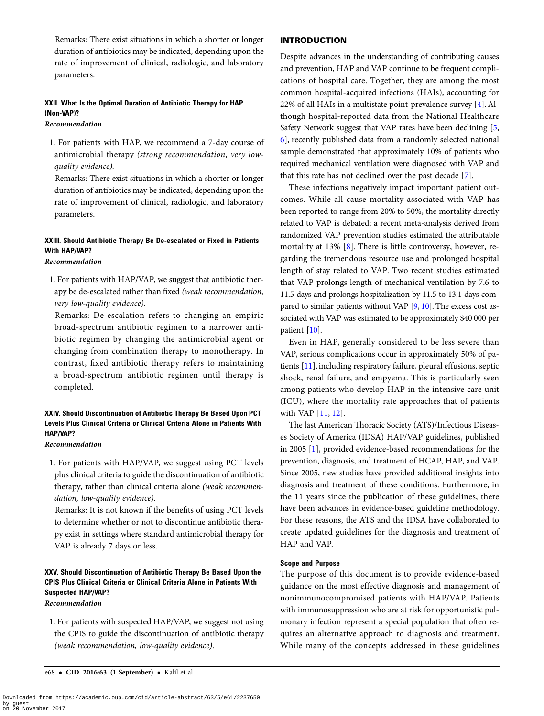Remarks: There exist situations in which a shorter or longer duration of antibiotics may be indicated, depending upon the rate of improvement of clinical, radiologic, and laboratory parameters.

# XXII. What Is the Optimal Duration of Antibiotic Therapy for HAP (Non-VAP)?

Recommendation

1. For patients with HAP, we recommend a 7-day course of antimicrobial therapy (strong recommendation, very lowquality evidence).

Remarks: There exist situations in which a shorter or longer duration of antibiotics may be indicated, depending upon the rate of improvement of clinical, radiologic, and laboratory parameters.

# XXIII. Should Antibiotic Therapy Be De-escalated or Fixed in Patients With HAP/VAP?

# Recommendation

1. For patients with HAP/VAP, we suggest that antibiotic therapy be de-escalated rather than fixed (weak recommendation, very low-quality evidence).

Remarks: De-escalation refers to changing an empiric broad-spectrum antibiotic regimen to a narrower antibiotic regimen by changing the antimicrobial agent or changing from combination therapy to monotherapy. In contrast, fixed antibiotic therapy refers to maintaining a broad-spectrum antibiotic regimen until therapy is completed.

# XXIV. Should Discontinuation of Antibiotic Therapy Be Based Upon PCT Levels Plus Clinical Criteria or Clinical Criteria Alone in Patients With HAP/VAP?

Recommendation

1. For patients with HAP/VAP, we suggest using PCT levels plus clinical criteria to guide the discontinuation of antibiotic therapy, rather than clinical criteria alone (weak recommendation, low-quality evidence).

Remarks: It is not known if the benefits of using PCT levels to determine whether or not to discontinue antibiotic therapy exist in settings where standard antimicrobial therapy for VAP is already 7 days or less.

# XXV. Should Discontinuation of Antibiotic Therapy Be Based Upon the CPIS Plus Clinical Criteria or Clinical Criteria Alone in Patients With Suspected HAP/VAP?

Recommendation

1. For patients with suspected HAP/VAP, we suggest not using the CPIS to guide the discontinuation of antibiotic therapy (weak recommendation, low-quality evidence).

#### INTRODUCTION

Despite advances in the understanding of contributing causes and prevention, HAP and VAP continue to be frequent complications of hospital care. Together, they are among the most common hospital-acquired infections (HAIs), accounting for 22% of all HAIs in a multistate point-prevalence survey [\[4\]](#page-43-0). Although hospital-reported data from the National Healthcare Safety Network suggest that VAP rates have been declining [\[5,](#page-43-0) [6\]](#page-43-0), recently published data from a randomly selected national sample demonstrated that approximately 10% of patients who required mechanical ventilation were diagnosed with VAP and that this rate has not declined over the past decade [[7\]](#page-43-0).

These infections negatively impact important patient outcomes. While all-cause mortality associated with VAP has been reported to range from 20% to 50%, the mortality directly related to VAP is debated; a recent meta-analysis derived from randomized VAP prevention studies estimated the attributable mortality at 13% [\[8\]](#page-43-0). There is little controversy, however, regarding the tremendous resource use and prolonged hospital length of stay related to VAP. Two recent studies estimated that VAP prolongs length of mechanical ventilation by 7.6 to 11.5 days and prolongs hospitalization by 11.5 to 13.1 days compared to similar patients without VAP [[9,](#page-43-0) [10\]](#page-43-0). The excess cost associated with VAP was estimated to be approximately \$40 000 per patient [[10\]](#page-43-0).

Even in HAP, generally considered to be less severe than VAP, serious complications occur in approximately 50% of patients [\[11](#page-43-0)], including respiratory failure, pleural effusions, septic shock, renal failure, and empyema. This is particularly seen among patients who develop HAP in the intensive care unit (ICU), where the mortality rate approaches that of patients with VAP [\[11](#page-43-0), [12\]](#page-43-0).

The last American Thoracic Society (ATS)/Infectious Diseases Society of America (IDSA) HAP/VAP guidelines, published in 2005 [\[1\]](#page-42-0), provided evidence-based recommendations for the prevention, diagnosis, and treatment of HCAP, HAP, and VAP. Since 2005, new studies have provided additional insights into diagnosis and treatment of these conditions. Furthermore, in the 11 years since the publication of these guidelines, there have been advances in evidence-based guideline methodology. For these reasons, the ATS and the IDSA have collaborated to create updated guidelines for the diagnosis and treatment of HAP and VAP.

#### Scope and Purpose

The purpose of this document is to provide evidence-based guidance on the most effective diagnosis and management of nonimmunocompromised patients with HAP/VAP. Patients with immunosuppression who are at risk for opportunistic pulmonary infection represent a special population that often requires an alternative approach to diagnosis and treatment. While many of the concepts addressed in these guidelines

e68 • CID 2016:63 (1 September) • Kalil et al

Downloaded from https://academic.oup.com/cid/article-abstract/63/5/e61/2237650 by guest on 20 November 2017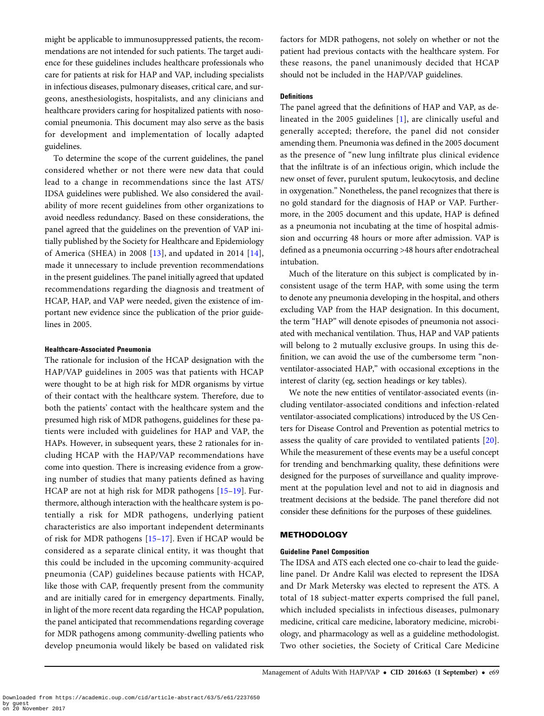might be applicable to immunosuppressed patients, the recommendations are not intended for such patients. The target audience for these guidelines includes healthcare professionals who care for patients at risk for HAP and VAP, including specialists in infectious diseases, pulmonary diseases, critical care, and surgeons, anesthesiologists, hospitalists, and any clinicians and healthcare providers caring for hospitalized patients with nosocomial pneumonia. This document may also serve as the basis for development and implementation of locally adapted guidelines.

To determine the scope of the current guidelines, the panel considered whether or not there were new data that could lead to a change in recommendations since the last ATS/ IDSA guidelines were published. We also considered the availability of more recent guidelines from other organizations to avoid needless redundancy. Based on these considerations, the panel agreed that the guidelines on the prevention of VAP initially published by the Society for Healthcare and Epidemiology of America (SHEA) in 2008 [[13](#page-43-0)], and updated in 2014 [[14](#page-43-0)], made it unnecessary to include prevention recommendations in the present guidelines. The panel initially agreed that updated recommendations regarding the diagnosis and treatment of HCAP, HAP, and VAP were needed, given the existence of important new evidence since the publication of the prior guidelines in 2005.

## Healthcare-Associated Pneumonia

The rationale for inclusion of the HCAP designation with the HAP/VAP guidelines in 2005 was that patients with HCAP were thought to be at high risk for MDR organisms by virtue of their contact with the healthcare system. Therefore, due to both the patients' contact with the healthcare system and the presumed high risk of MDR pathogens, guidelines for these patients were included with guidelines for HAP and VAP, the HAPs. However, in subsequent years, these 2 rationales for including HCAP with the HAP/VAP recommendations have come into question. There is increasing evidence from a growing number of studies that many patients defined as having HCAP are not at high risk for MDR pathogens [[15](#page-43-0)–[19](#page-43-0)]. Furthermore, although interaction with the healthcare system is potentially a risk for MDR pathogens, underlying patient characteristics are also important independent determinants of risk for MDR pathogens [[15](#page-43-0)–[17](#page-43-0)]. Even if HCAP would be considered as a separate clinical entity, it was thought that this could be included in the upcoming community-acquired pneumonia (CAP) guidelines because patients with HCAP, like those with CAP, frequently present from the community and are initially cared for in emergency departments. Finally, in light of the more recent data regarding the HCAP population, the panel anticipated that recommendations regarding coverage for MDR pathogens among community-dwelling patients who develop pneumonia would likely be based on validated risk factors for MDR pathogens, not solely on whether or not the patient had previous contacts with the healthcare system. For these reasons, the panel unanimously decided that HCAP should not be included in the HAP/VAP guidelines.

#### **Definitions**

The panel agreed that the definitions of HAP and VAP, as delineated in the 2005 guidelines [[1\]](#page-42-0), are clinically useful and generally accepted; therefore, the panel did not consider amending them. Pneumonia was defined in the 2005 document as the presence of "new lung infiltrate plus clinical evidence that the infiltrate is of an infectious origin, which include the new onset of fever, purulent sputum, leukocytosis, and decline in oxygenation." Nonetheless, the panel recognizes that there is no gold standard for the diagnosis of HAP or VAP. Furthermore, in the 2005 document and this update, HAP is defined as a pneumonia not incubating at the time of hospital admission and occurring 48 hours or more after admission. VAP is defined as a pneumonia occurring >48 hours after endotracheal intubation.

Much of the literature on this subject is complicated by inconsistent usage of the term HAP, with some using the term to denote any pneumonia developing in the hospital, and others excluding VAP from the HAP designation. In this document, the term "HAP" will denote episodes of pneumonia not associated with mechanical ventilation. Thus, HAP and VAP patients will belong to 2 mutually exclusive groups. In using this definition, we can avoid the use of the cumbersome term "nonventilator-associated HAP," with occasional exceptions in the interest of clarity (eg, section headings or key tables).

We note the new entities of ventilator-associated events (including ventilator-associated conditions and infection-related ventilator-associated complications) introduced by the US Centers for Disease Control and Prevention as potential metrics to assess the quality of care provided to ventilated patients [\[20](#page-43-0)]. While the measurement of these events may be a useful concept for trending and benchmarking quality, these definitions were designed for the purposes of surveillance and quality improvement at the population level and not to aid in diagnosis and treatment decisions at the bedside. The panel therefore did not consider these definitions for the purposes of these guidelines.

## **METHODOLOGY**

#### Guideline Panel Composition

The IDSA and ATS each elected one co-chair to lead the guideline panel. Dr Andre Kalil was elected to represent the IDSA and Dr Mark Metersky was elected to represent the ATS. A total of 18 subject-matter experts comprised the full panel, which included specialists in infectious diseases, pulmonary medicine, critical care medicine, laboratory medicine, microbiology, and pharmacology as well as a guideline methodologist. Two other societies, the Society of Critical Care Medicine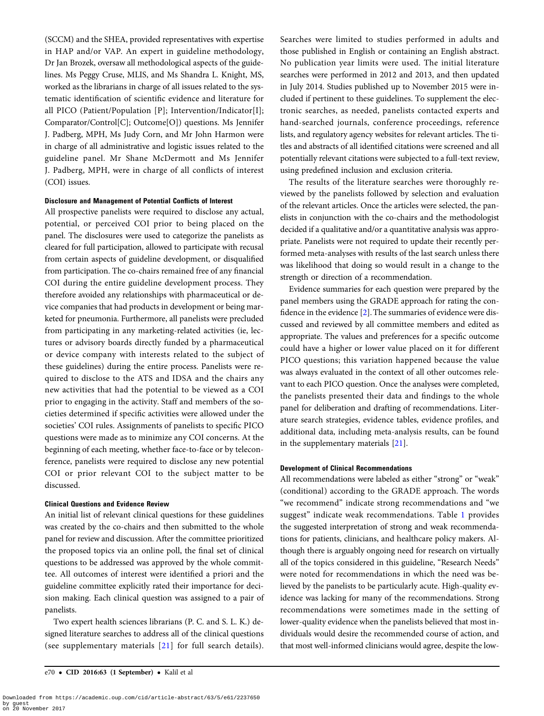(SCCM) and the SHEA, provided representatives with expertise in HAP and/or VAP. An expert in guideline methodology, Dr Jan Brozek, oversaw all methodological aspects of the guidelines. Ms Peggy Cruse, MLIS, and Ms Shandra L. Knight, MS, worked as the librarians in charge of all issues related to the systematic identification of scientific evidence and literature for all PICO (Patient/Population [P]; Intervention/Indicator[I]; Comparator/Control[C]; Outcome[O]) questions. Ms Jennifer J. Padberg, MPH, Ms Judy Corn, and Mr John Harmon were in charge of all administrative and logistic issues related to the guideline panel. Mr Shane McDermott and Ms Jennifer J. Padberg, MPH, were in charge of all conflicts of interest (COI) issues.

#### Disclosure and Management of Potential Conflicts of Interest

All prospective panelists were required to disclose any actual, potential, or perceived COI prior to being placed on the panel. The disclosures were used to categorize the panelists as cleared for full participation, allowed to participate with recusal from certain aspects of guideline development, or disqualified from participation. The co-chairs remained free of any financial COI during the entire guideline development process. They therefore avoided any relationships with pharmaceutical or device companies that had products in development or being marketed for pneumonia. Furthermore, all panelists were precluded from participating in any marketing-related activities (ie, lectures or advisory boards directly funded by a pharmaceutical or device company with interests related to the subject of these guidelines) during the entire process. Panelists were required to disclose to the ATS and IDSA and the chairs any new activities that had the potential to be viewed as a COI prior to engaging in the activity. Staff and members of the societies determined if specific activities were allowed under the societies' COI rules. Assignments of panelists to specific PICO questions were made as to minimize any COI concerns. At the beginning of each meeting, whether face-to-face or by teleconference, panelists were required to disclose any new potential COI or prior relevant COI to the subject matter to be discussed.

#### Clinical Questions and Evidence Review

An initial list of relevant clinical questions for these guidelines was created by the co-chairs and then submitted to the whole panel for review and discussion. After the committee prioritized the proposed topics via an online poll, the final set of clinical questions to be addressed was approved by the whole committee. All outcomes of interest were identified a priori and the guideline committee explicitly rated their importance for decision making. Each clinical question was assigned to a pair of panelists.

Two expert health sciences librarians (P. C. and S. L. K.) designed literature searches to address all of the clinical questions (see supplementary materials [\[21](#page-43-0)] for full search details).

e70 • CID 2016:63 (1 September) • Kalil et al

Searches were limited to studies performed in adults and those published in English or containing an English abstract. No publication year limits were used. The initial literature searches were performed in 2012 and 2013, and then updated in July 2014. Studies published up to November 2015 were included if pertinent to these guidelines. To supplement the electronic searches, as needed, panelists contacted experts and hand-searched journals, conference proceedings, reference lists, and regulatory agency websites for relevant articles. The titles and abstracts of all identified citations were screened and all potentially relevant citations were subjected to a full-text review, using predefined inclusion and exclusion criteria.

The results of the literature searches were thoroughly reviewed by the panelists followed by selection and evaluation of the relevant articles. Once the articles were selected, the panelists in conjunction with the co-chairs and the methodologist decided if a qualitative and/or a quantitative analysis was appropriate. Panelists were not required to update their recently performed meta-analyses with results of the last search unless there was likelihood that doing so would result in a change to the strength or direction of a recommendation.

Evidence summaries for each question were prepared by the panel members using the GRADE approach for rating the confidence in the evidence [\[2\]](#page-43-0). The summaries of evidence were discussed and reviewed by all committee members and edited as appropriate. The values and preferences for a specific outcome could have a higher or lower value placed on it for different PICO questions; this variation happened because the value was always evaluated in the context of all other outcomes relevant to each PICO question. Once the analyses were completed, the panelists presented their data and findings to the whole panel for deliberation and drafting of recommendations. Literature search strategies, evidence tables, evidence profiles, and additional data, including meta-analysis results, can be found in the supplementary materials [\[21](#page-43-0)].

#### Development of Clinical Recommendations

All recommendations were labeled as either "strong" or "weak" (conditional) according to the GRADE approach. The words "we recommend" indicate strong recommendations and "we suggest" indicate weak recommendations. Table [1](#page-1-0) provides the suggested interpretation of strong and weak recommendations for patients, clinicians, and healthcare policy makers. Although there is arguably ongoing need for research on virtually all of the topics considered in this guideline, "Research Needs" were noted for recommendations in which the need was believed by the panelists to be particularly acute. High-quality evidence was lacking for many of the recommendations. Strong recommendations were sometimes made in the setting of lower-quality evidence when the panelists believed that most individuals would desire the recommended course of action, and that most well-informed clinicians would agree, despite the low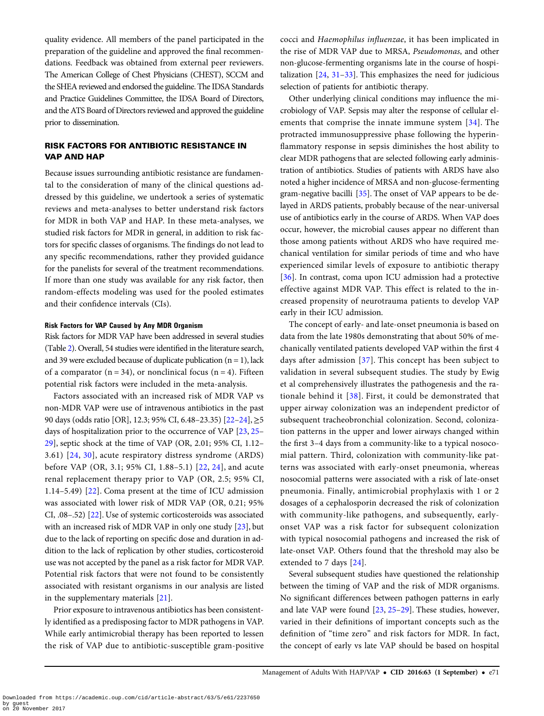quality evidence. All members of the panel participated in the preparation of the guideline and approved the final recommendations. Feedback was obtained from external peer reviewers. The American College of Chest Physicians (CHEST), SCCM and the SHEA reviewed and endorsed the guideline. The IDSA Standards and Practice Guidelines Committee, the IDSA Board of Directors, and the ATS Board of Directors reviewed and approved the guideline prior to dissemination.

## RISK FACTORS FOR ANTIBIOTIC RESISTANCE IN VAP AND HAP

Because issues surrounding antibiotic resistance are fundamental to the consideration of many of the clinical questions addressed by this guideline, we undertook a series of systematic reviews and meta-analyses to better understand risk factors for MDR in both VAP and HAP. In these meta-analyses, we studied risk factors for MDR in general, in addition to risk factors for specific classes of organisms. The findings do not lead to any specific recommendations, rather they provided guidance for the panelists for several of the treatment recommendations. If more than one study was available for any risk factor, then random-effects modeling was used for the pooled estimates and their confidence intervals (CIs).

## Risk Factors for VAP Caused by Any MDR Organism

Risk factors for MDR VAP have been addressed in several studies (Table [2](#page-2-0)). Overall, 54 studies were identified in the literature search, and 39 were excluded because of duplicate publication  $(n = 1)$ , lack of a comparator ( $n = 34$ ), or nonclinical focus ( $n = 4$ ). Fifteen potential risk factors were included in the meta-analysis.

Factors associated with an increased risk of MDR VAP vs non-MDR VAP were use of intravenous antibiotics in the past 90 days (odds ratio [OR], 12.3; 95% CI, 6.48–23.35) [\[22](#page-43-0)–[24](#page-43-0)],≥5 days of hospitalization prior to the occurrence of VAP [[23,](#page-43-0) [25](#page-43-0)– [29](#page-43-0)], septic shock at the time of VAP (OR, 2.01; 95% CI, 1.12– 3.61) [[24,](#page-43-0) [30](#page-43-0)], acute respiratory distress syndrome (ARDS) before VAP (OR, 3.1; 95% CI, 1.88–5.1) [[22,](#page-43-0) [24\]](#page-43-0), and acute renal replacement therapy prior to VAP (OR, 2.5; 95% CI, 1.14–5.49) [\[22\]](#page-43-0). Coma present at the time of ICU admission was associated with lower risk of MDR VAP (OR, 0.21; 95% CI, .08–.52) [\[22](#page-43-0)]. Use of systemic corticosteroids was associated with an increased risk of MDR VAP in only one study [\[23](#page-43-0)], but due to the lack of reporting on specific dose and duration in addition to the lack of replication by other studies, corticosteroid use was not accepted by the panel as a risk factor for MDR VAP. Potential risk factors that were not found to be consistently associated with resistant organisms in our analysis are listed in the supplementary materials [\[21](#page-43-0)].

Prior exposure to intravenous antibiotics has been consistently identified as a predisposing factor to MDR pathogens in VAP. While early antimicrobial therapy has been reported to lessen the risk of VAP due to antibiotic-susceptible gram-positive cocci and Haemophilus influenzae, it has been implicated in the rise of MDR VAP due to MRSA, Pseudomonas, and other non-glucose-fermenting organisms late in the course of hospitalization  $[24, 31-33]$  $[24, 31-33]$  $[24, 31-33]$  $[24, 31-33]$  $[24, 31-33]$  $[24, 31-33]$  $[24, 31-33]$ . This emphasizes the need for judicious selection of patients for antibiotic therapy.

Other underlying clinical conditions may influence the microbiology of VAP. Sepsis may alter the response of cellular elements that comprise the innate immune system [[34](#page-43-0)]. The protracted immunosuppressive phase following the hyperinflammatory response in sepsis diminishes the host ability to clear MDR pathogens that are selected following early administration of antibiotics. Studies of patients with ARDS have also noted a higher incidence of MRSA and non-glucose-fermenting gram-negative bacilli [[35\]](#page-43-0). The onset of VAP appears to be delayed in ARDS patients, probably because of the near-universal use of antibiotics early in the course of ARDS. When VAP does occur, however, the microbial causes appear no different than those among patients without ARDS who have required mechanical ventilation for similar periods of time and who have experienced similar levels of exposure to antibiotic therapy [\[36](#page-43-0)]. In contrast, coma upon ICU admission had a protective effective against MDR VAP. This effect is related to the increased propensity of neurotrauma patients to develop VAP early in their ICU admission.

The concept of early- and late-onset pneumonia is based on data from the late 1980s demonstrating that about 50% of mechanically ventilated patients developed VAP within the first 4 days after admission [[37](#page-43-0)]. This concept has been subject to validation in several subsequent studies. The study by Ewig et al comprehensively illustrates the pathogenesis and the rationale behind it [\[38](#page-43-0)]. First, it could be demonstrated that upper airway colonization was an independent predictor of subsequent tracheobronchial colonization. Second, colonization patterns in the upper and lower airways changed within the first 3–4 days from a community-like to a typical nosocomial pattern. Third, colonization with community-like patterns was associated with early-onset pneumonia, whereas nosocomial patterns were associated with a risk of late-onset pneumonia. Finally, antimicrobial prophylaxis with 1 or 2 dosages of a cephalosporin decreased the risk of colonization with community-like pathogens, and subsequently, earlyonset VAP was a risk factor for subsequent colonization with typical nosocomial pathogens and increased the risk of late-onset VAP. Others found that the threshold may also be extended to 7 days [\[24\]](#page-43-0).

Several subsequent studies have questioned the relationship between the timing of VAP and the risk of MDR organisms. No significant differences between pathogen patterns in early and late VAP were found [[23](#page-43-0), [25](#page-43-0)–[29\]](#page-43-0). These studies, however, varied in their definitions of important concepts such as the definition of "time zero" and risk factors for MDR. In fact, the concept of early vs late VAP should be based on hospital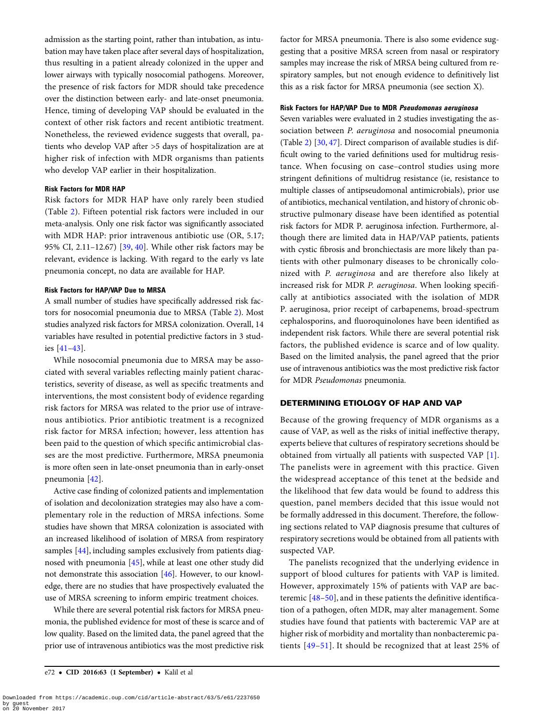admission as the starting point, rather than intubation, as intubation may have taken place after several days of hospitalization, thus resulting in a patient already colonized in the upper and lower airways with typically nosocomial pathogens. Moreover, the presence of risk factors for MDR should take precedence over the distinction between early- and late-onset pneumonia. Hence, timing of developing VAP should be evaluated in the context of other risk factors and recent antibiotic treatment. Nonetheless, the reviewed evidence suggests that overall, patients who develop VAP after >5 days of hospitalization are at higher risk of infection with MDR organisms than patients who develop VAP earlier in their hospitalization.

#### Risk Factors for MDR HAP

Risk factors for MDR HAP have only rarely been studied (Table [2\)](#page-2-0). Fifteen potential risk factors were included in our meta-analysis. Only one risk factor was significantly associated with MDR HAP: prior intravenous antibiotic use (OR, 5.17; 95% CI, 2.11–12.67) [[39,](#page-43-0) [40](#page-43-0)]. While other risk factors may be relevant, evidence is lacking. With regard to the early vs late pneumonia concept, no data are available for HAP.

#### Risk Factors for HAP/VAP Due to MRSA

A small number of studies have specifically addressed risk factors for nosocomial pneumonia due to MRSA (Table [2](#page-2-0)). Most studies analyzed risk factors for MRSA colonization. Overall, 14 variables have resulted in potential predictive factors in 3 studies [[41](#page-43-0)–[43](#page-43-0)].

While nosocomial pneumonia due to MRSA may be associated with several variables reflecting mainly patient characteristics, severity of disease, as well as specific treatments and interventions, the most consistent body of evidence regarding risk factors for MRSA was related to the prior use of intravenous antibiotics. Prior antibiotic treatment is a recognized risk factor for MRSA infection; however, less attention has been paid to the question of which specific antimicrobial classes are the most predictive. Furthermore, MRSA pneumonia is more often seen in late-onset pneumonia than in early-onset pneumonia [\[42](#page-43-0)].

Active case finding of colonized patients and implementation of isolation and decolonization strategies may also have a complementary role in the reduction of MRSA infections. Some studies have shown that MRSA colonization is associated with an increased likelihood of isolation of MRSA from respiratory samples [[44\]](#page-43-0), including samples exclusively from patients diagnosed with pneumonia [\[45](#page-43-0)], while at least one other study did not demonstrate this association [[46\]](#page-43-0). However, to our knowledge, there are no studies that have prospectively evaluated the use of MRSA screening to inform empiric treatment choices.

While there are several potential risk factors for MRSA pneumonia, the published evidence for most of these is scarce and of low quality. Based on the limited data, the panel agreed that the prior use of intravenous antibiotics was the most predictive risk

e72 • CID 2016:63 (1 September) • Kalil et al

factor for MRSA pneumonia. There is also some evidence suggesting that a positive MRSA screen from nasal or respiratory samples may increase the risk of MRSA being cultured from respiratory samples, but not enough evidence to definitively list this as a risk factor for MRSA pneumonia (see section X).

## Risk Factors for HAP/VAP Due to MDR Pseudomonas aeruginosa

Seven variables were evaluated in 2 studies investigating the association between *P. aeruginosa* and nosocomial pneumonia (Table [2](#page-2-0)) [\[30](#page-43-0), [47](#page-43-0)]. Direct comparison of available studies is difficult owing to the varied definitions used for multidrug resistance. When focusing on case–control studies using more stringent definitions of multidrug resistance (ie, resistance to multiple classes of antipseudomonal antimicrobials), prior use of antibiotics, mechanical ventilation, and history of chronic obstructive pulmonary disease have been identified as potential risk factors for MDR P. aeruginosa infection. Furthermore, although there are limited data in HAP/VAP patients, patients with cystic fibrosis and bronchiectasis are more likely than patients with other pulmonary diseases to be chronically colonized with P. aeruginosa and are therefore also likely at increased risk for MDR P. aeruginosa. When looking specifically at antibiotics associated with the isolation of MDR P. aeruginosa, prior receipt of carbapenems, broad-spectrum cephalosporins, and fluoroquinolones have been identified as independent risk factors. While there are several potential risk factors, the published evidence is scarce and of low quality. Based on the limited analysis, the panel agreed that the prior use of intravenous antibiotics was the most predictive risk factor for MDR Pseudomonas pneumonia.

## DETERMINING ETIOLOGY OF HAP AND VAP

Because of the growing frequency of MDR organisms as a cause of VAP, as well as the risks of initial ineffective therapy, experts believe that cultures of respiratory secretions should be obtained from virtually all patients with suspected VAP [[1](#page-42-0)]. The panelists were in agreement with this practice. Given the widespread acceptance of this tenet at the bedside and the likelihood that few data would be found to address this question, panel members decided that this issue would not be formally addressed in this document. Therefore, the following sections related to VAP diagnosis presume that cultures of respiratory secretions would be obtained from all patients with suspected VAP.

The panelists recognized that the underlying evidence in support of blood cultures for patients with VAP is limited. However, approximately 15% of patients with VAP are bacteremic [\[48](#page-43-0)–[50](#page-43-0)], and in these patients the definitive identification of a pathogen, often MDR, may alter management. Some studies have found that patients with bacteremic VAP are at higher risk of morbidity and mortality than nonbacteremic patients [[49](#page-43-0)–[51](#page-44-0)]. It should be recognized that at least 25% of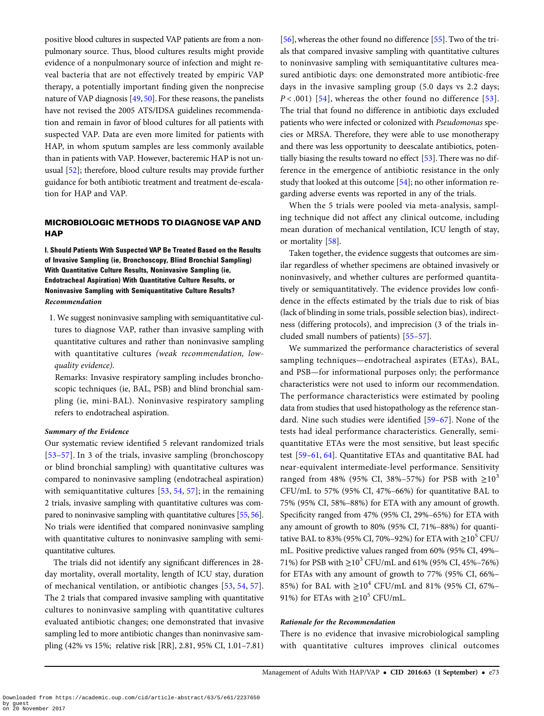positive blood cultures in suspected VAP patients are from a nonpulmonary source. Thus, blood cultures results might provide evidence of a nonpulmonary source of infection and might reveal bacteria that are not effectively treated by empiric VAP therapy, a potentially important finding given the nonprecise nature of VAP diagnosis [[49,](#page-43-0) [50](#page-43-0)]. For these reasons, the panelists have not revised the 2005 ATS/IDSA guidelines recommendation and remain in favor of blood cultures for all patients with suspected VAP. Data are even more limited for patients with HAP, in whom sputum samples are less commonly available than in patients with VAP. However, bacteremic HAP is not unusual [[52\]](#page-44-0); therefore, blood culture results may provide further guidance for both antibiotic treatment and treatment de-escalation for HAP and VAP.

## MICROBIOLOGIC METHODS TO DIAGNOSE VAP AND **HAP**

I. Should Patients With Suspected VAP Be Treated Based on the Results of Invasive Sampling (ie, Bronchoscopy, Blind Bronchial Sampling) With Quantitative Culture Results, Noninvasive Sampling (ie, Endotracheal Aspiration) With Quantitative Culture Results, or Noninvasive Sampling with Semiquantitative Culture Results? Recommendation

1. We suggest noninvasive sampling with semiquantitative cultures to diagnose VAP, rather than invasive sampling with quantitative cultures and rather than noninvasive sampling with quantitative cultures (weak recommendation, lowquality evidence).

Remarks: Invasive respiratory sampling includes bronchoscopic techniques (ie, BAL, PSB) and blind bronchial sampling (ie, mini-BAL). Noninvasive respiratory sampling refers to endotracheal aspiration.

#### Summary of the Evidence

Our systematic review identified 5 relevant randomized trials [\[53](#page-44-0)–[57](#page-44-0)]. In 3 of the trials, invasive sampling (bronchoscopy or blind bronchial sampling) with quantitative cultures was compared to noninvasive sampling (endotracheal aspiration) with semiquantitative cultures [\[53,](#page-44-0) [54,](#page-44-0) [57](#page-44-0)]; in the remaining 2 trials, invasive sampling with quantitative cultures was compared to noninvasive sampling with quantitative cultures [[55](#page-44-0), [56\]](#page-44-0). No trials were identified that compared noninvasive sampling with quantitative cultures to noninvasive sampling with semiquantitative cultures.

The trials did not identify any significant differences in 28 day mortality, overall mortality, length of ICU stay, duration of mechanical ventilation, or antibiotic changes [[53](#page-44-0), [54](#page-44-0), [57](#page-44-0)]. The 2 trials that compared invasive sampling with quantitative cultures to noninvasive sampling with quantitative cultures evaluated antibiotic changes; one demonstrated that invasive sampling led to more antibiotic changes than noninvasive sampling (42% vs 15%; relative risk [RR], 2.81, 95% CI, 1.01–7.81)

[\[56](#page-44-0)], whereas the other found no difference [[55\]](#page-44-0). Two of the trials that compared invasive sampling with quantitative cultures to noninvasive sampling with semiquantitative cultures measured antibiotic days: one demonstrated more antibiotic-free days in the invasive sampling group (5.0 days vs 2.2 days;  $P < .001$ ) [[54](#page-44-0)], whereas the other found no difference [[53](#page-44-0)]. The trial that found no difference in antibiotic days excluded patients who were infected or colonized with Pseudomonas species or MRSA. Therefore, they were able to use monotherapy and there was less opportunity to deescalate antibiotics, potentially biasing the results toward no effect [\[53](#page-44-0)]. There was no difference in the emergence of antibiotic resistance in the only study that looked at this outcome [[54\]](#page-44-0); no other information regarding adverse events was reported in any of the trials.

When the 5 trials were pooled via meta-analysis, sampling technique did not affect any clinical outcome, including mean duration of mechanical ventilation, ICU length of stay, or mortality [\[58](#page-44-0)].

Taken together, the evidence suggests that outcomes are similar regardless of whether specimens are obtained invasively or noninvasively, and whether cultures are performed quantitatively or semiquantitatively. The evidence provides low confidence in the effects estimated by the trials due to risk of bias (lack of blinding in some trials, possible selection bias), indirectness (differing protocols), and imprecision (3 of the trials included small numbers of patients) [[55](#page-44-0)–[57\]](#page-44-0).

We summarized the performance characteristics of several sampling techniques—endotracheal aspirates (ETAs), BAL, and PSB—for informational purposes only; the performance characteristics were not used to inform our recommendation. The performance characteristics were estimated by pooling data from studies that used histopathology as the reference standard. Nine such studies were identified [[59](#page-44-0)–[67\]](#page-44-0). None of the tests had ideal performance characteristics. Generally, semiquantitative ETAs were the most sensitive, but least specific test [[59](#page-44-0)–[61](#page-44-0), [64\]](#page-44-0). Quantitative ETAs and quantitative BAL had near-equivalent intermediate-level performance. Sensitivity ranged from 48% (95% CI, 38%–57%) for PSB with  $\geq 10^3$ CFU/mL to 57% (95% CI, 47%–66%) for quantitative BAL to 75% (95% CI, 58%–88%) for ETA with any amount of growth. Specificity ranged from 47% (95% CI, 29%–65%) for ETA with any amount of growth to 80% (95% CI, 71%–88%) for quantitative BAL to 83% (95% CI, 70%–92%) for ETA with ≥10<sup>5</sup> CFU/ mL. Positive predictive values ranged from 60% (95% CI, 49%– 71%) for PSB with  $\geq$ 10<sup>3</sup> CFU/mL and 61% (95% CI, 45%–76%) for ETAs with any amount of growth to 77% (95% CI, 66%– 85%) for BAL with  $\geq 10^4$  CFU/mL and 81% (95% CI, 67%– 91%) for ETAs with  $\geq$ 10<sup>5</sup> CFU/mL.

## Rationale for the Recommendation

There is no evidence that invasive microbiological sampling with quantitative cultures improves clinical outcomes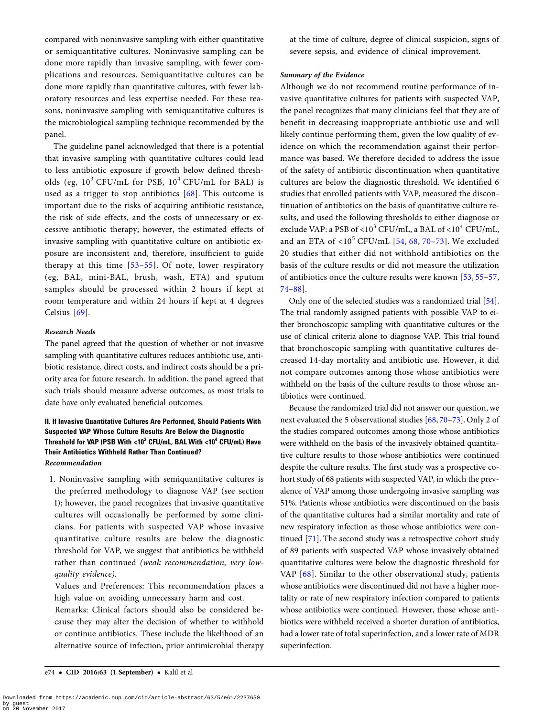compared with noninvasive sampling with either quantitative or semiquantitative cultures. Noninvasive sampling can be done more rapidly than invasive sampling, with fewer complications and resources. Semiquantitative cultures can be done more rapidly than quantitative cultures, with fewer laboratory resources and less expertise needed. For these reasons, noninvasive sampling with semiquantitative cultures is the microbiological sampling technique recommended by the panel.

The guideline panel acknowledged that there is a potential that invasive sampling with quantitative cultures could lead to less antibiotic exposure if growth below defined thresholds (eg,  $10^3$  CFU/mL for PSB,  $10^4$  CFU/mL for BAL) is used as a trigger to stop antibiotics  $[68]$ . This outcome is important due to the risks of acquiring antibiotic resistance, the risk of side effects, and the costs of unnecessary or excessive antibiotic therapy; however, the estimated effects of invasive sampling with quantitative culture on antibiotic exposure are inconsistent and, therefore, insufficient to guide therapy at this time [\[53](#page-44-0)–[55](#page-44-0)]. Of note, lower respiratory (eg, BAL, mini-BAL, brush, wash, ETA) and sputum samples should be processed within 2 hours if kept at room temperature and within 24 hours if kept at 4 degrees Celsius [[69\]](#page-44-0).

#### Research Needs

The panel agreed that the question of whether or not invasive sampling with quantitative cultures reduces antibiotic use, antibiotic resistance, direct costs, and indirect costs should be a priority area for future research. In addition, the panel agreed that such trials should measure adverse outcomes, as most trials to date have only evaluated beneficial outcomes.

## II. If Invasive Quantitative Cultures Are Performed, Should Patients With Suspected VAP Whose Culture Results Are Below the Diagnostic Threshold for VAP (PSB With <103 CFU/mL, BAL With <104 CFU/mL) Have Their Antibiotics Withheld Rather Than Continued? Recommendation

1. Noninvasive sampling with semiquantitative cultures is the preferred methodology to diagnose VAP (see section I); however, the panel recognizes that invasive quantitative cultures will occasionally be performed by some clinicians. For patients with suspected VAP whose invasive quantitative culture results are below the diagnostic threshold for VAP, we suggest that antibiotics be withheld rather than continued (weak recommendation, very lowquality evidence).

Values and Preferences: This recommendation places a high value on avoiding unnecessary harm and cost.

Remarks: Clinical factors should also be considered because they may alter the decision of whether to withhold or continue antibiotics. These include the likelihood of an alternative source of infection, prior antimicrobial therapy

at the time of culture, degree of clinical suspicion, signs of severe sepsis, and evidence of clinical improvement.

#### Summary of the Evidence

Although we do not recommend routine performance of invasive quantitative cultures for patients with suspected VAP, the panel recognizes that many clinicians feel that they are of benefit in decreasing inappropriate antibiotic use and will likely continue performing them, given the low quality of evidence on which the recommendation against their performance was based. We therefore decided to address the issue of the safety of antibiotic discontinuation when quantitative cultures are below the diagnostic threshold. We identified 6 studies that enrolled patients with VAP, measured the discontinuation of antibiotics on the basis of quantitative culture results, and used the following thresholds to either diagnose or exclude VAP: a PSB of  $< 10^3$  CFU/mL, a BAL of  $< 10^4$  CFU/mL, and an ETA of  $< 10^5$  CFU/mL [\[54,](#page-44-0) [68](#page-44-0), [70](#page-44-0)-[73](#page-44-0)]. We excluded 20 studies that either did not withhold antibiotics on the basis of the culture results or did not measure the utilization of antibiotics once the culture results were known [[53](#page-44-0), [55](#page-44-0)–[57,](#page-44-0) [74](#page-44-0)–[88\]](#page-44-0).

Only one of the selected studies was a randomized trial [\[54\]](#page-44-0). The trial randomly assigned patients with possible VAP to either bronchoscopic sampling with quantitative cultures or the use of clinical criteria alone to diagnose VAP. This trial found that bronchoscopic sampling with quantitative cultures decreased 14-day mortality and antibiotic use. However, it did not compare outcomes among those whose antibiotics were withheld on the basis of the culture results to those whose antibiotics were continued.

Because the randomized trial did not answer our question, we next evaluated the 5 observational studies [\[68](#page-44-0), [70](#page-44-0)–[73\]](#page-44-0). Only 2 of the studies compared outcomes among those whose antibiotics were withheld on the basis of the invasively obtained quantitative culture results to those whose antibiotics were continued despite the culture results. The first study was a prospective cohort study of 68 patients with suspected VAP, in which the prevalence of VAP among those undergoing invasive sampling was 51%. Patients whose antibiotics were discontinued on the basis of the quantitative cultures had a similar mortality and rate of new respiratory infection as those whose antibiotics were continued [\[71](#page-44-0)]. The second study was a retrospective cohort study of 89 patients with suspected VAP whose invasively obtained quantitative cultures were below the diagnostic threshold for VAP [\[68\]](#page-44-0). Similar to the other observational study, patients whose antibiotics were discontinued did not have a higher mortality or rate of new respiratory infection compared to patients whose antibiotics were continued. However, those whose antibiotics were withheld received a shorter duration of antibiotics, had a lower rate of total superinfection, and a lower rate of MDR superinfection.

e74 • CID 2016:63 (1 September) • Kalil et al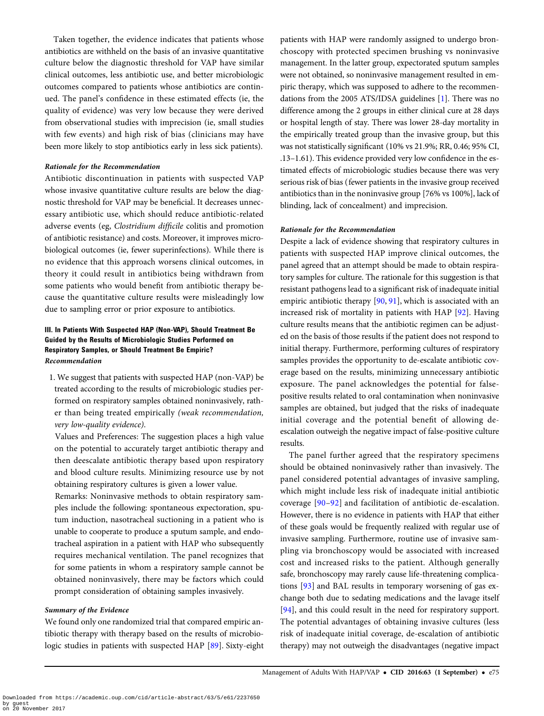Taken together, the evidence indicates that patients whose antibiotics are withheld on the basis of an invasive quantitative culture below the diagnostic threshold for VAP have similar clinical outcomes, less antibiotic use, and better microbiologic outcomes compared to patients whose antibiotics are continued. The panel's confidence in these estimated effects (ie, the quality of evidence) was very low because they were derived from observational studies with imprecision (ie, small studies with few events) and high risk of bias (clinicians may have been more likely to stop antibiotics early in less sick patients).

#### Rationale for the Recommendation

Antibiotic discontinuation in patients with suspected VAP whose invasive quantitative culture results are below the diagnostic threshold for VAP may be beneficial. It decreases unnecessary antibiotic use, which should reduce antibiotic-related adverse events (eg, Clostridium difficile colitis and promotion of antibiotic resistance) and costs. Moreover, it improves microbiological outcomes (ie, fewer superinfections). While there is no evidence that this approach worsens clinical outcomes, in theory it could result in antibiotics being withdrawn from some patients who would benefit from antibiotic therapy because the quantitative culture results were misleadingly low due to sampling error or prior exposure to antibiotics.

## III. In Patients With Suspected HAP (Non-VAP), Should Treatment Be Guided by the Results of Microbiologic Studies Performed on Respiratory Samples, or Should Treatment Be Empiric? Recommendation

- 1. We suggest that patients with suspected HAP (non-VAP) be treated according to the results of microbiologic studies performed on respiratory samples obtained noninvasively, rather than being treated empirically (weak recommendation, very low-quality evidence).
- Values and Preferences: The suggestion places a high value on the potential to accurately target antibiotic therapy and then deescalate antibiotic therapy based upon respiratory and blood culture results. Minimizing resource use by not obtaining respiratory cultures is given a lower value.

Remarks: Noninvasive methods to obtain respiratory samples include the following: spontaneous expectoration, sputum induction, nasotracheal suctioning in a patient who is unable to cooperate to produce a sputum sample, and endotracheal aspiration in a patient with HAP who subsequently requires mechanical ventilation. The panel recognizes that for some patients in whom a respiratory sample cannot be obtained noninvasively, there may be factors which could prompt consideration of obtaining samples invasively.

## Summary of the Evidence

We found only one randomized trial that compared empiric antibiotic therapy with therapy based on the results of microbiologic studies in patients with suspected HAP [[89\]](#page-44-0). Sixty-eight

patients with HAP were randomly assigned to undergo bronchoscopy with protected specimen brushing vs noninvasive management. In the latter group, expectorated sputum samples were not obtained, so noninvasive management resulted in empiric therapy, which was supposed to adhere to the recommendations from the 2005 ATS/IDSA guidelines [[1\]](#page-42-0). There was no difference among the 2 groups in either clinical cure at 28 days or hospital length of stay. There was lower 28-day mortality in the empirically treated group than the invasive group, but this was not statistically significant (10% vs 21.9%; RR, 0.46; 95% CI, .13–1.61). This evidence provided very low confidence in the estimated effects of microbiologic studies because there was very serious risk of bias (fewer patients in the invasive group received antibiotics than in the noninvasive group [76% vs 100%], lack of blinding, lack of concealment) and imprecision.

## Rationale for the Recommendation

Despite a lack of evidence showing that respiratory cultures in patients with suspected HAP improve clinical outcomes, the panel agreed that an attempt should be made to obtain respiratory samples for culture. The rationale for this suggestion is that resistant pathogens lead to a significant risk of inadequate initial empiric antibiotic therapy [\[90](#page-44-0), [91](#page-44-0)], which is associated with an increased risk of mortality in patients with HAP [[92\]](#page-44-0). Having culture results means that the antibiotic regimen can be adjusted on the basis of those results if the patient does not respond to initial therapy. Furthermore, performing cultures of respiratory samples provides the opportunity to de-escalate antibiotic coverage based on the results, minimizing unnecessary antibiotic exposure. The panel acknowledges the potential for falsepositive results related to oral contamination when noninvasive samples are obtained, but judged that the risks of inadequate initial coverage and the potential benefit of allowing deescalation outweigh the negative impact of false-positive culture results.

The panel further agreed that the respiratory specimens should be obtained noninvasively rather than invasively. The panel considered potential advantages of invasive sampling, which might include less risk of inadequate initial antibiotic coverage [\[90](#page-44-0)–[92](#page-44-0)] and facilitation of antibiotic de-escalation. However, there is no evidence in patients with HAP that either of these goals would be frequently realized with regular use of invasive sampling. Furthermore, routine use of invasive sampling via bronchoscopy would be associated with increased cost and increased risks to the patient. Although generally safe, bronchoscopy may rarely cause life-threatening complications [\[93](#page-44-0)] and BAL results in temporary worsening of gas exchange both due to sedating medications and the lavage itself [\[94](#page-44-0)], and this could result in the need for respiratory support. The potential advantages of obtaining invasive cultures (less risk of inadequate initial coverage, de-escalation of antibiotic therapy) may not outweigh the disadvantages (negative impact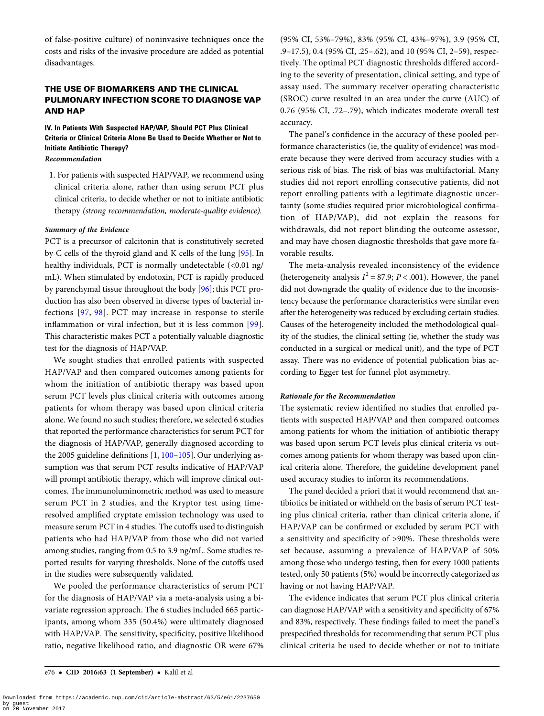of false-positive culture) of noninvasive techniques once the costs and risks of the invasive procedure are added as potential disadvantages.

## THE USE OF BIOMARKERS AND THE CLINICAL PULMONARY INFECTION SCORE TO DIAGNOSE VAP AND HAP

# IV. In Patients With Suspected HAP/VAP, Should PCT Plus Clinical Criteria or Clinical Criteria Alone Be Used to Decide Whether or Not to Initiate Antibiotic Therapy?

#### Recommendation

1. For patients with suspected HAP/VAP, we recommend using clinical criteria alone, rather than using serum PCT plus clinical criteria, to decide whether or not to initiate antibiotic therapy (strong recommendation, moderate-quality evidence).

## Summary of the Evidence

PCT is a precursor of calcitonin that is constitutively secreted by C cells of the thyroid gland and K cells of the lung [[95](#page-44-0)]. In healthy individuals, PCT is normally undetectable (<0.01 ng/ mL). When stimulated by endotoxin, PCT is rapidly produced by parenchymal tissue throughout the body [\[96\]](#page-44-0); this PCT production has also been observed in diverse types of bacterial infections [[97](#page-44-0), [98\]](#page-44-0). PCT may increase in response to sterile inflammation or viral infection, but it is less common [[99](#page-44-0)]. This characteristic makes PCT a potentially valuable diagnostic test for the diagnosis of HAP/VAP.

We sought studies that enrolled patients with suspected HAP/VAP and then compared outcomes among patients for whom the initiation of antibiotic therapy was based upon serum PCT levels plus clinical criteria with outcomes among patients for whom therapy was based upon clinical criteria alone. We found no such studies; therefore, we selected 6 studies that reported the performance characteristics for serum PCT for the diagnosis of HAP/VAP, generally diagnosed according to the 2005 guideline definitions [\[1](#page-42-0), [100](#page-44-0)–[105](#page-45-0)]. Our underlying assumption was that serum PCT results indicative of HAP/VAP will prompt antibiotic therapy, which will improve clinical outcomes. The immunoluminometric method was used to measure serum PCT in 2 studies, and the Kryptor test using timeresolved amplified cryptate emission technology was used to measure serum PCT in 4 studies. The cutoffs used to distinguish patients who had HAP/VAP from those who did not varied among studies, ranging from 0.5 to 3.9 ng/mL. Some studies reported results for varying thresholds. None of the cutoffs used in the studies were subsequently validated.

We pooled the performance characteristics of serum PCT for the diagnosis of HAP/VAP via a meta-analysis using a bivariate regression approach. The 6 studies included 665 participants, among whom 335 (50.4%) were ultimately diagnosed with HAP/VAP. The sensitivity, specificity, positive likelihood ratio, negative likelihood ratio, and diagnostic OR were 67%

(95% CI, 53%–79%), 83% (95% CI, 43%–97%), 3.9 (95% CI, .9–17.5), 0.4 (95% CI, .25–.62), and 10 (95% CI, 2–59), respectively. The optimal PCT diagnostic thresholds differed according to the severity of presentation, clinical setting, and type of assay used. The summary receiver operating characteristic (SROC) curve resulted in an area under the curve (AUC) of 0.76 (95% CI, .72–.79), which indicates moderate overall test accuracy.

The panel's confidence in the accuracy of these pooled performance characteristics (ie, the quality of evidence) was moderate because they were derived from accuracy studies with a serious risk of bias. The risk of bias was multifactorial. Many studies did not report enrolling consecutive patients, did not report enrolling patients with a legitimate diagnostic uncertainty (some studies required prior microbiological confirmation of HAP/VAP), did not explain the reasons for withdrawals, did not report blinding the outcome assessor, and may have chosen diagnostic thresholds that gave more favorable results.

The meta-analysis revealed inconsistency of the evidence (heterogeneity analysis  $I^2 = 87.9$ ;  $P < .001$ ). However, the panel did not downgrade the quality of evidence due to the inconsistency because the performance characteristics were similar even after the heterogeneity was reduced by excluding certain studies. Causes of the heterogeneity included the methodological quality of the studies, the clinical setting (ie, whether the study was conducted in a surgical or medical unit), and the type of PCT assay. There was no evidence of potential publication bias according to Egger test for funnel plot asymmetry.

#### Rationale for the Recommendation

The systematic review identified no studies that enrolled patients with suspected HAP/VAP and then compared outcomes among patients for whom the initiation of antibiotic therapy was based upon serum PCT levels plus clinical criteria vs outcomes among patients for whom therapy was based upon clinical criteria alone. Therefore, the guideline development panel used accuracy studies to inform its recommendations.

The panel decided a priori that it would recommend that antibiotics be initiated or withheld on the basis of serum PCT testing plus clinical criteria, rather than clinical criteria alone, if HAP/VAP can be confirmed or excluded by serum PCT with a sensitivity and specificity of >90%. These thresholds were set because, assuming a prevalence of HAP/VAP of 50% among those who undergo testing, then for every 1000 patients tested, only 50 patients (5%) would be incorrectly categorized as having or not having HAP/VAP.

The evidence indicates that serum PCT plus clinical criteria can diagnose HAP/VAP with a sensitivity and specificity of 67% and 83%, respectively. These findings failed to meet the panel's prespecified thresholds for recommending that serum PCT plus clinical criteria be used to decide whether or not to initiate

e76 • CID 2016:63 (1 September) • Kalil et al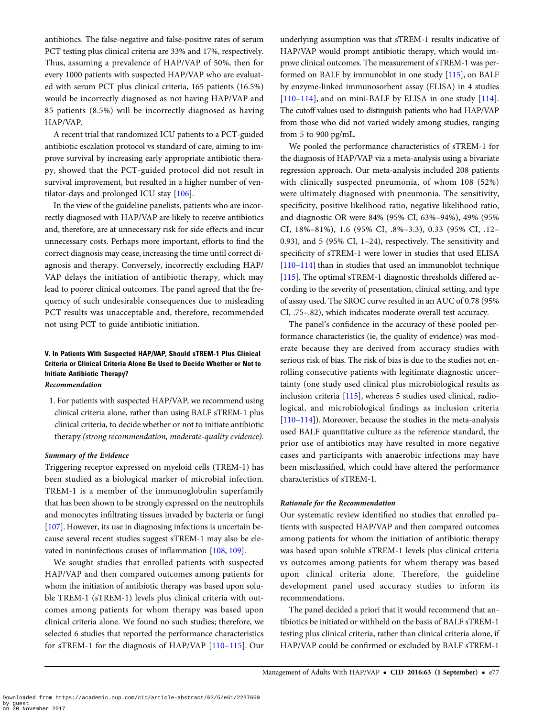antibiotics. The false-negative and false-positive rates of serum PCT testing plus clinical criteria are 33% and 17%, respectively. Thus, assuming a prevalence of HAP/VAP of 50%, then for every 1000 patients with suspected HAP/VAP who are evaluated with serum PCT plus clinical criteria, 165 patients (16.5%) would be incorrectly diagnosed as not having HAP/VAP and 85 patients (8.5%) will be incorrectly diagnosed as having HAP/VAP.

A recent trial that randomized ICU patients to a PCT-guided antibiotic escalation protocol vs standard of care, aiming to improve survival by increasing early appropriate antibiotic therapy, showed that the PCT-guided protocol did not result in survival improvement, but resulted in a higher number of ventilator-days and prolonged ICU stay [[106](#page-45-0)].

In the view of the guideline panelists, patients who are incorrectly diagnosed with HAP/VAP are likely to receive antibiotics and, therefore, are at unnecessary risk for side effects and incur unnecessary costs. Perhaps more important, efforts to find the correct diagnosis may cease, increasing the time until correct diagnosis and therapy. Conversely, incorrectly excluding HAP/ VAP delays the initiation of antibiotic therapy, which may lead to poorer clinical outcomes. The panel agreed that the frequency of such undesirable consequences due to misleading PCT results was unacceptable and, therefore, recommended not using PCT to guide antibiotic initiation.

# V. In Patients With Suspected HAP/VAP, Should sTREM-1 Plus Clinical Criteria or Clinical Criteria Alone Be Used to Decide Whether or Not to Initiate Antibiotic Therapy?

Recommendation

1. For patients with suspected HAP/VAP, we recommend using clinical criteria alone, rather than using BALF sTREM-1 plus clinical criteria, to decide whether or not to initiate antibiotic therapy (strong recommendation, moderate-quality evidence).

#### Summary of the Evidence

Triggering receptor expressed on myeloid cells (TREM-1) has been studied as a biological marker of microbial infection. TREM-1 is a member of the immunoglobulin superfamily that has been shown to be strongly expressed on the neutrophils and monocytes infiltrating tissues invaded by bacteria or fungi [\[107\]](#page-45-0). However, its use in diagnosing infections is uncertain because several recent studies suggest sTREM-1 may also be elevated in noninfectious causes of inflammation [\[108,](#page-45-0) [109\]](#page-45-0).

We sought studies that enrolled patients with suspected HAP/VAP and then compared outcomes among patients for whom the initiation of antibiotic therapy was based upon soluble TREM-1 (sTREM-1) levels plus clinical criteria with outcomes among patients for whom therapy was based upon clinical criteria alone. We found no such studies; therefore, we selected 6 studies that reported the performance characteristics for sTREM-1 for the diagnosis of HAP/VAP [\[110](#page-45-0)–[115](#page-45-0)]. Our

underlying assumption was that sTREM-1 results indicative of HAP/VAP would prompt antibiotic therapy, which would improve clinical outcomes. The measurement of sTREM-1 was performed on BALF by immunoblot in one study [\[115\]](#page-45-0), on BALF by enzyme-linked immunosorbent assay (ELISA) in 4 studies [\[110](#page-45-0)–[114](#page-45-0)], and on mini-BALF by ELISA in one study [\[114](#page-45-0)]. The cutoff values used to distinguish patients who had HAP/VAP from those who did not varied widely among studies, ranging from 5 to 900 pg/mL.

We pooled the performance characteristics of sTREM-1 for the diagnosis of HAP/VAP via a meta-analysis using a bivariate regression approach. Our meta-analysis included 208 patients with clinically suspected pneumonia, of whom 108 (52%) were ultimately diagnosed with pneumonia. The sensitivity, specificity, positive likelihood ratio, negative likelihood ratio, and diagnostic OR were 84% (95% CI, 63%–94%), 49% (95% CI, 18%–81%), 1.6 (95% CI, .8%–3.3), 0.33 (95% CI, .12– 0.93), and 5 (95% CI, 1–24), respectively. The sensitivity and specificity of sTREM-1 were lower in studies that used ELISA [\[110](#page-45-0)–[114](#page-45-0)] than in studies that used an immunoblot technique [\[115\]](#page-45-0). The optimal sTREM-1 diagnostic thresholds differed according to the severity of presentation, clinical setting, and type of assay used. The SROC curve resulted in an AUC of 0.78 (95% CI, .75–.82), which indicates moderate overall test accuracy.

The panel's confidence in the accuracy of these pooled performance characteristics (ie, the quality of evidence) was moderate because they are derived from accuracy studies with serious risk of bias. The risk of bias is due to the studies not enrolling consecutive patients with legitimate diagnostic uncertainty (one study used clinical plus microbiological results as inclusion criteria [\[115](#page-45-0)], whereas 5 studies used clinical, radiological, and microbiological findings as inclusion criteria [\[110](#page-45-0)–[114](#page-45-0)]). Moreover, because the studies in the meta-analysis used BALF quantitative culture as the reference standard, the prior use of antibiotics may have resulted in more negative cases and participants with anaerobic infections may have been misclassified, which could have altered the performance characteristics of sTREM-1.

#### Rationale for the Recommendation

Our systematic review identified no studies that enrolled patients with suspected HAP/VAP and then compared outcomes among patients for whom the initiation of antibiotic therapy was based upon soluble sTREM-1 levels plus clinical criteria vs outcomes among patients for whom therapy was based upon clinical criteria alone. Therefore, the guideline development panel used accuracy studies to inform its recommendations.

The panel decided a priori that it would recommend that antibiotics be initiated or withheld on the basis of BALF sTREM-1 testing plus clinical criteria, rather than clinical criteria alone, if HAP/VAP could be confirmed or excluded by BALF sTREM-1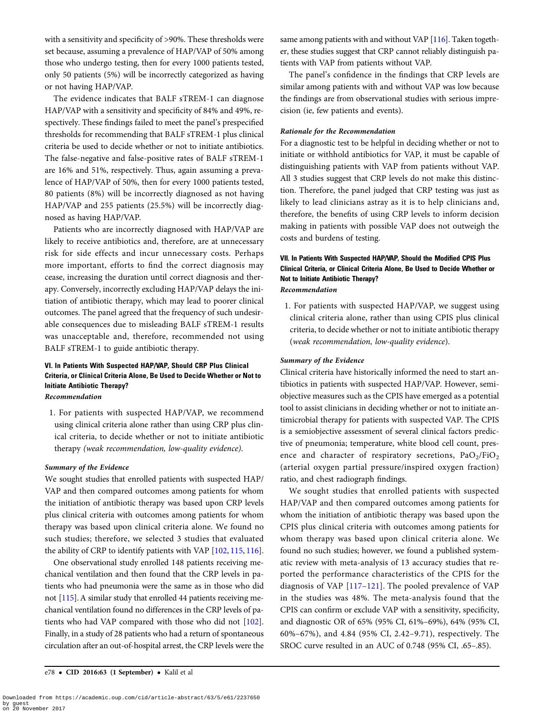with a sensitivity and specificity of >90%. These thresholds were set because, assuming a prevalence of HAP/VAP of 50% among those who undergo testing, then for every 1000 patients tested, only 50 patients (5%) will be incorrectly categorized as having or not having HAP/VAP.

The evidence indicates that BALF sTREM-1 can diagnose HAP/VAP with a sensitivity and specificity of 84% and 49%, respectively. These findings failed to meet the panel's prespecified thresholds for recommending that BALF sTREM-1 plus clinical criteria be used to decide whether or not to initiate antibiotics. The false-negative and false-positive rates of BALF sTREM-1 are 16% and 51%, respectively. Thus, again assuming a prevalence of HAP/VAP of 50%, then for every 1000 patients tested, 80 patients (8%) will be incorrectly diagnosed as not having HAP/VAP and 255 patients (25.5%) will be incorrectly diagnosed as having HAP/VAP.

Patients who are incorrectly diagnosed with HAP/VAP are likely to receive antibiotics and, therefore, are at unnecessary risk for side effects and incur unnecessary costs. Perhaps more important, efforts to find the correct diagnosis may cease, increasing the duration until correct diagnosis and therapy. Conversely, incorrectly excluding HAP/VAP delays the initiation of antibiotic therapy, which may lead to poorer clinical outcomes. The panel agreed that the frequency of such undesirable consequences due to misleading BALF sTREM-1 results was unacceptable and, therefore, recommended not using BALF sTREM-1 to guide antibiotic therapy.

# VI. In Patients With Suspected HAP/VAP, Should CRP Plus Clinical Criteria, or Clinical Criteria Alone, Be Used to Decide Whether or Not to Initiate Antibiotic Therapy?

Recommendation

1. For patients with suspected HAP/VAP, we recommend using clinical criteria alone rather than using CRP plus clinical criteria, to decide whether or not to initiate antibiotic therapy (weak recommendation, low-quality evidence).

#### Summary of the Evidence

We sought studies that enrolled patients with suspected HAP/ VAP and then compared outcomes among patients for whom the initiation of antibiotic therapy was based upon CRP levels plus clinical criteria with outcomes among patients for whom therapy was based upon clinical criteria alone. We found no such studies; therefore, we selected 3 studies that evaluated the ability of CRP to identify patients with VAP [\[102,](#page-44-0) [115](#page-45-0), [116\]](#page-45-0).

One observational study enrolled 148 patients receiving mechanical ventilation and then found that the CRP levels in patients who had pneumonia were the same as in those who did not [\[115\]](#page-45-0). A similar study that enrolled 44 patients receiving mechanical ventilation found no differences in the CRP levels of patients who had VAP compared with those who did not [[102\]](#page-44-0). Finally, in a study of 28 patients who had a return of spontaneous circulation after an out-of-hospital arrest, the CRP levels were the

e78 • CID 2016:63 (1 September) • Kalil et al

same among patients with and without VAP [[116](#page-45-0)]. Taken together, these studies suggest that CRP cannot reliably distinguish patients with VAP from patients without VAP.

The panel's confidence in the findings that CRP levels are similar among patients with and without VAP was low because the findings are from observational studies with serious imprecision (ie, few patients and events).

#### Rationale for the Recommendation

For a diagnostic test to be helpful in deciding whether or not to initiate or withhold antibiotics for VAP, it must be capable of distinguishing patients with VAP from patients without VAP. All 3 studies suggest that CRP levels do not make this distinction. Therefore, the panel judged that CRP testing was just as likely to lead clinicians astray as it is to help clinicians and, therefore, the benefits of using CRP levels to inform decision making in patients with possible VAP does not outweigh the costs and burdens of testing.

## VII. In Patients With Suspected HAP/VAP, Should the Modified CPIS Plus Clinical Criteria, or Clinical Criteria Alone, Be Used to Decide Whether or Not to Initiate Antibiotic Therapy? Recommendation

1. For patients with suspected HAP/VAP, we suggest using clinical criteria alone, rather than using CPIS plus clinical criteria, to decide whether or not to initiate antibiotic therapy (weak recommendation, low-quality evidence).

#### Summary of the Evidence

Clinical criteria have historically informed the need to start antibiotics in patients with suspected HAP/VAP. However, semiobjective measures such as the CPIS have emerged as a potential tool to assist clinicians in deciding whether or not to initiate antimicrobial therapy for patients with suspected VAP. The CPIS is a semiobjective assessment of several clinical factors predictive of pneumonia; temperature, white blood cell count, presence and character of respiratory secretions,  $PaO<sub>2</sub>/FiO<sub>2</sub>$ (arterial oxygen partial pressure/inspired oxygen fraction) ratio, and chest radiograph findings.

We sought studies that enrolled patients with suspected HAP/VAP and then compared outcomes among patients for whom the initiation of antibiotic therapy was based upon the CPIS plus clinical criteria with outcomes among patients for whom therapy was based upon clinical criteria alone. We found no such studies; however, we found a published systematic review with meta-analysis of 13 accuracy studies that reported the performance characteristics of the CPIS for the diagnosis of VAP [\[117](#page-45-0)–[121\]](#page-45-0). The pooled prevalence of VAP in the studies was 48%. The meta-analysis found that the CPIS can confirm or exclude VAP with a sensitivity, specificity, and diagnostic OR of 65% (95% CI, 61%–69%), 64% (95% CI, 60%–67%), and 4.84 (95% CI, 2.42–9.71), respectively. The SROC curve resulted in an AUC of 0.748 (95% CI, .65–.85).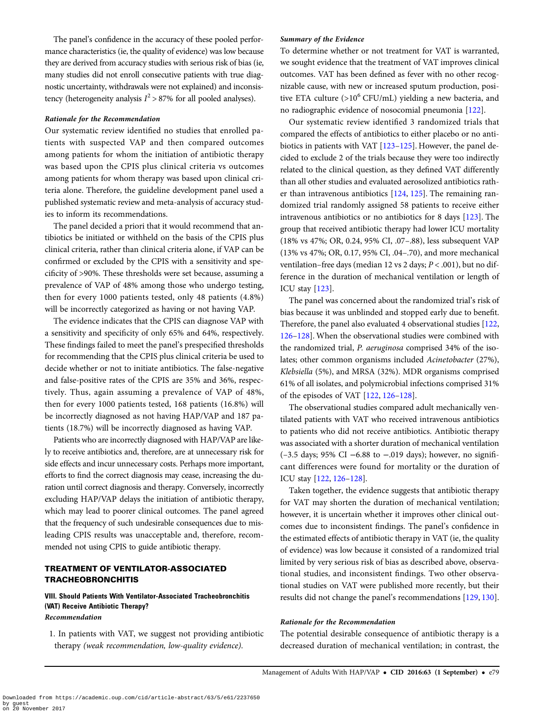The panel's confidence in the accuracy of these pooled performance characteristics (ie, the quality of evidence) was low because they are derived from accuracy studies with serious risk of bias (ie, many studies did not enroll consecutive patients with true diagnostic uncertainty, withdrawals were not explained) and inconsistency (heterogeneity analysis  $I^2 > 87\%$  for all pooled analyses).

#### Rationale for the Recommendation

Our systematic review identified no studies that enrolled patients with suspected VAP and then compared outcomes among patients for whom the initiation of antibiotic therapy was based upon the CPIS plus clinical criteria vs outcomes among patients for whom therapy was based upon clinical criteria alone. Therefore, the guideline development panel used a published systematic review and meta-analysis of accuracy studies to inform its recommendations.

The panel decided a priori that it would recommend that antibiotics be initiated or withheld on the basis of the CPIS plus clinical criteria, rather than clinical criteria alone, if VAP can be confirmed or excluded by the CPIS with a sensitivity and specificity of >90%. These thresholds were set because, assuming a prevalence of VAP of 48% among those who undergo testing, then for every 1000 patients tested, only 48 patients (4.8%) will be incorrectly categorized as having or not having VAP.

The evidence indicates that the CPIS can diagnose VAP with a sensitivity and specificity of only 65% and 64%, respectively. These findings failed to meet the panel's prespecified thresholds for recommending that the CPIS plus clinical criteria be used to decide whether or not to initiate antibiotics. The false-negative and false-positive rates of the CPIS are 35% and 36%, respectively. Thus, again assuming a prevalence of VAP of 48%, then for every 1000 patients tested, 168 patients (16.8%) will be incorrectly diagnosed as not having HAP/VAP and 187 patients (18.7%) will be incorrectly diagnosed as having VAP.

Patients who are incorrectly diagnosed with HAP/VAP are likely to receive antibiotics and, therefore, are at unnecessary risk for side effects and incur unnecessary costs. Perhaps more important, efforts to find the correct diagnosis may cease, increasing the duration until correct diagnosis and therapy. Conversely, incorrectly excluding HAP/VAP delays the initiation of antibiotic therapy, which may lead to poorer clinical outcomes. The panel agreed that the frequency of such undesirable consequences due to misleading CPIS results was unacceptable and, therefore, recommended not using CPIS to guide antibiotic therapy.

## TREATMENT OF VENTILATOR-ASSOCIATED **TRACHEOBRONCHITIS**

## VIII. Should Patients With Ventilator-Associated Tracheobronchitis (VAT) Receive Antibiotic Therapy? Recommendation

1. In patients with VAT, we suggest not providing antibiotic therapy (weak recommendation, low-quality evidence).

#### Summary of the Evidence

To determine whether or not treatment for VAT is warranted, we sought evidence that the treatment of VAT improves clinical outcomes. VAT has been defined as fever with no other recognizable cause, with new or increased sputum production, positive ETA culture ( $>10^6$  CFU/mL) yielding a new bacteria, and no radiographic evidence of nosocomial pneumonia [\[122](#page-45-0)].

Our systematic review identified 3 randomized trials that compared the effects of antibiotics to either placebo or no antibiotics in patients with VAT [[123](#page-45-0)–[125](#page-45-0)]. However, the panel decided to exclude 2 of the trials because they were too indirectly related to the clinical question, as they defined VAT differently than all other studies and evaluated aerosolized antibiotics rather than intravenous antibiotics [[124,](#page-45-0) [125\]](#page-45-0). The remaining randomized trial randomly assigned 58 patients to receive either intravenous antibiotics or no antibiotics for 8 days [\[123](#page-45-0)]. The group that received antibiotic therapy had lower ICU mortality (18% vs 47%; OR, 0.24, 95% CI, .07–.88), less subsequent VAP (13% vs 47%; OR, 0.17, 95% CI, .04–.70), and more mechanical ventilation–free days (median 12 vs 2 days; P < .001), but no difference in the duration of mechanical ventilation or length of ICU stay [[123](#page-45-0)].

The panel was concerned about the randomized trial's risk of bias because it was unblinded and stopped early due to benefit. Therefore, the panel also evaluated 4 observational studies [\[122,](#page-45-0) [126](#page-45-0)–[128](#page-45-0)]. When the observational studies were combined with the randomized trial, P. aeruginosa comprised 34% of the isolates; other common organisms included Acinetobacter (27%), Klebsiella (5%), and MRSA (32%). MDR organisms comprised 61% of all isolates, and polymicrobial infections comprised 31% of the episodes of VAT [[122](#page-45-0), [126](#page-45-0)–[128\]](#page-45-0).

The observational studies compared adult mechanically ventilated patients with VAT who received intravenous antibiotics to patients who did not receive antibiotics. Antibiotic therapy was associated with a shorter duration of mechanical ventilation (–3.5 days; 95% CI −6.88 to −.019 days); however, no significant differences were found for mortality or the duration of ICU stay [[122](#page-45-0), [126](#page-45-0)–[128\]](#page-45-0).

Taken together, the evidence suggests that antibiotic therapy for VAT may shorten the duration of mechanical ventilation; however, it is uncertain whether it improves other clinical outcomes due to inconsistent findings. The panel's confidence in the estimated effects of antibiotic therapy in VAT (ie, the quality of evidence) was low because it consisted of a randomized trial limited by very serious risk of bias as described above, observational studies, and inconsistent findings. Two other observational studies on VAT were published more recently, but their results did not change the panel's recommendations [\[129](#page-45-0), [130\]](#page-45-0).

#### Rationale for the Recommendation

The potential desirable consequence of antibiotic therapy is a decreased duration of mechanical ventilation; in contrast, the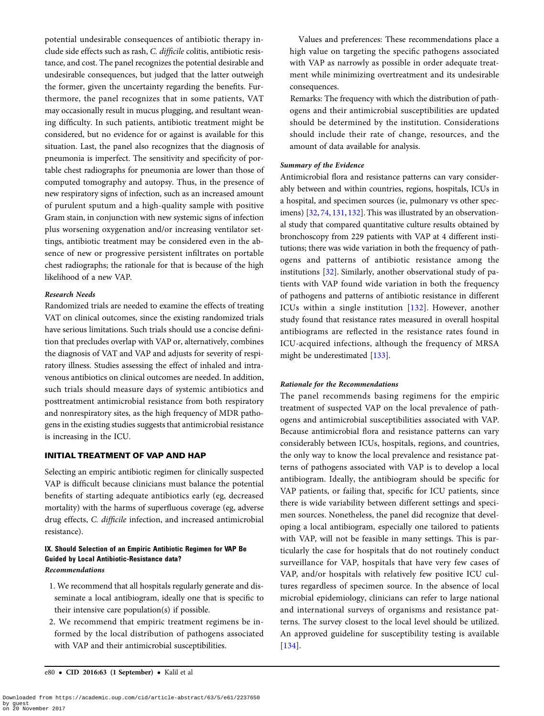potential undesirable consequences of antibiotic therapy include side effects such as rash, C. difficile colitis, antibiotic resistance, and cost. The panel recognizes the potential desirable and undesirable consequences, but judged that the latter outweigh the former, given the uncertainty regarding the benefits. Furthermore, the panel recognizes that in some patients, VAT may occasionally result in mucus plugging, and resultant weaning difficulty. In such patients, antibiotic treatment might be considered, but no evidence for or against is available for this situation. Last, the panel also recognizes that the diagnosis of pneumonia is imperfect. The sensitivity and specificity of portable chest radiographs for pneumonia are lower than those of computed tomography and autopsy. Thus, in the presence of new respiratory signs of infection, such as an increased amount of purulent sputum and a high-quality sample with positive Gram stain, in conjunction with new systemic signs of infection plus worsening oxygenation and/or increasing ventilator settings, antibiotic treatment may be considered even in the absence of new or progressive persistent infiltrates on portable chest radiographs; the rationale for that is because of the high likelihood of a new VAP.

## Research Needs

Randomized trials are needed to examine the effects of treating VAT on clinical outcomes, since the existing randomized trials have serious limitations. Such trials should use a concise definition that precludes overlap with VAP or, alternatively, combines the diagnosis of VAT and VAP and adjusts for severity of respiratory illness. Studies assessing the effect of inhaled and intravenous antibiotics on clinical outcomes are needed. In addition, such trials should measure days of systemic antibiotics and posttreatment antimicrobial resistance from both respiratory and nonrespiratory sites, as the high frequency of MDR pathogens in the existing studies suggests that antimicrobial resistance is increasing in the ICU.

## INITIAL TREATMENT OF VAP AND HAP

Selecting an empiric antibiotic regimen for clinically suspected VAP is difficult because clinicians must balance the potential benefits of starting adequate antibiotics early (eg, decreased mortality) with the harms of superfluous coverage (eg, adverse drug effects, C. difficile infection, and increased antimicrobial resistance).

## IX. Should Selection of an Empiric Antibiotic Regimen for VAP Be Guided by Local Antibiotic-Resistance data? Recommendations

- 1. We recommend that all hospitals regularly generate and disseminate a local antibiogram, ideally one that is specific to their intensive care population(s) if possible.
- 2. We recommend that empiric treatment regimens be informed by the local distribution of pathogens associated with VAP and their antimicrobial susceptibilities.

Values and preferences: These recommendations place a high value on targeting the specific pathogens associated with VAP as narrowly as possible in order adequate treatment while minimizing overtreatment and its undesirable consequences.

Remarks: The frequency with which the distribution of pathogens and their antimicrobial susceptibilities are updated should be determined by the institution. Considerations should include their rate of change, resources, and the amount of data available for analysis.

## Summary of the Evidence

Antimicrobial flora and resistance patterns can vary considerably between and within countries, regions, hospitals, ICUs in a hospital, and specimen sources (ie, pulmonary vs other specimens) [\[32,](#page-43-0) [74](#page-44-0), [131](#page-45-0), [132\]](#page-45-0). This was illustrated by an observational study that compared quantitative culture results obtained by bronchoscopy from 229 patients with VAP at 4 different institutions; there was wide variation in both the frequency of pathogens and patterns of antibiotic resistance among the institutions [[32\]](#page-43-0). Similarly, another observational study of patients with VAP found wide variation in both the frequency of pathogens and patterns of antibiotic resistance in different ICUs within a single institution [[132](#page-45-0)]. However, another study found that resistance rates measured in overall hospital antibiograms are reflected in the resistance rates found in ICU-acquired infections, although the frequency of MRSA might be underestimated [\[133](#page-45-0)].

## Rationale for the Recommendations

The panel recommends basing regimens for the empiric treatment of suspected VAP on the local prevalence of pathogens and antimicrobial susceptibilities associated with VAP. Because antimicrobial flora and resistance patterns can vary considerably between ICUs, hospitals, regions, and countries, the only way to know the local prevalence and resistance patterns of pathogens associated with VAP is to develop a local antibiogram. Ideally, the antibiogram should be specific for VAP patients, or failing that, specific for ICU patients, since there is wide variability between different settings and specimen sources. Nonetheless, the panel did recognize that developing a local antibiogram, especially one tailored to patients with VAP, will not be feasible in many settings. This is particularly the case for hospitals that do not routinely conduct surveillance for VAP, hospitals that have very few cases of VAP, and/or hospitals with relatively few positive ICU cultures regardless of specimen source. In the absence of local microbial epidemiology, clinicians can refer to large national and international surveys of organisms and resistance patterns. The survey closest to the local level should be utilized. An approved guideline for susceptibility testing is available [\[134](#page-45-0)].

e80 • CID 2016:63 (1 September) • Kalil et al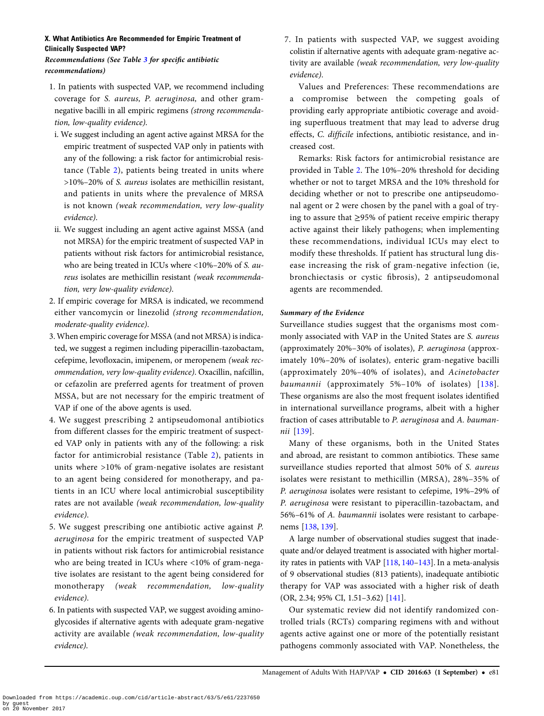## X. What Antibiotics Are Recommended for Empiric Treatment of Clinically Suspected VAP?

## Recommendations (See Table [3](#page-3-0) for specific antibiotic recommendations)

- 1. In patients with suspected VAP, we recommend including coverage for S. aureus, P. aeruginosa, and other gramnegative bacilli in all empiric regimens (strong recommendation, low-quality evidence).
- i. We suggest including an agent active against MRSA for the empiric treatment of suspected VAP only in patients with any of the following: a risk factor for antimicrobial resistance (Table [2\)](#page-2-0), patients being treated in units where >10%–20% of S. aureus isolates are methicillin resistant, and patients in units where the prevalence of MRSA is not known (weak recommendation, very low-quality evidence).
- ii. We suggest including an agent active against MSSA (and not MRSA) for the empiric treatment of suspected VAP in patients without risk factors for antimicrobial resistance, who are being treated in ICUs where <10%–20% of S. aureus isolates are methicillin resistant (weak recommendation, very low-quality evidence).
- 2. If empiric coverage for MRSA is indicated, we recommend either vancomycin or linezolid (strong recommendation, moderate-quality evidence).
- 3. When empiric coverage for MSSA (and not MRSA) is indicated, we suggest a regimen including piperacillin-tazobactam, cefepime, levofloxacin, imipenem, or meropenem (weak recommendation, very low-quality evidence). Oxacillin, nafcillin, or cefazolin are preferred agents for treatment of proven MSSA, but are not necessary for the empiric treatment of VAP if one of the above agents is used.
- 4. We suggest prescribing 2 antipseudomonal antibiotics from different classes for the empiric treatment of suspected VAP only in patients with any of the following: a risk factor for antimicrobial resistance (Table [2](#page-2-0)), patients in units where >10% of gram-negative isolates are resistant to an agent being considered for monotherapy, and patients in an ICU where local antimicrobial susceptibility rates are not available (weak recommendation, low-quality evidence).
- 5. We suggest prescribing one antibiotic active against P. aeruginosa for the empiric treatment of suspected VAP in patients without risk factors for antimicrobial resistance who are being treated in ICUs where <10% of gram-negative isolates are resistant to the agent being considered for monotherapy (weak recommendation, low-quality evidence).
- 6. In patients with suspected VAP, we suggest avoiding aminoglycosides if alternative agents with adequate gram-negative activity are available (weak recommendation, low-quality evidence).

7. In patients with suspected VAP, we suggest avoiding colistin if alternative agents with adequate gram-negative activity are available (weak recommendation, very low-quality evidence).

Values and Preferences: These recommendations are a compromise between the competing goals of providing early appropriate antibiotic coverage and avoiding superfluous treatment that may lead to adverse drug effects, C. difficile infections, antibiotic resistance, and increased cost.

Remarks: Risk factors for antimicrobial resistance are provided in Table [2.](#page-2-0) The 10%–20% threshold for deciding whether or not to target MRSA and the 10% threshold for deciding whether or not to prescribe one antipseudomonal agent or 2 were chosen by the panel with a goal of trying to assure that ≥95% of patient receive empiric therapy active against their likely pathogens; when implementing these recommendations, individual ICUs may elect to modify these thresholds. If patient has structural lung disease increasing the risk of gram-negative infection (ie, bronchiectasis or cystic fibrosis), 2 antipseudomonal agents are recommended.

## Summary of the Evidence

Surveillance studies suggest that the organisms most commonly associated with VAP in the United States are S. aureus (approximately 20%–30% of isolates), P. aeruginosa (approximately 10%–20% of isolates), enteric gram-negative bacilli (approximately 20%–40% of isolates), and Acinetobacter baumannii (approximately  $5\% - 10\%$  of isolates) [\[138](#page-45-0)]. These organisms are also the most frequent isolates identified in international surveillance programs, albeit with a higher fraction of cases attributable to P. aeruginosa and A. baumannii [[139\]](#page-45-0).

Many of these organisms, both in the United States and abroad, are resistant to common antibiotics. These same surveillance studies reported that almost 50% of S. aureus isolates were resistant to methicillin (MRSA), 28%–35% of P. aeruginosa isolates were resistant to cefepime, 19%–29% of P. aeruginosa were resistant to piperacillin-tazobactam, and 56%–61% of A. baumannii isolates were resistant to carbapenems [\[138](#page-45-0), [139\]](#page-45-0).

A large number of observational studies suggest that inadequate and/or delayed treatment is associated with higher mortality rates in patients with VAP [\[118,](#page-45-0) [140](#page-45-0)–[143](#page-45-0)]. In a meta-analysis of 9 observational studies (813 patients), inadequate antibiotic therapy for VAP was associated with a higher risk of death (OR, 2.34; 95% CI, 1.51–3.62) [\[141\]](#page-45-0).

Our systematic review did not identify randomized controlled trials (RCTs) comparing regimens with and without agents active against one or more of the potentially resistant pathogens commonly associated with VAP. Nonetheless, the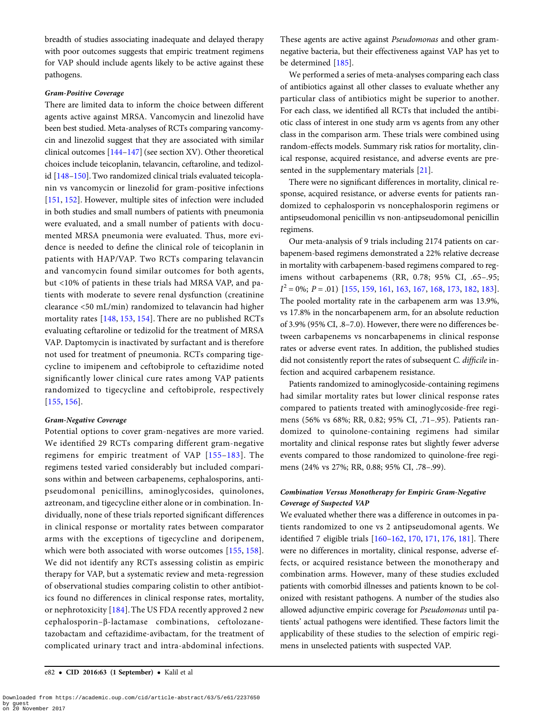breadth of studies associating inadequate and delayed therapy with poor outcomes suggests that empiric treatment regimens for VAP should include agents likely to be active against these pathogens.

## Gram-Positive Coverage

There are limited data to inform the choice between different agents active against MRSA. Vancomycin and linezolid have been best studied. Meta-analyses of RCTs comparing vancomycin and linezolid suggest that they are associated with similar clinical outcomes [\[144](#page-45-0)–[147](#page-45-0)] (see section XV). Other theoretical choices include teicoplanin, telavancin, ceftaroline, and tedizolid [[148](#page-45-0)–[150\]](#page-45-0). Two randomized clinical trials evaluated teicoplanin vs vancomycin or linezolid for gram-positive infections [\[151](#page-45-0), [152](#page-46-0)]. However, multiple sites of infection were included in both studies and small numbers of patients with pneumonia were evaluated, and a small number of patients with documented MRSA pneumonia were evaluated. Thus, more evidence is needed to define the clinical role of teicoplanin in patients with HAP/VAP. Two RCTs comparing telavancin and vancomycin found similar outcomes for both agents, but <10% of patients in these trials had MRSA VAP, and patients with moderate to severe renal dysfunction (creatinine clearance <50 mL/min) randomized to telavancin had higher mortality rates [[148,](#page-45-0) [153](#page-46-0), [154\]](#page-46-0). There are no published RCTs evaluating ceftaroline or tedizolid for the treatment of MRSA VAP. Daptomycin is inactivated by surfactant and is therefore not used for treatment of pneumonia. RCTs comparing tigecycline to imipenem and ceftobiprole to ceftazidime noted significantly lower clinical cure rates among VAP patients randomized to tigecycline and ceftobiprole, respectively [\[155](#page-46-0), [156\]](#page-46-0).

#### Gram-Negative Coverage

Potential options to cover gram-negatives are more varied. We identified 29 RCTs comparing different gram-negative regimens for empiric treatment of VAP [[155](#page-46-0)–[183](#page-46-0)]. The regimens tested varied considerably but included comparisons within and between carbapenems, cephalosporins, antipseudomonal penicillins, aminoglycosides, quinolones, aztreonam, and tigecycline either alone or in combination. Individually, none of these trials reported significant differences in clinical response or mortality rates between comparator arms with the exceptions of tigecycline and doripenem, which were both associated with worse outcomes [[155,](#page-46-0) [158](#page-46-0)]. We did not identify any RCTs assessing colistin as empiric therapy for VAP, but a systematic review and meta-regression of observational studies comparing colistin to other antibiotics found no differences in clinical response rates, mortality, or nephrotoxicity [[184](#page-46-0)]. The US FDA recently approved 2 new cephalosporin–β-lactamase combinations, ceftolozanetazobactam and ceftazidime-avibactam, for the treatment of complicated urinary tract and intra-abdominal infections. These agents are active against Pseudomonas and other gramnegative bacteria, but their effectiveness against VAP has yet to be determined [\[185\]](#page-46-0).

We performed a series of meta-analyses comparing each class of antibiotics against all other classes to evaluate whether any particular class of antibiotics might be superior to another. For each class, we identified all RCTs that included the antibiotic class of interest in one study arm vs agents from any other class in the comparison arm. These trials were combined using random-effects models. Summary risk ratios for mortality, clinical response, acquired resistance, and adverse events are presented in the supplementary materials [\[21](#page-43-0)].

There were no significant differences in mortality, clinical response, acquired resistance, or adverse events for patients randomized to cephalosporin vs noncephalosporin regimens or antipseudomonal penicillin vs non-antipseudomonal penicillin regimens.

Our meta-analysis of 9 trials including 2174 patients on carbapenem-based regimens demonstrated a 22% relative decrease in mortality with carbapenem-based regimens compared to regimens without carbapenems (RR, 0.78; 95% CI, .65–.95;  $I^2 = 0\%$ ; P = .01) [[155](#page-46-0), [159,](#page-46-0) [161](#page-46-0), [163](#page-46-0), [167,](#page-46-0) [168](#page-46-0), [173](#page-46-0), [182,](#page-46-0) [183](#page-46-0)]. The pooled mortality rate in the carbapenem arm was 13.9%, vs 17.8% in the noncarbapenem arm, for an absolute reduction of 3.9% (95% CI, .8–7.0). However, there were no differences between carbapenems vs noncarbapenems in clinical response rates or adverse event rates. In addition, the published studies did not consistently report the rates of subsequent C. difficile infection and acquired carbapenem resistance.

Patients randomized to aminoglycoside-containing regimens had similar mortality rates but lower clinical response rates compared to patients treated with aminoglycoside-free regimens (56% vs 68%; RR, 0.82; 95% CI, .71–.95). Patients randomized to quinolone-containing regimens had similar mortality and clinical response rates but slightly fewer adverse events compared to those randomized to quinolone-free regimens (24% vs 27%; RR, 0.88; 95% CI, .78–.99).

# Combination Versus Monotherapy for Empiric Gram-Negative Coverage of Suspected VAP

We evaluated whether there was a difference in outcomes in patients randomized to one vs 2 antipseudomonal agents. We identified 7 eligible trials [[160](#page-46-0)–[162](#page-46-0), [170](#page-46-0), [171,](#page-46-0) [176,](#page-46-0) [181](#page-46-0)]. There were no differences in mortality, clinical response, adverse effects, or acquired resistance between the monotherapy and combination arms. However, many of these studies excluded patients with comorbid illnesses and patients known to be colonized with resistant pathogens. A number of the studies also allowed adjunctive empiric coverage for Pseudomonas until patients' actual pathogens were identified. These factors limit the applicability of these studies to the selection of empiric regimens in unselected patients with suspected VAP.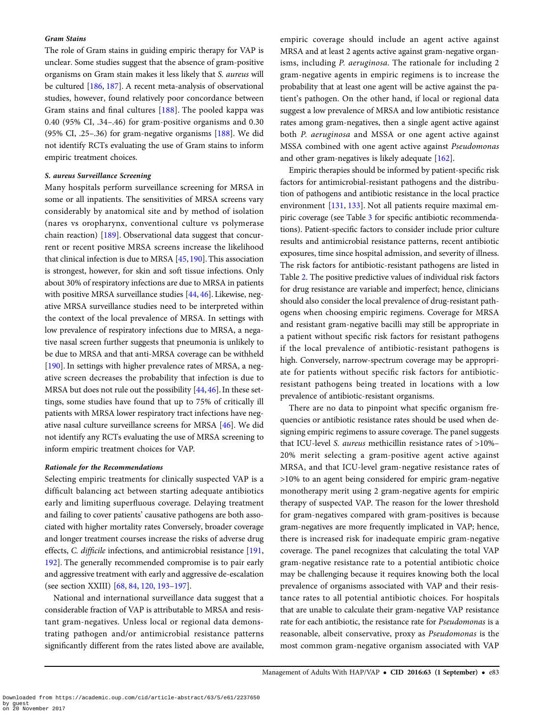#### Gram Stains

The role of Gram stains in guiding empiric therapy for VAP is unclear. Some studies suggest that the absence of gram-positive organisms on Gram stain makes it less likely that S. aureus will be cultured [[186,](#page-46-0) [187\]](#page-46-0). A recent meta-analysis of observational studies, however, found relatively poor concordance between Gram stains and final cultures [\[188\]](#page-46-0). The pooled kappa was 0.40 (95% CI, .34–.46) for gram-positive organisms and 0.30 (95% CI, .25–.36) for gram-negative organisms [\[188](#page-46-0)]. We did not identify RCTs evaluating the use of Gram stains to inform empiric treatment choices.

#### S. aureus Surveillance Screening

Many hospitals perform surveillance screening for MRSA in some or all inpatients. The sensitivities of MRSA screens vary considerably by anatomical site and by method of isolation (nares vs oropharynx, conventional culture vs polymerase chain reaction) [\[189\]](#page-46-0). Observational data suggest that concurrent or recent positive MRSA screens increase the likelihood that clinical infection is due to MRSA [[45,](#page-43-0) [190\]](#page-46-0). This association is strongest, however, for skin and soft tissue infections. Only about 30% of respiratory infections are due to MRSA in patients with positive MRSA surveillance studies [[44,](#page-43-0) [46\]](#page-43-0). Likewise, negative MRSA surveillance studies need to be interpreted within the context of the local prevalence of MRSA. In settings with low prevalence of respiratory infections due to MRSA, a negative nasal screen further suggests that pneumonia is unlikely to be due to MRSA and that anti-MRSA coverage can be withheld [\[190\]](#page-46-0). In settings with higher prevalence rates of MRSA, a negative screen decreases the probability that infection is due to MRSA but does not rule out the possibility [\[44](#page-43-0), [46\]](#page-43-0). In these settings, some studies have found that up to 75% of critically ill patients with MRSA lower respiratory tract infections have negative nasal culture surveillance screens for MRSA [[46\]](#page-43-0). We did not identify any RCTs evaluating the use of MRSA screening to inform empiric treatment choices for VAP.

#### Rationale for the Recommendations

Selecting empiric treatments for clinically suspected VAP is a difficult balancing act between starting adequate antibiotics early and limiting superfluous coverage. Delaying treatment and failing to cover patients' causative pathogens are both associated with higher mortality rates Conversely, broader coverage and longer treatment courses increase the risks of adverse drug effects, C. difficile infections, and antimicrobial resistance [\[191,](#page-46-0) [192\]](#page-46-0). The generally recommended compromise is to pair early and aggressive treatment with early and aggressive de-escalation (see section XXIII) [\[68](#page-44-0), [84,](#page-44-0) [120](#page-45-0), [193](#page-46-0)–[197\]](#page-47-0).

National and international surveillance data suggest that a considerable fraction of VAP is attributable to MRSA and resistant gram-negatives. Unless local or regional data demonstrating pathogen and/or antimicrobial resistance patterns significantly different from the rates listed above are available,

empiric coverage should include an agent active against MRSA and at least 2 agents active against gram-negative organisms, including P. aeruginosa. The rationale for including 2 gram-negative agents in empiric regimens is to increase the probability that at least one agent will be active against the patient's pathogen. On the other hand, if local or regional data suggest a low prevalence of MRSA and low antibiotic resistance rates among gram-negatives, then a single agent active against both P. aeruginosa and MSSA or one agent active against MSSA combined with one agent active against Pseudomonas and other gram-negatives is likely adequate [\[162](#page-46-0)].

Empiric therapies should be informed by patient-specific risk factors for antimicrobial-resistant pathogens and the distribution of pathogens and antibiotic resistance in the local practice environment [[131](#page-45-0), [133\]](#page-45-0). Not all patients require maximal empiric coverage (see Table [3](#page-3-0) for specific antibiotic recommendations). Patient-specific factors to consider include prior culture results and antimicrobial resistance patterns, recent antibiotic exposures, time since hospital admission, and severity of illness. The risk factors for antibiotic-resistant pathogens are listed in Table [2.](#page-2-0) The positive predictive values of individual risk factors for drug resistance are variable and imperfect; hence, clinicians should also consider the local prevalence of drug-resistant pathogens when choosing empiric regimens. Coverage for MRSA and resistant gram-negative bacilli may still be appropriate in a patient without specific risk factors for resistant pathogens if the local prevalence of antibiotic-resistant pathogens is high. Conversely, narrow-spectrum coverage may be appropriate for patients without specific risk factors for antibioticresistant pathogens being treated in locations with a low prevalence of antibiotic-resistant organisms.

There are no data to pinpoint what specific organism frequencies or antibiotic resistance rates should be used when designing empiric regimens to assure coverage. The panel suggests that ICU-level S. aureus methicillin resistance rates of >10%– 20% merit selecting a gram-positive agent active against MRSA, and that ICU-level gram-negative resistance rates of >10% to an agent being considered for empiric gram-negative monotherapy merit using 2 gram-negative agents for empiric therapy of suspected VAP. The reason for the lower threshold for gram-negatives compared with gram-positives is because gram-negatives are more frequently implicated in VAP; hence, there is increased risk for inadequate empiric gram-negative coverage. The panel recognizes that calculating the total VAP gram-negative resistance rate to a potential antibiotic choice may be challenging because it requires knowing both the local prevalence of organisms associated with VAP and their resistance rates to all potential antibiotic choices. For hospitals that are unable to calculate their gram-negative VAP resistance rate for each antibiotic, the resistance rate for Pseudomonas is a reasonable, albeit conservative, proxy as Pseudomonas is the most common gram-negative organism associated with VAP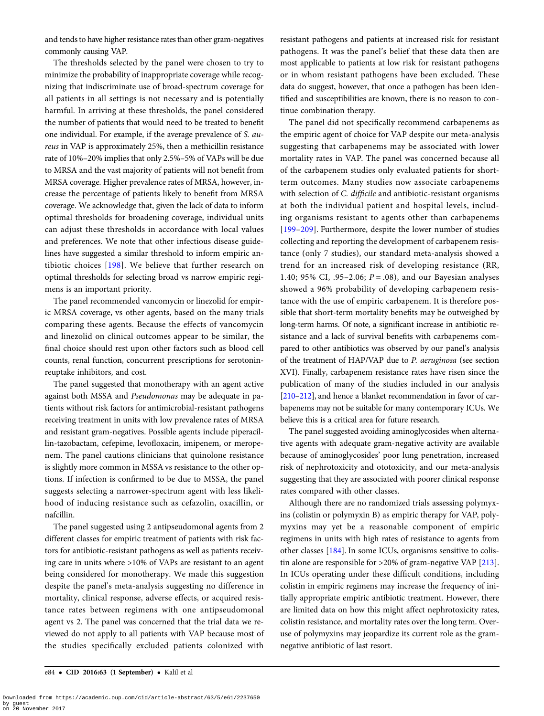and tends to have higher resistance rates than other gram-negatives commonly causing VAP.

The thresholds selected by the panel were chosen to try to minimize the probability of inappropriate coverage while recognizing that indiscriminate use of broad-spectrum coverage for all patients in all settings is not necessary and is potentially harmful. In arriving at these thresholds, the panel considered the number of patients that would need to be treated to benefit one individual. For example, if the average prevalence of S. aureus in VAP is approximately 25%, then a methicillin resistance rate of 10%–20% implies that only 2.5%–5% of VAPs will be due to MRSA and the vast majority of patients will not benefit from MRSA coverage. Higher prevalence rates of MRSA, however, increase the percentage of patients likely to benefit from MRSA coverage. We acknowledge that, given the lack of data to inform optimal thresholds for broadening coverage, individual units can adjust these thresholds in accordance with local values and preferences. We note that other infectious disease guidelines have suggested a similar threshold to inform empiric antibiotic choices [[198](#page-47-0)]. We believe that further research on optimal thresholds for selecting broad vs narrow empiric regimens is an important priority.

The panel recommended vancomycin or linezolid for empiric MRSA coverage, vs other agents, based on the many trials comparing these agents. Because the effects of vancomycin and linezolid on clinical outcomes appear to be similar, the final choice should rest upon other factors such as blood cell counts, renal function, concurrent prescriptions for serotoninreuptake inhibitors, and cost.

The panel suggested that monotherapy with an agent active against both MSSA and Pseudomonas may be adequate in patients without risk factors for antimicrobial-resistant pathogens receiving treatment in units with low prevalence rates of MRSA and resistant gram-negatives. Possible agents include piperacillin-tazobactam, cefepime, levofloxacin, imipenem, or meropenem. The panel cautions clinicians that quinolone resistance is slightly more common in MSSA vs resistance to the other options. If infection is confirmed to be due to MSSA, the panel suggests selecting a narrower-spectrum agent with less likelihood of inducing resistance such as cefazolin, oxacillin, or nafcillin.

The panel suggested using 2 antipseudomonal agents from 2 different classes for empiric treatment of patients with risk factors for antibiotic-resistant pathogens as well as patients receiving care in units where >10% of VAPs are resistant to an agent being considered for monotherapy. We made this suggestion despite the panel's meta-analysis suggesting no difference in mortality, clinical response, adverse effects, or acquired resistance rates between regimens with one antipseudomonal agent vs 2. The panel was concerned that the trial data we reviewed do not apply to all patients with VAP because most of the studies specifically excluded patients colonized with resistant pathogens and patients at increased risk for resistant pathogens. It was the panel's belief that these data then are most applicable to patients at low risk for resistant pathogens or in whom resistant pathogens have been excluded. These data do suggest, however, that once a pathogen has been identified and susceptibilities are known, there is no reason to continue combination therapy.

The panel did not specifically recommend carbapenems as the empiric agent of choice for VAP despite our meta-analysis suggesting that carbapenems may be associated with lower mortality rates in VAP. The panel was concerned because all of the carbapenem studies only evaluated patients for shortterm outcomes. Many studies now associate carbapenems with selection of C. difficile and antibiotic-resistant organisms at both the individual patient and hospital levels, including organisms resistant to agents other than carbapenems [\[199](#page-47-0)–[209](#page-47-0)]. Furthermore, despite the lower number of studies collecting and reporting the development of carbapenem resistance (only 7 studies), our standard meta-analysis showed a trend for an increased risk of developing resistance (RR, 1.40; 95% CI, .95–2.06;  $P = .08$ ), and our Bayesian analyses showed a 96% probability of developing carbapenem resistance with the use of empiric carbapenem. It is therefore possible that short-term mortality benefits may be outweighed by long-term harms. Of note, a significant increase in antibiotic resistance and a lack of survival benefits with carbapenems compared to other antibiotics was observed by our panel's analysis of the treatment of HAP/VAP due to P. aeruginosa (see section XVI). Finally, carbapenem resistance rates have risen since the publication of many of the studies included in our analysis [\[210](#page-47-0)–[212](#page-47-0)], and hence a blanket recommendation in favor of carbapenems may not be suitable for many contemporary ICUs. We believe this is a critical area for future research.

The panel suggested avoiding aminoglycosides when alternative agents with adequate gram-negative activity are available because of aminoglycosides' poor lung penetration, increased risk of nephrotoxicity and ototoxicity, and our meta-analysis suggesting that they are associated with poorer clinical response rates compared with other classes.

Although there are no randomized trials assessing polymyxins (colistin or polymyxin B) as empiric therapy for VAP, polymyxins may yet be a reasonable component of empiric regimens in units with high rates of resistance to agents from other classes [\[184\]](#page-46-0). In some ICUs, organisms sensitive to colistin alone are responsible for >20% of gram-negative VAP [[213\]](#page-47-0). In ICUs operating under these difficult conditions, including colistin in empiric regimens may increase the frequency of initially appropriate empiric antibiotic treatment. However, there are limited data on how this might affect nephrotoxicity rates, colistin resistance, and mortality rates over the long term. Overuse of polymyxins may jeopardize its current role as the gramnegative antibiotic of last resort.

e84 • CID 2016:63 (1 September) • Kalil et al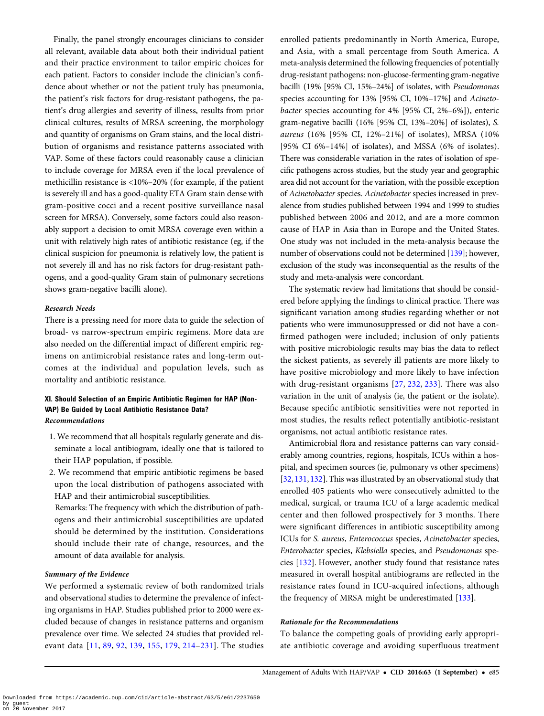Finally, the panel strongly encourages clinicians to consider all relevant, available data about both their individual patient and their practice environment to tailor empiric choices for each patient. Factors to consider include the clinician's confidence about whether or not the patient truly has pneumonia, the patient's risk factors for drug-resistant pathogens, the patient's drug allergies and severity of illness, results from prior clinical cultures, results of MRSA screening, the morphology and quantity of organisms on Gram stains, and the local distribution of organisms and resistance patterns associated with VAP. Some of these factors could reasonably cause a clinician to include coverage for MRSA even if the local prevalence of methicillin resistance is <10%–20% (for example, if the patient is severely ill and has a good-quality ETA Gram stain dense with gram-positive cocci and a recent positive surveillance nasal screen for MRSA). Conversely, some factors could also reasonably support a decision to omit MRSA coverage even within a unit with relatively high rates of antibiotic resistance (eg, if the clinical suspicion for pneumonia is relatively low, the patient is not severely ill and has no risk factors for drug-resistant pathogens, and a good-quality Gram stain of pulmonary secretions shows gram-negative bacilli alone).

#### Research Needs

There is a pressing need for more data to guide the selection of broad- vs narrow-spectrum empiric regimens. More data are also needed on the differential impact of different empiric regimens on antimicrobial resistance rates and long-term outcomes at the individual and population levels, such as mortality and antibiotic resistance.

## XI. Should Selection of an Empiric Antibiotic Regimen for HAP (Non-VAP) Be Guided by Local Antibiotic Resistance Data? Recommendations

- 1. We recommend that all hospitals regularly generate and disseminate a local antibiogram, ideally one that is tailored to their HAP population, if possible.
- 2. We recommend that empiric antibiotic regimens be based upon the local distribution of pathogens associated with HAP and their antimicrobial susceptibilities.

Remarks: The frequency with which the distribution of pathogens and their antimicrobial susceptibilities are updated should be determined by the institution. Considerations should include their rate of change, resources, and the amount of data available for analysis.

## Summary of the Evidence

We performed a systematic review of both randomized trials and observational studies to determine the prevalence of infecting organisms in HAP. Studies published prior to 2000 were excluded because of changes in resistance patterns and organism prevalence over time. We selected 24 studies that provided relevant data [[11](#page-43-0), [89,](#page-44-0) [92](#page-44-0), [139,](#page-45-0) [155](#page-46-0), [179](#page-46-0), [214](#page-47-0)–[231](#page-47-0)]. The studies enrolled patients predominantly in North America, Europe, and Asia, with a small percentage from South America. A meta-analysis determined the following frequencies of potentially drug-resistant pathogens: non-glucose-fermenting gram-negative bacilli (19% [95% CI, 15%–24%] of isolates, with Pseudomonas species accounting for 13% [95% CI, 10%–17%] and Acinetobacter species accounting for 4% [95% CI, 2%–6%]), enteric gram-negative bacilli (16% [95% CI, 13%–20%] of isolates), S. aureus (16% [95% CI, 12%–21%] of isolates), MRSA (10% [95% CI 6%–14%] of isolates), and MSSA (6% of isolates). There was considerable variation in the rates of isolation of specific pathogens across studies, but the study year and geographic area did not account for the variation, with the possible exception of Acinetobacter species. Acinetobacter species increased in prevalence from studies published between 1994 and 1999 to studies published between 2006 and 2012, and are a more common cause of HAP in Asia than in Europe and the United States. One study was not included in the meta-analysis because the number of observations could not be determined [\[139\]](#page-45-0); however, exclusion of the study was inconsequential as the results of the study and meta-analysis were concordant.

The systematic review had limitations that should be considered before applying the findings to clinical practice. There was significant variation among studies regarding whether or not patients who were immunosuppressed or did not have a confirmed pathogen were included; inclusion of only patients with positive microbiologic results may bias the data to reflect the sickest patients, as severely ill patients are more likely to have positive microbiology and more likely to have infection with drug-resistant organisms [[27](#page-43-0), [232](#page-47-0), [233\]](#page-47-0). There was also variation in the unit of analysis (ie, the patient or the isolate). Because specific antibiotic sensitivities were not reported in most studies, the results reflect potentially antibiotic-resistant organisms, not actual antibiotic resistance rates.

Antimicrobial flora and resistance patterns can vary considerably among countries, regions, hospitals, ICUs within a hospital, and specimen sources (ie, pulmonary vs other specimens) [\[32](#page-43-0), [131](#page-45-0), [132](#page-45-0)]. This was illustrated by an observational study that enrolled 405 patients who were consecutively admitted to the medical, surgical, or trauma ICU of a large academic medical center and then followed prospectively for 3 months. There were significant differences in antibiotic susceptibility among ICUs for S. aureus, Enterococcus species, Acinetobacter species, Enterobacter species, Klebsiella species, and Pseudomonas species [\[132](#page-45-0)]. However, another study found that resistance rates measured in overall hospital antibiograms are reflected in the resistance rates found in ICU-acquired infections, although the frequency of MRSA might be underestimated [\[133](#page-45-0)].

#### Rationale for the Recommendations

To balance the competing goals of providing early appropriate antibiotic coverage and avoiding superfluous treatment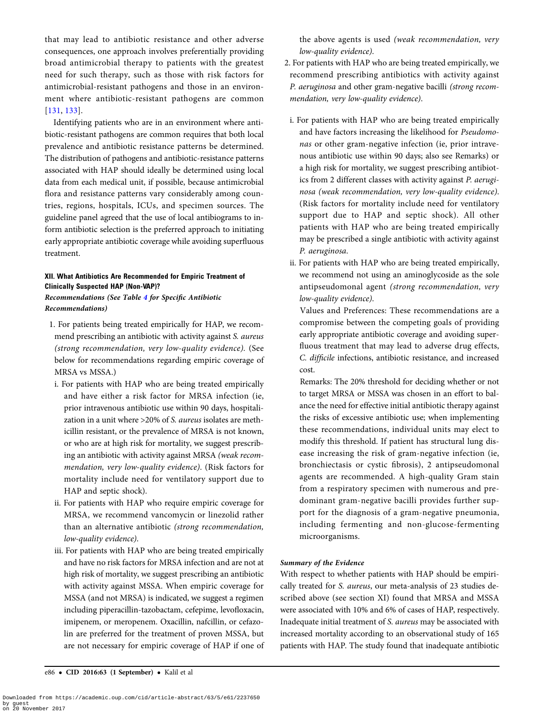that may lead to antibiotic resistance and other adverse consequences, one approach involves preferentially providing broad antimicrobial therapy to patients with the greatest need for such therapy, such as those with risk factors for antimicrobial-resistant pathogens and those in an environment where antibiotic-resistant pathogens are common [\[131](#page-45-0), [133\]](#page-45-0).

Identifying patients who are in an environment where antibiotic-resistant pathogens are common requires that both local prevalence and antibiotic resistance patterns be determined. The distribution of pathogens and antibiotic-resistance patterns associated with HAP should ideally be determined using local data from each medical unit, if possible, because antimicrobial flora and resistance patterns vary considerably among countries, regions, hospitals, ICUs, and specimen sources. The guideline panel agreed that the use of local antibiograms to inform antibiotic selection is the preferred approach to initiating early appropriate antibiotic coverage while avoiding superfluous treatment.

# XII. What Antibiotics Are Recommended for Empiric Treatment of Clinically Suspected HAP (Non-VAP)?

Recommendations (See Table [4](#page-4-0) for Specific Antibiotic Recommendations)

- 1. For patients being treated empirically for HAP, we recommend prescribing an antibiotic with activity against S. aureus (strong recommendation, very low-quality evidence). (See below for recommendations regarding empiric coverage of MRSA vs MSSA.)
- i. For patients with HAP who are being treated empirically and have either a risk factor for MRSA infection (ie, prior intravenous antibiotic use within 90 days, hospitalization in a unit where >20% of S. aureus isolates are methicillin resistant, or the prevalence of MRSA is not known, or who are at high risk for mortality, we suggest prescribing an antibiotic with activity against MRSA (weak recommendation, very low-quality evidence). (Risk factors for mortality include need for ventilatory support due to HAP and septic shock).
- ii. For patients with HAP who require empiric coverage for MRSA, we recommend vancomycin or linezolid rather than an alternative antibiotic (strong recommendation, low-quality evidence).
- iii. For patients with HAP who are being treated empirically and have no risk factors for MRSA infection and are not at high risk of mortality, we suggest prescribing an antibiotic with activity against MSSA. When empiric coverage for MSSA (and not MRSA) is indicated, we suggest a regimen including piperacillin-tazobactam, cefepime, levofloxacin, imipenem, or meropenem. Oxacillin, nafcillin, or cefazolin are preferred for the treatment of proven MSSA, but are not necessary for empiric coverage of HAP if one of

the above agents is used (weak recommendation, very low-quality evidence).

- 2. For patients with HAP who are being treated empirically, we recommend prescribing antibiotics with activity against P. aeruginosa and other gram-negative bacilli (strong recommendation, very low-quality evidence).
- i. For patients with HAP who are being treated empirically and have factors increasing the likelihood for Pseudomonas or other gram-negative infection (ie, prior intravenous antibiotic use within 90 days; also see Remarks) or a high risk for mortality, we suggest prescribing antibiotics from 2 different classes with activity against P. aeruginosa (weak recommendation, very low-quality evidence). (Risk factors for mortality include need for ventilatory support due to HAP and septic shock). All other patients with HAP who are being treated empirically may be prescribed a single antibiotic with activity against P. aeruginosa.
- ii. For patients with HAP who are being treated empirically, we recommend not using an aminoglycoside as the sole antipseudomonal agent (strong recommendation, very low-quality evidence).

Values and Preferences: These recommendations are a compromise between the competing goals of providing early appropriate antibiotic coverage and avoiding superfluous treatment that may lead to adverse drug effects, C. difficile infections, antibiotic resistance, and increased cost.

Remarks: The 20% threshold for deciding whether or not to target MRSA or MSSA was chosen in an effort to balance the need for effective initial antibiotic therapy against the risks of excessive antibiotic use; when implementing these recommendations, individual units may elect to modify this threshold. If patient has structural lung disease increasing the risk of gram-negative infection (ie, bronchiectasis or cystic fibrosis), 2 antipseudomonal agents are recommended. A high-quality Gram stain from a respiratory specimen with numerous and predominant gram-negative bacilli provides further support for the diagnosis of a gram-negative pneumonia, including fermenting and non-glucose-fermenting microorganisms.

## Summary of the Evidence

With respect to whether patients with HAP should be empirically treated for S. aureus, our meta-analysis of 23 studies described above (see section XI) found that MRSA and MSSA were associated with 10% and 6% of cases of HAP, respectively. Inadequate initial treatment of S. aureus may be associated with increased mortality according to an observational study of 165 patients with HAP. The study found that inadequate antibiotic

e86 • CID 2016:63 (1 September) • Kalil et al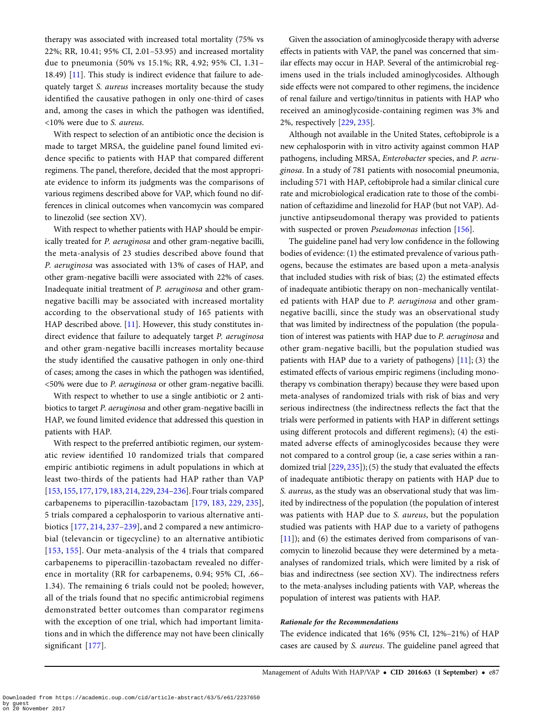therapy was associated with increased total mortality (75% vs 22%; RR, 10.41; 95% CI, 2.01–53.95) and increased mortality due to pneumonia (50% vs 15.1%; RR, 4.92; 95% CI, 1.31– 18.49) [[11\]](#page-43-0). This study is indirect evidence that failure to adequately target S. aureus increases mortality because the study identified the causative pathogen in only one-third of cases and, among the cases in which the pathogen was identified, <10% were due to S. aureus.

With respect to selection of an antibiotic once the decision is made to target MRSA, the guideline panel found limited evidence specific to patients with HAP that compared different regimens. The panel, therefore, decided that the most appropriate evidence to inform its judgments was the comparisons of various regimens described above for VAP, which found no differences in clinical outcomes when vancomycin was compared to linezolid (see section XV).

With respect to whether patients with HAP should be empirically treated for P. aeruginosa and other gram-negative bacilli, the meta-analysis of 23 studies described above found that P. aeruginosa was associated with 13% of cases of HAP, and other gram-negative bacilli were associated with 22% of cases. Inadequate initial treatment of P. aeruginosa and other gramnegative bacilli may be associated with increased mortality according to the observational study of 165 patients with HAP described above. [[11\]](#page-43-0). However, this study constitutes indirect evidence that failure to adequately target P. aeruginosa and other gram-negative bacilli increases mortality because the study identified the causative pathogen in only one-third of cases; among the cases in which the pathogen was identified, <50% were due to P. aeruginosa or other gram-negative bacilli.

With respect to whether to use a single antibiotic or 2 antibiotics to target P. aeruginosa and other gram-negative bacilli in HAP, we found limited evidence that addressed this question in patients with HAP.

With respect to the preferred antibiotic regimen, our systematic review identified 10 randomized trials that compared empiric antibiotic regimens in adult populations in which at least two-thirds of the patients had HAP rather than VAP [\[153,](#page-46-0) [155,](#page-46-0) [177,](#page-46-0) [179,](#page-46-0) [183,](#page-46-0) [214,](#page-47-0) [229,](#page-47-0) [234](#page-47-0)–[236](#page-47-0)]. Four trials compared carbapenems to piperacillin-tazobactam [\[179](#page-46-0), [183](#page-46-0), [229,](#page-47-0) [235](#page-47-0)], 5 trials compared a cephalosporin to various alternative antibiotics [\[177,](#page-46-0) [214](#page-47-0), [237](#page-47-0)–[239](#page-47-0)], and 2 compared a new antimicrobial (televancin or tigecycline) to an alternative antibiotic [\[153,](#page-46-0) [155](#page-46-0)]. Our meta-analysis of the 4 trials that compared carbapenems to piperacillin-tazobactam revealed no difference in mortality (RR for carbapenems, 0.94; 95% CI, .66– 1.34). The remaining 6 trials could not be pooled; however, all of the trials found that no specific antimicrobial regimens demonstrated better outcomes than comparator regimens with the exception of one trial, which had important limitations and in which the difference may not have been clinically significant [\[177](#page-46-0)].

Given the association of aminoglycoside therapy with adverse effects in patients with VAP, the panel was concerned that similar effects may occur in HAP. Several of the antimicrobial regimens used in the trials included aminoglycosides. Although side effects were not compared to other regimens, the incidence of renal failure and vertigo/tinnitus in patients with HAP who received an aminoglycoside-containing regimen was 3% and 2%, respectively [\[229](#page-47-0), [235\]](#page-47-0).

Although not available in the United States, ceftobiprole is a new cephalosporin with in vitro activity against common HAP pathogens, including MRSA, Enterobacter species, and P. aeruginosa. In a study of 781 patients with nosocomial pneumonia, including 571 with HAP, ceftobiprole had a similar clinical cure rate and microbiological eradication rate to those of the combination of ceftazidime and linezolid for HAP (but not VAP). Adjunctive antipseudomonal therapy was provided to patients with suspected or proven *Pseudomonas* infection [[156\]](#page-46-0).

The guideline panel had very low confidence in the following bodies of evidence: (1) the estimated prevalence of various pathogens, because the estimates are based upon a meta-analysis that included studies with risk of bias; (2) the estimated effects of inadequate antibiotic therapy on non–mechanically ventilated patients with HAP due to P. aeruginosa and other gramnegative bacilli, since the study was an observational study that was limited by indirectness of the population (the population of interest was patients with HAP due to P. aeruginosa and other gram-negative bacilli, but the population studied was patients with HAP due to a variety of pathogens)  $[11]$  $[11]$ ; (3) the estimated effects of various empiric regimens (including monotherapy vs combination therapy) because they were based upon meta-analyses of randomized trials with risk of bias and very serious indirectness (the indirectness reflects the fact that the trials were performed in patients with HAP in different settings using different protocols and different regimens); (4) the estimated adverse effects of aminoglycosides because they were not compared to a control group (ie, a case series within a randomized trial [[229](#page-47-0), [235\]](#page-47-0)); (5) the study that evaluated the effects of inadequate antibiotic therapy on patients with HAP due to S. aureus, as the study was an observational study that was limited by indirectness of the population (the population of interest was patients with HAP due to S. aureus, but the population studied was patients with HAP due to a variety of pathogens [\[11](#page-43-0)]); and (6) the estimates derived from comparisons of vancomycin to linezolid because they were determined by a metaanalyses of randomized trials, which were limited by a risk of bias and indirectness (see section XV). The indirectness refers to the meta-analyses including patients with VAP, whereas the population of interest was patients with HAP.

#### Rationale for the Recommendations

The evidence indicated that 16% (95% CI, 12%–21%) of HAP cases are caused by S. aureus. The guideline panel agreed that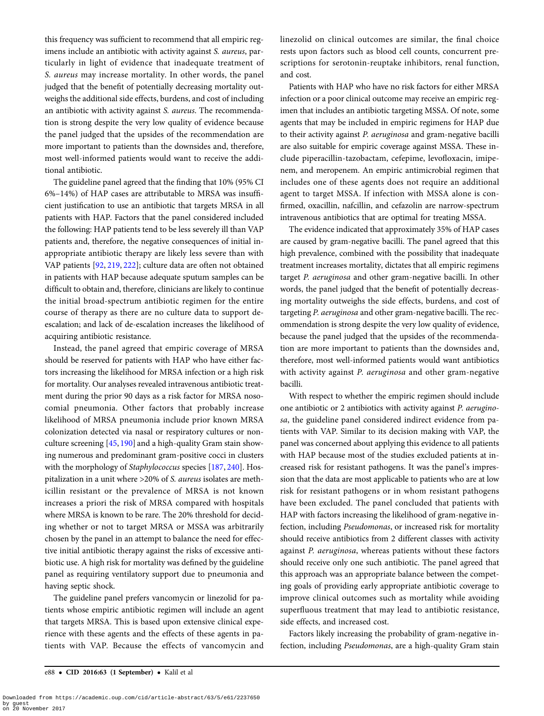this frequency was sufficient to recommend that all empiric regimens include an antibiotic with activity against S. aureus, particularly in light of evidence that inadequate treatment of S. aureus may increase mortality. In other words, the panel judged that the benefit of potentially decreasing mortality outweighs the additional side effects, burdens, and cost of including an antibiotic with activity against S. aureus. The recommendation is strong despite the very low quality of evidence because the panel judged that the upsides of the recommendation are more important to patients than the downsides and, therefore, most well-informed patients would want to receive the additional antibiotic.

The guideline panel agreed that the finding that 10% (95% CI 6%–14%) of HAP cases are attributable to MRSA was insufficient justification to use an antibiotic that targets MRSA in all patients with HAP. Factors that the panel considered included the following: HAP patients tend to be less severely ill than VAP patients and, therefore, the negative consequences of initial inappropriate antibiotic therapy are likely less severe than with VAP patients [\[92](#page-44-0), [219,](#page-47-0) [222](#page-47-0)]; culture data are often not obtained in patients with HAP because adequate sputum samples can be difficult to obtain and, therefore, clinicians are likely to continue the initial broad-spectrum antibiotic regimen for the entire course of therapy as there are no culture data to support deescalation; and lack of de-escalation increases the likelihood of acquiring antibiotic resistance.

Instead, the panel agreed that empiric coverage of MRSA should be reserved for patients with HAP who have either factors increasing the likelihood for MRSA infection or a high risk for mortality. Our analyses revealed intravenous antibiotic treatment during the prior 90 days as a risk factor for MRSA nosocomial pneumonia. Other factors that probably increase likelihood of MRSA pneumonia include prior known MRSA colonization detected via nasal or respiratory cultures or nonculture screening [[45,](#page-43-0) [190\]](#page-46-0) and a high-quality Gram stain showing numerous and predominant gram-positive cocci in clusters with the morphology of Staphylococcus species [\[187](#page-46-0), [240](#page-47-0)]. Hospitalization in a unit where >20% of S. aureus isolates are methicillin resistant or the prevalence of MRSA is not known increases a priori the risk of MRSA compared with hospitals where MRSA is known to be rare. The 20% threshold for deciding whether or not to target MRSA or MSSA was arbitrarily chosen by the panel in an attempt to balance the need for effective initial antibiotic therapy against the risks of excessive antibiotic use. A high risk for mortality was defined by the guideline panel as requiring ventilatory support due to pneumonia and having septic shock.

The guideline panel prefers vancomycin or linezolid for patients whose empiric antibiotic regimen will include an agent that targets MRSA. This is based upon extensive clinical experience with these agents and the effects of these agents in patients with VAP. Because the effects of vancomycin and linezolid on clinical outcomes are similar, the final choice rests upon factors such as blood cell counts, concurrent prescriptions for serotonin-reuptake inhibitors, renal function, and cost.

Patients with HAP who have no risk factors for either MRSA infection or a poor clinical outcome may receive an empiric regimen that includes an antibiotic targeting MSSA. Of note, some agents that may be included in empiric regimens for HAP due to their activity against P. aeruginosa and gram-negative bacilli are also suitable for empiric coverage against MSSA. These include piperacillin-tazobactam, cefepime, levofloxacin, imipenem, and meropenem. An empiric antimicrobial regimen that includes one of these agents does not require an additional agent to target MSSA. If infection with MSSA alone is confirmed, oxacillin, nafcillin, and cefazolin are narrow-spectrum intravenous antibiotics that are optimal for treating MSSA.

The evidence indicated that approximately 35% of HAP cases are caused by gram-negative bacilli. The panel agreed that this high prevalence, combined with the possibility that inadequate treatment increases mortality, dictates that all empiric regimens target P. aeruginosa and other gram-negative bacilli. In other words, the panel judged that the benefit of potentially decreasing mortality outweighs the side effects, burdens, and cost of targeting P. aeruginosa and other gram-negative bacilli. The recommendation is strong despite the very low quality of evidence, because the panel judged that the upsides of the recommendation are more important to patients than the downsides and, therefore, most well-informed patients would want antibiotics with activity against P. aeruginosa and other gram-negative bacilli.

With respect to whether the empiric regimen should include one antibiotic or 2 antibiotics with activity against P. aeruginosa, the guideline panel considered indirect evidence from patients with VAP. Similar to its decision making with VAP, the panel was concerned about applying this evidence to all patients with HAP because most of the studies excluded patients at increased risk for resistant pathogens. It was the panel's impression that the data are most applicable to patients who are at low risk for resistant pathogens or in whom resistant pathogens have been excluded. The panel concluded that patients with HAP with factors increasing the likelihood of gram-negative infection, including Pseudomonas, or increased risk for mortality should receive antibiotics from 2 different classes with activity against P. aeruginosa, whereas patients without these factors should receive only one such antibiotic. The panel agreed that this approach was an appropriate balance between the competing goals of providing early appropriate antibiotic coverage to improve clinical outcomes such as mortality while avoiding superfluous treatment that may lead to antibiotic resistance, side effects, and increased cost.

Factors likely increasing the probability of gram-negative infection, including Pseudomonas, are a high-quality Gram stain

e88 • CID 2016:63 (1 September) • Kalil et al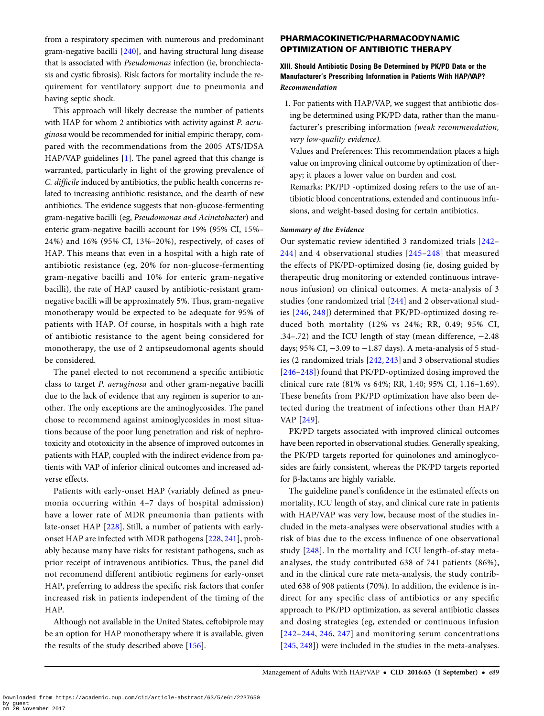from a respiratory specimen with numerous and predominant gram-negative bacilli [[240\]](#page-47-0), and having structural lung disease that is associated with Pseudomonas infection (ie, bronchiectasis and cystic fibrosis). Risk factors for mortality include the requirement for ventilatory support due to pneumonia and having septic shock.

This approach will likely decrease the number of patients with HAP for whom 2 antibiotics with activity against P. aeruginosa would be recommended for initial empiric therapy, compared with the recommendations from the 2005 ATS/IDSA HAP/VAP guidelines [[1](#page-42-0)]. The panel agreed that this change is warranted, particularly in light of the growing prevalence of C. difficile induced by antibiotics, the public health concerns related to increasing antibiotic resistance, and the dearth of new antibiotics. The evidence suggests that non-glucose-fermenting gram-negative bacilli (eg, Pseudomonas and Acinetobacter) and enteric gram-negative bacilli account for 19% (95% CI, 15%– 24%) and 16% (95% CI, 13%–20%), respectively, of cases of HAP. This means that even in a hospital with a high rate of antibiotic resistance (eg, 20% for non-glucose-fermenting gram-negative bacilli and 10% for enteric gram-negative bacilli), the rate of HAP caused by antibiotic-resistant gramnegative bacilli will be approximately 5%. Thus, gram-negative monotherapy would be expected to be adequate for 95% of patients with HAP. Of course, in hospitals with a high rate of antibiotic resistance to the agent being considered for monotherapy, the use of 2 antipseudomonal agents should be considered.

The panel elected to not recommend a specific antibiotic class to target P. aeruginosa and other gram-negative bacilli due to the lack of evidence that any regimen is superior to another. The only exceptions are the aminoglycosides. The panel chose to recommend against aminoglycosides in most situations because of the poor lung penetration and risk of nephrotoxicity and ototoxicity in the absence of improved outcomes in patients with HAP, coupled with the indirect evidence from patients with VAP of inferior clinical outcomes and increased adverse effects.

Patients with early-onset HAP (variably defined as pneumonia occurring within 4–7 days of hospital admission) have a lower rate of MDR pneumonia than patients with late-onset HAP [\[228](#page-47-0)]. Still, a number of patients with earlyonset HAP are infected with MDR pathogens [\[228](#page-47-0), [241\]](#page-47-0), probably because many have risks for resistant pathogens, such as prior receipt of intravenous antibiotics. Thus, the panel did not recommend different antibiotic regimens for early-onset HAP, preferring to address the specific risk factors that confer increased risk in patients independent of the timing of the HAP.

Although not available in the United States, ceftobiprole may be an option for HAP monotherapy where it is available, given the results of the study described above [[156\]](#page-46-0).

## PHARMACOKINETIC/PHARMACODYNAMIC OPTIMIZATION OF ANTIBIOTIC THERAPY

XIII. Should Antibiotic Dosing Be Determined by PK/PD Data or the Manufacturer's Prescribing Information in Patients With HAP/VAP? Recommendation

- 1. For patients with HAP/VAP, we suggest that antibiotic dosing be determined using PK/PD data, rather than the manufacturer's prescribing information (weak recommendation, very low-quality evidence).
	- Values and Preferences: This recommendation places a high value on improving clinical outcome by optimization of therapy; it places a lower value on burden and cost.

Remarks: PK/PD -optimized dosing refers to the use of antibiotic blood concentrations, extended and continuous infusions, and weight-based dosing for certain antibiotics.

#### Summary of the Evidence

Our systematic review identified 3 randomized trials [[242](#page-47-0)– [244\]](#page-47-0) and 4 observational studies [\[245](#page-48-0)–[248\]](#page-48-0) that measured the effects of PK/PD-optimized dosing (ie, dosing guided by therapeutic drug monitoring or extended continuous intravenous infusion) on clinical outcomes. A meta-analysis of 3 studies (one randomized trial [[244\]](#page-47-0) and 2 observational studies [[246,](#page-48-0) [248\]](#page-48-0)) determined that PK/PD-optimized dosing reduced both mortality (12% vs 24%; RR, 0.49; 95% CI, .34–.72) and the ICU length of stay (mean difference, −2.48 days; 95% CI, −3.09 to −1.87 days). A meta-analysis of 5 studies (2 randomized trials [\[242](#page-47-0), [243\]](#page-47-0) and 3 observational studies [\[246](#page-48-0)–[248](#page-48-0)]) found that PK/PD-optimized dosing improved the clinical cure rate (81% vs 64%; RR, 1.40; 95% CI, 1.16–1.69). These benefits from PK/PD optimization have also been detected during the treatment of infections other than HAP/ VAP [[249\]](#page-48-0).

PK/PD targets associated with improved clinical outcomes have been reported in observational studies. Generally speaking, the PK/PD targets reported for quinolones and aminoglycosides are fairly consistent, whereas the PK/PD targets reported for β-lactams are highly variable.

The guideline panel's confidence in the estimated effects on mortality, ICU length of stay, and clinical cure rate in patients with HAP/VAP was very low, because most of the studies included in the meta-analyses were observational studies with a risk of bias due to the excess influence of one observational study [[248\]](#page-48-0). In the mortality and ICU length-of-stay metaanalyses, the study contributed 638 of 741 patients (86%), and in the clinical cure rate meta-analysis, the study contributed 638 of 908 patients (70%). In addition, the evidence is indirect for any specific class of antibiotics or any specific approach to PK/PD optimization, as several antibiotic classes and dosing strategies (eg, extended or continuous infusion [\[242](#page-47-0)–[244,](#page-47-0) [246](#page-48-0), [247\]](#page-48-0) and monitoring serum concentrations [\[245](#page-48-0), [248](#page-48-0)]) were included in the studies in the meta-analyses.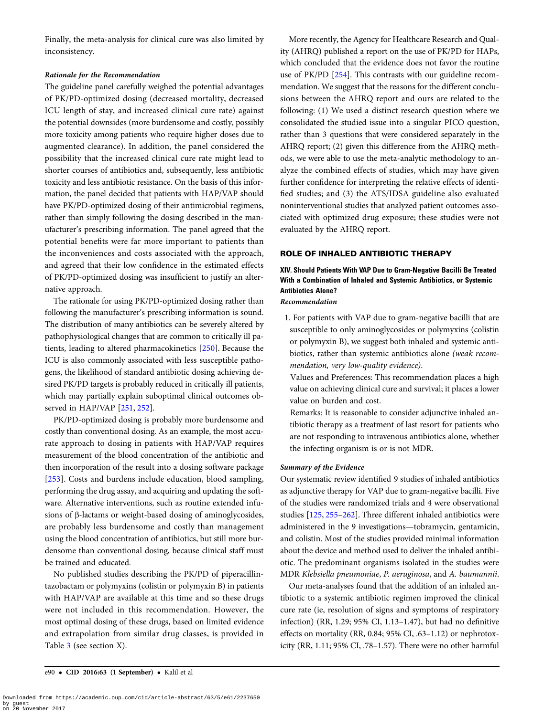Finally, the meta-analysis for clinical cure was also limited by inconsistency.

#### Rationale for the Recommendation

The guideline panel carefully weighed the potential advantages of PK/PD-optimized dosing (decreased mortality, decreased ICU length of stay, and increased clinical cure rate) against the potential downsides (more burdensome and costly, possibly more toxicity among patients who require higher doses due to augmented clearance). In addition, the panel considered the possibility that the increased clinical cure rate might lead to shorter courses of antibiotics and, subsequently, less antibiotic toxicity and less antibiotic resistance. On the basis of this information, the panel decided that patients with HAP/VAP should have PK/PD-optimized dosing of their antimicrobial regimens, rather than simply following the dosing described in the manufacturer's prescribing information. The panel agreed that the potential benefits were far more important to patients than the inconveniences and costs associated with the approach, and agreed that their low confidence in the estimated effects of PK/PD-optimized dosing was insufficient to justify an alternative approach.

The rationale for using PK/PD-optimized dosing rather than following the manufacturer's prescribing information is sound. The distribution of many antibiotics can be severely altered by pathophysiological changes that are common to critically ill patients, leading to altered pharmacokinetics [[250\]](#page-48-0). Because the ICU is also commonly associated with less susceptible pathogens, the likelihood of standard antibiotic dosing achieving desired PK/PD targets is probably reduced in critically ill patients, which may partially explain suboptimal clinical outcomes observed in HAP/VAP [[251,](#page-48-0) [252](#page-48-0)].

PK/PD-optimized dosing is probably more burdensome and costly than conventional dosing. As an example, the most accurate approach to dosing in patients with HAP/VAP requires measurement of the blood concentration of the antibiotic and then incorporation of the result into a dosing software package [\[253](#page-48-0)]. Costs and burdens include education, blood sampling, performing the drug assay, and acquiring and updating the software. Alternative interventions, such as routine extended infusions of β-lactams or weight-based dosing of aminoglycosides, are probably less burdensome and costly than management using the blood concentration of antibiotics, but still more burdensome than conventional dosing, because clinical staff must be trained and educated.

No published studies describing the PK/PD of piperacillintazobactam or polymyxins (colistin or polymyxin B) in patients with HAP/VAP are available at this time and so these drugs were not included in this recommendation. However, the most optimal dosing of these drugs, based on limited evidence and extrapolation from similar drug classes, is provided in Table [3](#page-3-0) (see section X).

More recently, the Agency for Healthcare Research and Quality (AHRQ) published a report on the use of PK/PD for HAPs, which concluded that the evidence does not favor the routine use of PK/PD [\[254\]](#page-48-0). This contrasts with our guideline recommendation. We suggest that the reasons for the different conclusions between the AHRQ report and ours are related to the following: (1) We used a distinct research question where we consolidated the studied issue into a singular PICO question, rather than 3 questions that were considered separately in the AHRQ report; (2) given this difference from the AHRQ methods, we were able to use the meta-analytic methodology to analyze the combined effects of studies, which may have given further confidence for interpreting the relative effects of identified studies; and (3) the ATS/IDSA guideline also evaluated noninterventional studies that analyzed patient outcomes associated with optimized drug exposure; these studies were not evaluated by the AHRQ report.

## ROLE OF INHALED ANTIBIOTIC THERAPY

# XIV. Should Patients With VAP Due to Gram-Negative Bacilli Be Treated With a Combination of Inhaled and Systemic Antibiotics, or Systemic Antibiotics Alone?

## Recommendation

1. For patients with VAP due to gram-negative bacilli that are susceptible to only aminoglycosides or polymyxins (colistin or polymyxin B), we suggest both inhaled and systemic antibiotics, rather than systemic antibiotics alone (weak recommendation, very low-quality evidence).

Values and Preferences: This recommendation places a high value on achieving clinical cure and survival; it places a lower value on burden and cost.

Remarks: It is reasonable to consider adjunctive inhaled antibiotic therapy as a treatment of last resort for patients who are not responding to intravenous antibiotics alone, whether the infecting organism is or is not MDR.

#### Summary of the Evidence

Our systematic review identified 9 studies of inhaled antibiotics as adjunctive therapy for VAP due to gram-negative bacilli. Five of the studies were randomized trials and 4 were observational studies [[125](#page-45-0), [255](#page-48-0)–[262\]](#page-48-0). Three different inhaled antibiotics were administered in the 9 investigations—tobramycin, gentamicin, and colistin. Most of the studies provided minimal information about the device and method used to deliver the inhaled antibiotic. The predominant organisms isolated in the studies were MDR Klebsiella pneumoniae, P. aeruginosa, and A. baumannii.

Our meta-analyses found that the addition of an inhaled antibiotic to a systemic antibiotic regimen improved the clinical cure rate (ie, resolution of signs and symptoms of respiratory infection) (RR, 1.29; 95% CI, 1.13–1.47), but had no definitive effects on mortality (RR, 0.84; 95% CI, .63–1.12) or nephrotoxicity (RR, 1.11; 95% CI, .78–1.57). There were no other harmful

e90 • CID 2016:63 (1 September) • Kalil et al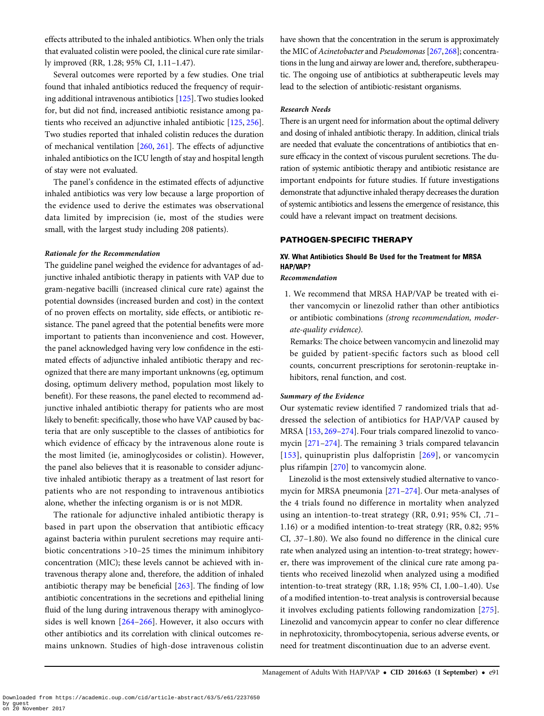effects attributed to the inhaled antibiotics. When only the trials that evaluated colistin were pooled, the clinical cure rate similarly improved (RR, 1.28; 95% CI, 1.11–1.47).

Several outcomes were reported by a few studies. One trial found that inhaled antibiotics reduced the frequency of requiring additional intravenous antibiotics [[125\]](#page-45-0). Two studies looked for, but did not find, increased antibiotic resistance among patients who received an adjunctive inhaled antibiotic [\[125,](#page-45-0) [256\]](#page-48-0). Two studies reported that inhaled colistin reduces the duration of mechanical ventilation [[260](#page-48-0), [261\]](#page-48-0). The effects of adjunctive inhaled antibiotics on the ICU length of stay and hospital length of stay were not evaluated.

The panel's confidence in the estimated effects of adjunctive inhaled antibiotics was very low because a large proportion of the evidence used to derive the estimates was observational data limited by imprecision (ie, most of the studies were small, with the largest study including 208 patients).

#### Rationale for the Recommendation

The guideline panel weighed the evidence for advantages of adjunctive inhaled antibiotic therapy in patients with VAP due to gram-negative bacilli (increased clinical cure rate) against the potential downsides (increased burden and cost) in the context of no proven effects on mortality, side effects, or antibiotic resistance. The panel agreed that the potential benefits were more important to patients than inconvenience and cost. However, the panel acknowledged having very low confidence in the estimated effects of adjunctive inhaled antibiotic therapy and recognized that there are many important unknowns (eg, optimum dosing, optimum delivery method, population most likely to benefit). For these reasons, the panel elected to recommend adjunctive inhaled antibiotic therapy for patients who are most likely to benefit: specifically, those who have VAP caused by bacteria that are only susceptible to the classes of antibiotics for which evidence of efficacy by the intravenous alone route is the most limited (ie, aminoglycosides or colistin). However, the panel also believes that it is reasonable to consider adjunctive inhaled antibiotic therapy as a treatment of last resort for patients who are not responding to intravenous antibiotics alone, whether the infecting organism is or is not MDR.

The rationale for adjunctive inhaled antibiotic therapy is based in part upon the observation that antibiotic efficacy against bacteria within purulent secretions may require antibiotic concentrations >10–25 times the minimum inhibitory concentration (MIC); these levels cannot be achieved with intravenous therapy alone and, therefore, the addition of inhaled antibiotic therapy may be beneficial [[263\]](#page-48-0). The finding of low antibiotic concentrations in the secretions and epithelial lining fluid of the lung during intravenous therapy with aminoglycosides is well known [[264](#page-48-0)–[266](#page-48-0)]. However, it also occurs with other antibiotics and its correlation with clinical outcomes remains unknown. Studies of high-dose intravenous colistin

have shown that the concentration in the serum is approximately the MIC of Acinetobacter and Pseudomonas [\[267](#page-48-0),[268\]](#page-48-0); concentrations in the lung and airway are lower and, therefore, subtherapeutic. The ongoing use of antibiotics at subtherapeutic levels may lead to the selection of antibiotic-resistant organisms.

## Research Needs

There is an urgent need for information about the optimal delivery and dosing of inhaled antibiotic therapy. In addition, clinical trials are needed that evaluate the concentrations of antibiotics that ensure efficacy in the context of viscous purulent secretions. The duration of systemic antibiotic therapy and antibiotic resistance are important endpoints for future studies. If future investigations demonstrate that adjunctive inhaled therapy decreases the duration of systemic antibiotics and lessens the emergence of resistance, this could have a relevant impact on treatment decisions.

## PATHOGEN-SPECIFIC THERAPY

## XV. What Antibiotics Should Be Used for the Treatment for MRSA HAP/VAP?

## Recommendation

1. We recommend that MRSA HAP/VAP be treated with either vancomycin or linezolid rather than other antibiotics or antibiotic combinations (strong recommendation, moderate-quality evidence).

Remarks: The choice between vancomycin and linezolid may be guided by patient-specific factors such as blood cell counts, concurrent prescriptions for serotonin-reuptake inhibitors, renal function, and cost.

#### Summary of the Evidence

Our systematic review identified 7 randomized trials that addressed the selection of antibiotics for HAP/VAP caused by MRSA [[153](#page-46-0), [269](#page-48-0)–[274](#page-48-0)]. Four trials compared linezolid to vancomycin [[271](#page-48-0)–[274](#page-48-0)]. The remaining 3 trials compared telavancin [\[153\]](#page-46-0), quinupristin plus dalfopristin [[269](#page-48-0)], or vancomycin plus rifampin [[270\]](#page-48-0) to vancomycin alone.

Linezolid is the most extensively studied alternative to vancomycin for MRSA pneumonia [[271](#page-48-0)–[274\]](#page-48-0). Our meta-analyses of the 4 trials found no difference in mortality when analyzed using an intention-to-treat strategy (RR, 0.91; 95% CI, .71– 1.16) or a modified intention-to-treat strategy (RR, 0.82; 95% CI, .37–1.80). We also found no difference in the clinical cure rate when analyzed using an intention-to-treat strategy; however, there was improvement of the clinical cure rate among patients who received linezolid when analyzed using a modified intention-to-treat strategy (RR, 1.18; 95% CI, 1.00–1.40). Use of a modified intention-to-treat analysis is controversial because it involves excluding patients following randomization [[275](#page-48-0)]. Linezolid and vancomycin appear to confer no clear difference in nephrotoxicity, thrombocytopenia, serious adverse events, or need for treatment discontinuation due to an adverse event.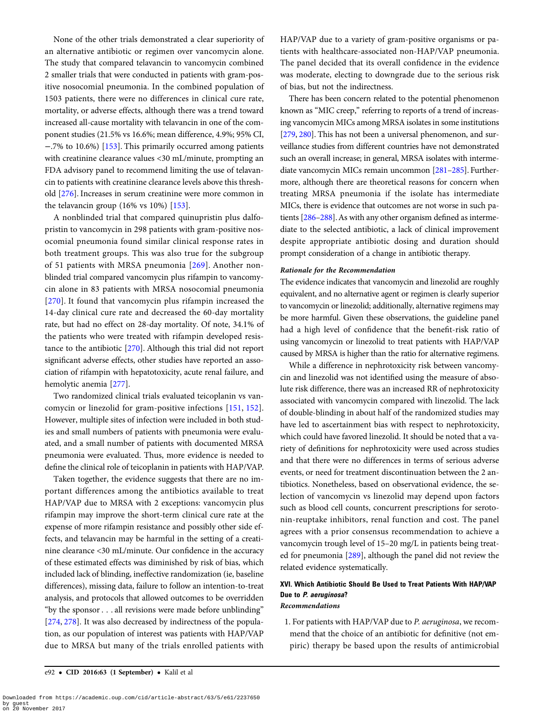None of the other trials demonstrated a clear superiority of an alternative antibiotic or regimen over vancomycin alone. The study that compared telavancin to vancomycin combined 2 smaller trials that were conducted in patients with gram-positive nosocomial pneumonia. In the combined population of 1503 patients, there were no differences in clinical cure rate, mortality, or adverse effects, although there was a trend toward increased all-cause mortality with telavancin in one of the component studies (21.5% vs 16.6%; mean difference, 4.9%; 95% CI, −.7% to 10.6%) [[153](#page-46-0)]. This primarily occurred among patients with creatinine clearance values <30 mL/minute, prompting an FDA advisory panel to recommend limiting the use of telavancin to patients with creatinine clearance levels above this threshold [[276\]](#page-48-0). Increases in serum creatinine were more common in the telavancin group  $(16\% \text{ vs } 10\%)$   $[153]$  $[153]$ .

A nonblinded trial that compared quinupristin plus dalfopristin to vancomycin in 298 patients with gram-positive nosocomial pneumonia found similar clinical response rates in both treatment groups. This was also true for the subgroup of 51 patients with MRSA pneumonia [[269](#page-48-0)]. Another nonblinded trial compared vancomycin plus rifampin to vancomycin alone in 83 patients with MRSA nosocomial pneumonia [\[270](#page-48-0)]. It found that vancomycin plus rifampin increased the 14-day clinical cure rate and decreased the 60-day mortality rate, but had no effect on 28-day mortality. Of note, 34.1% of the patients who were treated with rifampin developed resistance to the antibiotic [\[270\]](#page-48-0). Although this trial did not report significant adverse effects, other studies have reported an association of rifampin with hepatotoxicity, acute renal failure, and hemolytic anemia [\[277\]](#page-48-0).

Two randomized clinical trials evaluated teicoplanin vs vancomycin or linezolid for gram-positive infections [[151,](#page-45-0) [152](#page-46-0)]. However, multiple sites of infection were included in both studies and small numbers of patients with pneumonia were evaluated, and a small number of patients with documented MRSA pneumonia were evaluated. Thus, more evidence is needed to define the clinical role of teicoplanin in patients with HAP/VAP.

Taken together, the evidence suggests that there are no important differences among the antibiotics available to treat HAP/VAP due to MRSA with 2 exceptions: vancomycin plus rifampin may improve the short-term clinical cure rate at the expense of more rifampin resistance and possibly other side effects, and telavancin may be harmful in the setting of a creatinine clearance <30 mL/minute. Our confidence in the accuracy of these estimated effects was diminished by risk of bias, which included lack of blinding, ineffective randomization (ie, baseline differences), missing data, failure to follow an intention-to-treat analysis, and protocols that allowed outcomes to be overridden "by the sponsor . . . all revisions were made before unblinding" [\[274,](#page-48-0) [278\]](#page-48-0). It was also decreased by indirectness of the population, as our population of interest was patients with HAP/VAP due to MRSA but many of the trials enrolled patients with

HAP/VAP due to a variety of gram-positive organisms or patients with healthcare-associated non-HAP/VAP pneumonia. The panel decided that its overall confidence in the evidence was moderate, electing to downgrade due to the serious risk of bias, but not the indirectness.

There has been concern related to the potential phenomenon known as "MIC creep," referring to reports of a trend of increasing vancomycin MICs among MRSA isolates in some institutions [\[279,](#page-48-0) [280\]](#page-48-0). This has not been a universal phenomenon, and surveillance studies from different countries have not demonstrated such an overall increase; in general, MRSA isolates with intermediate vancomycin MICs remain uncommon [\[281](#page-48-0)–[285\]](#page-48-0). Furthermore, although there are theoretical reasons for concern when treating MRSA pneumonia if the isolate has intermediate MICs, there is evidence that outcomes are not worse in such patients [\[286](#page-48-0)–[288\]](#page-49-0).As with any other organism defined as intermediate to the selected antibiotic, a lack of clinical improvement despite appropriate antibiotic dosing and duration should prompt consideration of a change in antibiotic therapy.

## Rationale for the Recommendation

The evidence indicates that vancomycin and linezolid are roughly equivalent, and no alternative agent or regimen is clearly superior to vancomycin or linezolid; additionally, alternative regimens may be more harmful. Given these observations, the guideline panel had a high level of confidence that the benefit-risk ratio of using vancomycin or linezolid to treat patients with HAP/VAP caused by MRSA is higher than the ratio for alternative regimens.

While a difference in nephrotoxicity risk between vancomycin and linezolid was not identified using the measure of absolute risk difference, there was an increased RR of nephrotoxicity associated with vancomycin compared with linezolid. The lack of double-blinding in about half of the randomized studies may have led to ascertainment bias with respect to nephrotoxicity, which could have favored linezolid. It should be noted that a variety of definitions for nephrotoxicity were used across studies and that there were no differences in terms of serious adverse events, or need for treatment discontinuation between the 2 antibiotics. Nonetheless, based on observational evidence, the selection of vancomycin vs linezolid may depend upon factors such as blood cell counts, concurrent prescriptions for serotonin-reuptake inhibitors, renal function and cost. The panel agrees with a prior consensus recommendation to achieve a vancomycin trough level of 15–20 mg/L in patients being treated for pneumonia [\[289\]](#page-49-0), although the panel did not review the related evidence systematically.

## XVI. Which Antibiotic Should Be Used to Treat Patients With HAP/VAP Due to P. aeruginosa? Recommendations

1. For patients with HAP/VAP due to P. aeruginosa, we recommend that the choice of an antibiotic for definitive (not empiric) therapy be based upon the results of antimicrobial

e92 • CID 2016:63 (1 September) • Kalil et al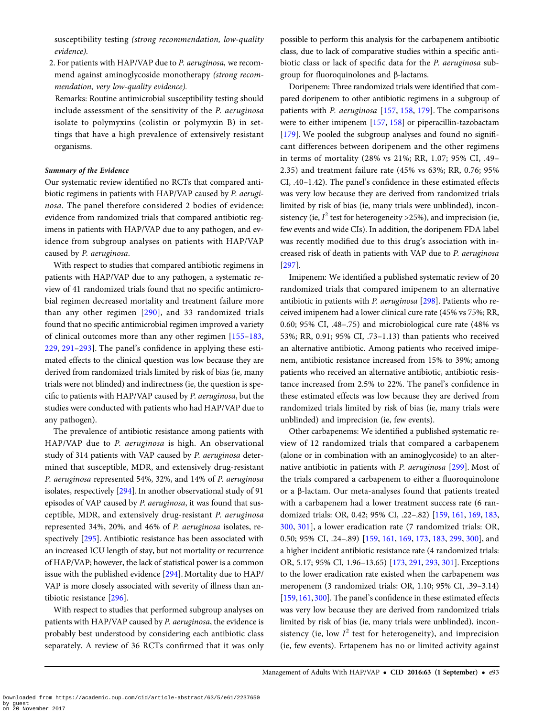susceptibility testing (strong recommendation, low-quality evidence).

2. For patients with HAP/VAP due to P. aeruginosa, we recommend against aminoglycoside monotherapy (strong recommendation, very low-quality evidence).

Remarks: Routine antimicrobial susceptibility testing should include assessment of the sensitivity of the P. aeruginosa isolate to polymyxins (colistin or polymyxin B) in settings that have a high prevalence of extensively resistant organisms.

#### Summary of the Evidence

Our systematic review identified no RCTs that compared antibiotic regimens in patients with HAP/VAP caused by P. aeruginosa. The panel therefore considered 2 bodies of evidence: evidence from randomized trials that compared antibiotic regimens in patients with HAP/VAP due to any pathogen, and evidence from subgroup analyses on patients with HAP/VAP caused by P. aeruginosa.

With respect to studies that compared antibiotic regimens in patients with HAP/VAP due to any pathogen, a systematic review of 41 randomized trials found that no specific antimicrobial regimen decreased mortality and treatment failure more than any other regimen [\[290\]](#page-49-0), and 33 randomized trials found that no specific antimicrobial regimen improved a variety of clinical outcomes more than any other regimen [[155](#page-46-0)–[183,](#page-46-0) [229,](#page-47-0) [291](#page-49-0)–[293](#page-49-0)]. The panel's confidence in applying these estimated effects to the clinical question was low because they are derived from randomized trials limited by risk of bias (ie, many trials were not blinded) and indirectness (ie, the question is specific to patients with HAP/VAP caused by P. aeruginosa, but the studies were conducted with patients who had HAP/VAP due to any pathogen).

The prevalence of antibiotic resistance among patients with HAP/VAP due to P. aeruginosa is high. An observational study of 314 patients with VAP caused by P. aeruginosa determined that susceptible, MDR, and extensively drug-resistant P. aeruginosa represented 54%, 32%, and 14% of P. aeruginosa isolates, respectively [\[294\]](#page-49-0). In another observational study of 91 episodes of VAP caused by P. aeruginosa, it was found that susceptible, MDR, and extensively drug-resistant P. aeruginosa represented 34%, 20%, and 46% of P. aeruginosa isolates, respectively [[295](#page-49-0)]. Antibiotic resistance has been associated with an increased ICU length of stay, but not mortality or recurrence of HAP/VAP; however, the lack of statistical power is a common issue with the published evidence [[294](#page-49-0)]. Mortality due to HAP/ VAP is more closely associated with severity of illness than antibiotic resistance [\[296\]](#page-49-0).

With respect to studies that performed subgroup analyses on patients with HAP/VAP caused by P. aeruginosa, the evidence is probably best understood by considering each antibiotic class separately. A review of 36 RCTs confirmed that it was only

possible to perform this analysis for the carbapenem antibiotic class, due to lack of comparative studies within a specific antibiotic class or lack of specific data for the P. aeruginosa subgroup for fluoroquinolones and β-lactams.

Doripenem: Three randomized trials were identified that compared doripenem to other antibiotic regimens in a subgroup of patients with P. aeruginosa [\[157](#page-46-0), [158,](#page-46-0) [179](#page-46-0)]. The comparisons were to either imipenem [\[157,](#page-46-0) [158\]](#page-46-0) or piperacillin-tazobactam [\[179\]](#page-46-0). We pooled the subgroup analyses and found no significant differences between doripenem and the other regimens in terms of mortality (28% vs 21%; RR, 1.07; 95% CI, .49– 2.35) and treatment failure rate (45% vs 63%; RR, 0.76; 95% CI, .40–1.42). The panel's confidence in these estimated effects was very low because they are derived from randomized trials limited by risk of bias (ie, many trials were unblinded), inconsistency (ie,  $I^2$  test for heterogeneity >25%), and imprecision (ie, few events and wide CIs). In addition, the doripenem FDA label was recently modified due to this drug's association with increased risk of death in patients with VAP due to P. aeruginosa [\[297\]](#page-49-0).

Imipenem: We identified a published systematic review of 20 randomized trials that compared imipenem to an alternative antibiotic in patients with P. aeruginosa [[298](#page-49-0)]. Patients who received imipenem had a lower clinical cure rate (45% vs 75%; RR, 0.60; 95% CI, .48–.75) and microbiological cure rate (48% vs 53%; RR, 0.91; 95% CI, .73–1.13) than patients who received an alternative antibiotic. Among patients who received imipenem, antibiotic resistance increased from 15% to 39%; among patients who received an alternative antibiotic, antibiotic resistance increased from 2.5% to 22%. The panel's confidence in these estimated effects was low because they are derived from randomized trials limited by risk of bias (ie, many trials were unblinded) and imprecision (ie, few events).

Other carbapenems: We identified a published systematic review of 12 randomized trials that compared a carbapenem (alone or in combination with an aminoglycoside) to an alternative antibiotic in patients with P. aeruginosa [\[299](#page-49-0)]. Most of the trials compared a carbapenem to either a fluoroquinolone or a β-lactam. Our meta-analyses found that patients treated with a carbapenem had a lower treatment success rate (6 randomized trials: OR, 0.42; 95% CI, .22–.82) [\[159,](#page-46-0) [161,](#page-46-0) [169,](#page-46-0) [183,](#page-46-0) [300](#page-49-0), [301\]](#page-49-0), a lower eradication rate (7 randomized trials: OR, 0.50; 95% CI, .24–.89) [[159,](#page-46-0) [161](#page-46-0), [169](#page-46-0), [173,](#page-46-0) [183](#page-46-0), [299](#page-49-0), [300\]](#page-49-0), and a higher incident antibiotic resistance rate (4 randomized trials: OR, 5.17; 95% CI, 1.96–13.65) [[173](#page-46-0), [291](#page-49-0), [293](#page-49-0), [301](#page-49-0)]. Exceptions to the lower eradication rate existed when the carbapenem was meropenem (3 randomized trials: OR, 1.10; 95% CI, .39–3.14) [\[159,](#page-46-0) [161,](#page-46-0) [300\]](#page-49-0). The panel's confidence in these estimated effects was very low because they are derived from randomized trials limited by risk of bias (ie, many trials were unblinded), inconsistency (ie, low  $I^2$  test for heterogeneity), and imprecision (ie, few events). Ertapenem has no or limited activity against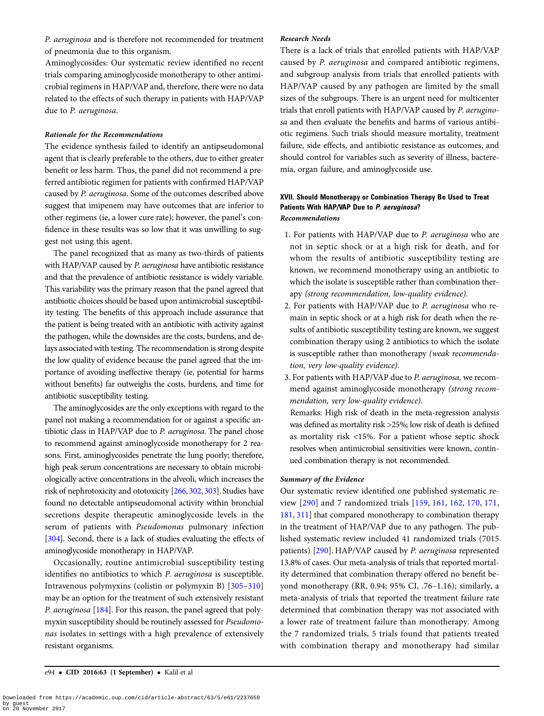P. aeruginosa and is therefore not recommended for treatment of pneumonia due to this organism.

Aminoglycosides: Our systematic review identified no recent trials comparing aminoglycoside monotherapy to other antimicrobial regimens in HAP/VAP and, therefore, there were no data related to the effects of such therapy in patients with HAP/VAP due to P. aeruginosa.

#### Rationale for the Recommendations

The evidence synthesis failed to identify an antipseudomonal agent that is clearly preferable to the others, due to either greater benefit or less harm. Thus, the panel did not recommend a preferred antibiotic regimen for patients with confirmed HAP/VAP caused by P. aeruginosa. Some of the outcomes described above suggest that imipenem may have outcomes that are inferior to other regimens (ie, a lower cure rate); however, the panel's confidence in these results was so low that it was unwilling to suggest not using this agent.

The panel recognized that as many as two-thirds of patients with HAP/VAP caused by P. aeruginosa have antibiotic resistance and that the prevalence of antibiotic resistance is widely variable. This variability was the primary reason that the panel agreed that antibiotic choices should be based upon antimicrobial susceptibility testing. The benefits of this approach include assurance that the patient is being treated with an antibiotic with activity against the pathogen, while the downsides are the costs, burdens, and delays associated with testing. The recommendation is strong despite the low quality of evidence because the panel agreed that the importance of avoiding ineffective therapy (ie, potential for harms without benefits) far outweighs the costs, burdens, and time for antibiotic susceptibility testing.

The aminoglycosides are the only exceptions with regard to the panel not making a recommendation for or against a specific antibiotic class in HAP/VAP due to P. aeruginosa. The panel chose to recommend against aminoglycoside monotherapy for 2 reasons. First, aminoglycosides penetrate the lung poorly; therefore, high peak serum concentrations are necessary to obtain microbiologically active concentrations in the alveoli, which increases the risk of nephrotoxicity and ototoxicity [[266](#page-48-0), [302,](#page-49-0) [303](#page-49-0)]. Studies have found no detectable antipseudomonal activity within bronchial secretions despite therapeutic aminoglycoside levels in the serum of patients with Pseudomonas pulmonary infection [\[304](#page-49-0)]. Second, there is a lack of studies evaluating the effects of aminoglycoside monotherapy in HAP/VAP.

Occasionally, routine antimicrobial susceptibility testing identifies no antibiotics to which P. aeruginosa is susceptible. Intravenous polymyxins (colistin or polymyxin B) [[305](#page-49-0)–[310\]](#page-49-0) may be an option for the treatment of such extensively resistant P. aeruginosa [[184](#page-46-0)]. For this reason, the panel agreed that polymyxin susceptibility should be routinely assessed for Pseudomonas isolates in settings with a high prevalence of extensively resistant organisms.

## Research Needs

There is a lack of trials that enrolled patients with HAP/VAP caused by P. aeruginosa and compared antibiotic regimens, and subgroup analysis from trials that enrolled patients with HAP/VAP caused by any pathogen are limited by the small sizes of the subgroups. There is an urgent need for multicenter trials that enroll patients with HAP/VAP caused by P. aeruginosa and then evaluate the benefits and harms of various antibiotic regimens. Such trials should measure mortality, treatment failure, side effects, and antibiotic resistance as outcomes, and should control for variables such as severity of illness, bacteremia, organ failure, and aminoglycoside use.

#### XVII. Should Monotherapy or Combination Therapy Be Used to Treat Patients With HAP/VAP Due to P. aeruginosa? Recommendations

- 1. For patients with HAP/VAP due to P. aeruginosa who are not in septic shock or at a high risk for death, and for whom the results of antibiotic susceptibility testing are known, we recommend monotherapy using an antibiotic to which the isolate is susceptible rather than combination therapy (strong recommendation, low-quality evidence).
- 2. For patients with HAP/VAP due to P. aeruginosa who remain in septic shock or at a high risk for death when the results of antibiotic susceptibility testing are known, we suggest combination therapy using 2 antibiotics to which the isolate is susceptible rather than monotherapy (weak recommendation, very low-quality evidence).
- 3. For patients with HAP/VAP due to P. aeruginosa, we recommend against aminoglycoside monotherapy (strong recommendation, very low-quality evidence).

Remarks: High risk of death in the meta-regression analysis was defined as mortality risk >25%; low risk of death is defined as mortality risk <15%. For a patient whose septic shock resolves when antimicrobial sensitivities were known, continued combination therapy is not recommended.

#### Summary of the Evidence

Our systematic review identified one published systematic review [\[290](#page-49-0)] and 7 randomized trials [[159](#page-46-0), [161](#page-46-0), [162](#page-46-0), [170,](#page-46-0) [171,](#page-46-0) [181,](#page-46-0) [311](#page-49-0)] that compared monotherapy to combination therapy in the treatment of HAP/VAP due to any pathogen. The published systematic review included 41 randomized trials (7015 patients) [[290\]](#page-49-0). HAP/VAP caused by P. aeruginosa represented 13.8% of cases. Our meta-analysis of trials that reported mortality determined that combination therapy offered no benefit beyond monotherapy (RR, 0.94; 95% CI, .76–1.16); similarly, a meta-analysis of trials that reported the treatment failure rate determined that combination therapy was not associated with a lower rate of treatment failure than monotherapy. Among the 7 randomized trials, 5 trials found that patients treated with combination therapy and monotherapy had similar

e94 • CID 2016:63 (1 September) • Kalil et al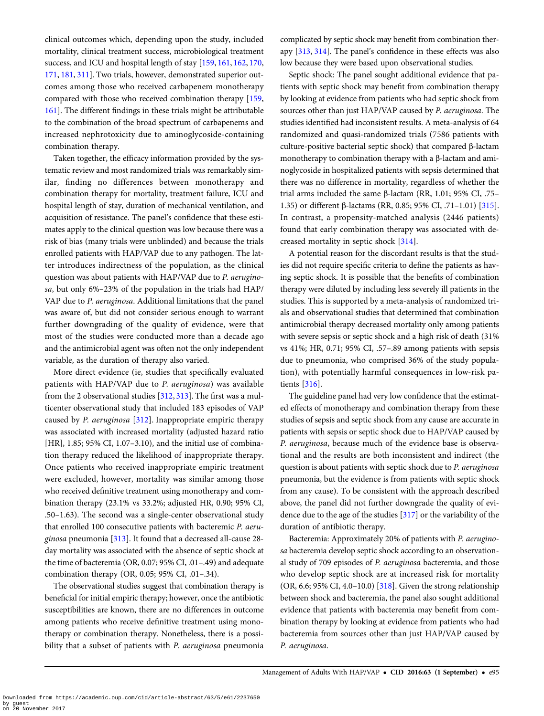clinical outcomes which, depending upon the study, included mortality, clinical treatment success, microbiological treatment success, and ICU and hospital length of stay [\[159](#page-46-0), [161](#page-46-0), [162,](#page-46-0) [170,](#page-46-0) [171,](#page-46-0) [181](#page-46-0), [311\]](#page-49-0). Two trials, however, demonstrated superior outcomes among those who received carbapenem monotherapy compared with those who received combination therapy [\[159,](#page-46-0) [161\]](#page-46-0). The different findings in these trials might be attributable to the combination of the broad spectrum of carbapenems and increased nephrotoxicity due to aminoglycoside-containing combination therapy.

Taken together, the efficacy information provided by the systematic review and most randomized trials was remarkably similar, finding no differences between monotherapy and combination therapy for mortality, treatment failure, ICU and hospital length of stay, duration of mechanical ventilation, and acquisition of resistance. The panel's confidence that these estimates apply to the clinical question was low because there was a risk of bias (many trials were unblinded) and because the trials enrolled patients with HAP/VAP due to any pathogen. The latter introduces indirectness of the population, as the clinical question was about patients with HAP/VAP due to P. aeruginosa, but only 6%–23% of the population in the trials had HAP/ VAP due to P. aeruginosa. Additional limitations that the panel was aware of, but did not consider serious enough to warrant further downgrading of the quality of evidence, were that most of the studies were conducted more than a decade ago and the antimicrobial agent was often not the only independent variable, as the duration of therapy also varied.

More direct evidence (ie, studies that specifically evaluated patients with HAP/VAP due to P. aeruginosa) was available from the 2 observational studies [\[312,](#page-49-0) [313\]](#page-49-0). The first was a multicenter observational study that included 183 episodes of VAP caused by P. aeruginosa [\[312](#page-49-0)]. Inappropriate empiric therapy was associated with increased mortality (adjusted hazard ratio [HR], 1.85; 95% CI, 1.07–3.10), and the initial use of combination therapy reduced the likelihood of inappropriate therapy. Once patients who received inappropriate empiric treatment were excluded, however, mortality was similar among those who received definitive treatment using monotherapy and combination therapy (23.1% vs 33.2%; adjusted HR, 0.90; 95% CI, .50–1.63). The second was a single-center observational study that enrolled 100 consecutive patients with bacteremic P. aeruginosa pneumonia [[313\]](#page-49-0). It found that a decreased all-cause 28 day mortality was associated with the absence of septic shock at the time of bacteremia (OR, 0.07; 95% CI, .01–.49) and adequate combination therapy (OR, 0.05; 95% CI, .01–.34).

The observational studies suggest that combination therapy is beneficial for initial empiric therapy; however, once the antibiotic susceptibilities are known, there are no differences in outcome among patients who receive definitive treatment using monotherapy or combination therapy. Nonetheless, there is a possibility that a subset of patients with P. aeruginosa pneumonia

complicated by septic shock may benefit from combination therapy [\[313,](#page-49-0) [314\]](#page-49-0). The panel's confidence in these effects was also low because they were based upon observational studies.

Septic shock: The panel sought additional evidence that patients with septic shock may benefit from combination therapy by looking at evidence from patients who had septic shock from sources other than just HAP/VAP caused by P. aeruginosa. The studies identified had inconsistent results. A meta-analysis of 64 randomized and quasi-randomized trials (7586 patients with culture-positive bacterial septic shock) that compared β-lactam monotherapy to combination therapy with a β-lactam and aminoglycoside in hospitalized patients with sepsis determined that there was no difference in mortality, regardless of whether the trial arms included the same β-lactam (RR, 1.01; 95% CI, .75– 1.35) or different β-lactams (RR, 0.85; 95% CI, .71–1.01) [[315\]](#page-49-0). In contrast, a propensity-matched analysis (2446 patients) found that early combination therapy was associated with decreased mortality in septic shock [\[314](#page-49-0)].

A potential reason for the discordant results is that the studies did not require specific criteria to define the patients as having septic shock. It is possible that the benefits of combination therapy were diluted by including less severely ill patients in the studies. This is supported by a meta-analysis of randomized trials and observational studies that determined that combination antimicrobial therapy decreased mortality only among patients with severe sepsis or septic shock and a high risk of death (31% vs 41%; HR, 0.71; 95% CI, .57–.89 among patients with sepsis due to pneumonia, who comprised 36% of the study population), with potentially harmful consequences in low-risk patients [[316\]](#page-49-0).

The guideline panel had very low confidence that the estimated effects of monotherapy and combination therapy from these studies of sepsis and septic shock from any cause are accurate in patients with sepsis or septic shock due to HAP/VAP caused by P. aeruginosa, because much of the evidence base is observational and the results are both inconsistent and indirect (the question is about patients with septic shock due to P. aeruginosa pneumonia, but the evidence is from patients with septic shock from any cause). To be consistent with the approach described above, the panel did not further downgrade the quality of evidence due to the age of the studies [[317](#page-49-0)] or the variability of the duration of antibiotic therapy.

Bacteremia: Approximately 20% of patients with P. aeruginosa bacteremia develop septic shock according to an observational study of 709 episodes of P. aeruginosa bacteremia, and those who develop septic shock are at increased risk for mortality (OR, 6.6; 95% CI, 4.0–10.0) [\[318](#page-49-0)]. Given the strong relationship between shock and bacteremia, the panel also sought additional evidence that patients with bacteremia may benefit from combination therapy by looking at evidence from patients who had bacteremia from sources other than just HAP/VAP caused by P. aeruginosa.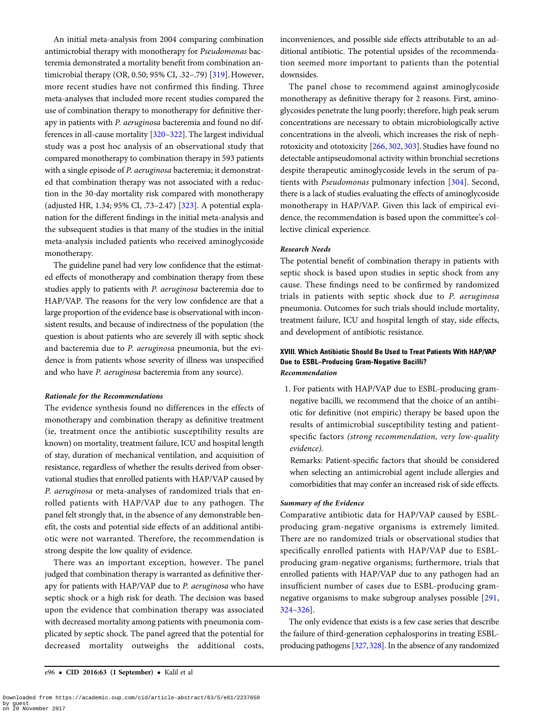An initial meta-analysis from 2004 comparing combination antimicrobial therapy with monotherapy for Pseudomonas bacteremia demonstrated a mortality benefit from combination antimicrobial therapy (OR, 0.50; 95% CI, .32–.79) [[319](#page-49-0)]. However, more recent studies have not confirmed this finding. Three meta-analyses that included more recent studies compared the use of combination therapy to monotherapy for definitive therapy in patients with P. aeruginosa bacteremia and found no differences in all-cause mortality [[320](#page-49-0)–[322](#page-49-0)]. The largest individual study was a post hoc analysis of an observational study that compared monotherapy to combination therapy in 593 patients with a single episode of P. aeruginosa bacteremia; it demonstrated that combination therapy was not associated with a reduction in the 30-day mortality risk compared with monotherapy (adjusted HR, 1.34; 95% CI, .73–2.47) [\[323\]](#page-49-0). A potential explanation for the different findings in the initial meta-analysis and the subsequent studies is that many of the studies in the initial meta-analysis included patients who received aminoglycoside monotherapy.

The guideline panel had very low confidence that the estimated effects of monotherapy and combination therapy from these studies apply to patients with P. aeruginosa bacteremia due to HAP/VAP. The reasons for the very low confidence are that a large proportion of the evidence base is observational with inconsistent results, and because of indirectness of the population (the question is about patients who are severely ill with septic shock and bacteremia due to P. aeruginosa pneumonia, but the evidence is from patients whose severity of illness was unspecified and who have P. aeruginosa bacteremia from any source).

#### Rationale for the Recommendations

The evidence synthesis found no differences in the effects of monotherapy and combination therapy as definitive treatment (ie, treatment once the antibiotic susceptibility results are known) on mortality, treatment failure, ICU and hospital length of stay, duration of mechanical ventilation, and acquisition of resistance, regardless of whether the results derived from observational studies that enrolled patients with HAP/VAP caused by P. aeruginosa or meta-analyses of randomized trials that enrolled patients with HAP/VAP due to any pathogen. The panel felt strongly that, in the absence of any demonstrable benefit, the costs and potential side effects of an additional antibiotic were not warranted. Therefore, the recommendation is strong despite the low quality of evidence.

There was an important exception, however. The panel judged that combination therapy is warranted as definitive therapy for patients with HAP/VAP due to P. aeruginosa who have septic shock or a high risk for death. The decision was based upon the evidence that combination therapy was associated with decreased mortality among patients with pneumonia complicated by septic shock. The panel agreed that the potential for decreased mortality outweighs the additional costs,

inconveniences, and possible side effects attributable to an additional antibiotic. The potential upsides of the recommendation seemed more important to patients than the potential downsides.

The panel chose to recommend against aminoglycoside monotherapy as definitive therapy for 2 reasons. First, aminoglycosides penetrate the lung poorly; therefore, high peak serum concentrations are necessary to obtain microbiologically active concentrations in the alveoli, which increases the risk of nephrotoxicity and ototoxicity [[266](#page-48-0), [302,](#page-49-0) [303\]](#page-49-0). Studies have found no detectable antipseudomonal activity within bronchial secretions despite therapeutic aminoglycoside levels in the serum of patients with Pseudomonas pulmonary infection [[304](#page-49-0)]. Second, there is a lack of studies evaluating the effects of aminoglycoside monotherapy in HAP/VAP. Given this lack of empirical evidence, the recommendation is based upon the committee's collective clinical experience.

## Research Needs

The potential benefit of combination therapy in patients with septic shock is based upon studies in septic shock from any cause. These findings need to be confirmed by randomized trials in patients with septic shock due to P. aeruginosa pneumonia. Outcomes for such trials should include mortality, treatment failure, ICU and hospital length of stay, side effects, and development of antibiotic resistance.

## XVIII. Which Antibiotic Should Be Used to Treat Patients With HAP/VAP Due to ESBL–Producing Gram-Negative Bacilli? Recommendation

1. For patients with HAP/VAP due to ESBL-producing gramnegative bacilli, we recommend that the choice of an antibiotic for definitive (not empiric) therapy be based upon the results of antimicrobial susceptibility testing and patientspecific factors (strong recommendation, very low-quality evidence).

Remarks: Patient-specific factors that should be considered when selecting an antimicrobial agent include allergies and comorbidities that may confer an increased risk of side effects.

#### Summary of the Evidence

Comparative antibiotic data for HAP/VAP caused by ESBLproducing gram-negative organisms is extremely limited. There are no randomized trials or observational studies that specifically enrolled patients with HAP/VAP due to ESBLproducing gram-negative organisms; furthermore, trials that enrolled patients with HAP/VAP due to any pathogen had an insufficient number of cases due to ESBL-producing gramnegative organisms to make subgroup analyses possible [[291,](#page-49-0) [324](#page-49-0)–[326](#page-49-0)].

The only evidence that exists is a few case series that describe the failure of third-generation cephalosporins in treating ESBLproducing pathogens [\[327](#page-49-0),[328](#page-49-0)]. In the absence of any randomized

e96 • CID 2016:63 (1 September) • Kalil et al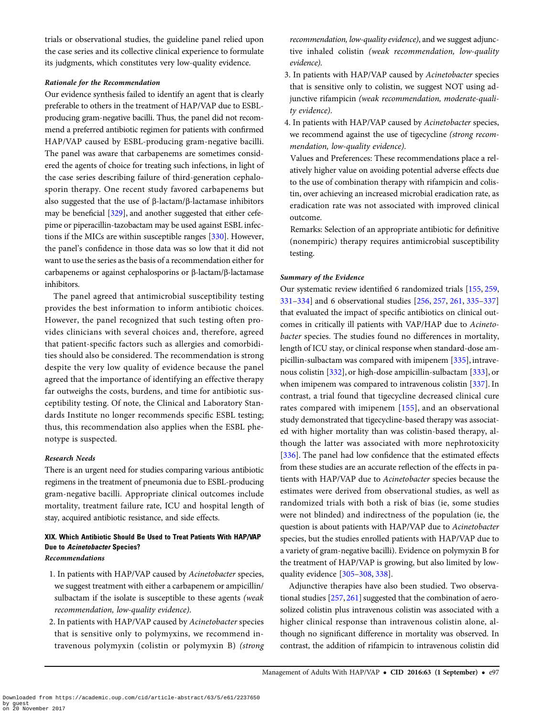trials or observational studies, the guideline panel relied upon the case series and its collective clinical experience to formulate its judgments, which constitutes very low-quality evidence.

## Rationale for the Recommendation

Our evidence synthesis failed to identify an agent that is clearly preferable to others in the treatment of HAP/VAP due to ESBLproducing gram-negative bacilli. Thus, the panel did not recommend a preferred antibiotic regimen for patients with confirmed HAP/VAP caused by ESBL-producing gram-negative bacilli. The panel was aware that carbapenems are sometimes considered the agents of choice for treating such infections, in light of the case series describing failure of third-generation cephalosporin therapy. One recent study favored carbapenems but also suggested that the use of β-lactam/β-lactamase inhibitors may be beneficial [[329](#page-49-0)], and another suggested that either cefepime or piperacillin-tazobactam may be used against ESBL infections if the MICs are within susceptible ranges [[330](#page-49-0)]. However, the panel's confidence in those data was so low that it did not want to use the series as the basis of a recommendation either for carbapenems or against cephalosporins or β-lactam/β-lactamase inhibitors.

The panel agreed that antimicrobial susceptibility testing provides the best information to inform antibiotic choices. However, the panel recognized that such testing often provides clinicians with several choices and, therefore, agreed that patient-specific factors such as allergies and comorbidities should also be considered. The recommendation is strong despite the very low quality of evidence because the panel agreed that the importance of identifying an effective therapy far outweighs the costs, burdens, and time for antibiotic susceptibility testing. Of note, the Clinical and Laboratory Standards Institute no longer recommends specific ESBL testing; thus, this recommendation also applies when the ESBL phenotype is suspected.

## Research Needs

There is an urgent need for studies comparing various antibiotic regimens in the treatment of pneumonia due to ESBL-producing gram-negative bacilli. Appropriate clinical outcomes include mortality, treatment failure rate, ICU and hospital length of stay, acquired antibiotic resistance, and side effects.

#### XIX. Which Antibiotic Should Be Used to Treat Patients With HAP/VAP Due to Acinetobacter Species? Recommendations

- 1. In patients with HAP/VAP caused by Acinetobacter species, we suggest treatment with either a carbapenem or ampicillin/ sulbactam if the isolate is susceptible to these agents (weak recommendation, low-quality evidence).
- 2. In patients with HAP/VAP caused by Acinetobacter species that is sensitive only to polymyxins, we recommend intravenous polymyxin (colistin or polymyxin B) (strong

recommendation, low-quality evidence), and we suggest adjunctive inhaled colistin (weak recommendation, low-quality evidence).

- 3. In patients with HAP/VAP caused by Acinetobacter species that is sensitive only to colistin, we suggest NOT using adjunctive rifampicin (weak recommendation, moderate-quality evidence).
- 4. In patients with HAP/VAP caused by Acinetobacter species, we recommend against the use of tigecycline (strong recommendation, low-quality evidence).

Values and Preferences: These recommendations place a relatively higher value on avoiding potential adverse effects due to the use of combination therapy with rifampicin and colistin, over achieving an increased microbial eradication rate, as eradication rate was not associated with improved clinical outcome.

Remarks: Selection of an appropriate antibiotic for definitive (nonempiric) therapy requires antimicrobial susceptibility testing.

## Summary of the Evidence

Our systematic review identified 6 randomized trials [\[155](#page-46-0), [259,](#page-48-0) [331](#page-50-0)–[334](#page-50-0)] and 6 observational studies [[256,](#page-48-0) [257,](#page-48-0) [261,](#page-48-0) [335](#page-50-0)–[337\]](#page-50-0) that evaluated the impact of specific antibiotics on clinical outcomes in critically ill patients with VAP/HAP due to Acinetobacter species. The studies found no differences in mortality, length of ICU stay, or clinical response when standard-dose ampicillin-sulbactam was compared with imipenem [\[335\]](#page-50-0), intravenous colistin [[332](#page-50-0)], or high-dose ampicillin-sulbactam [\[333\]](#page-50-0), or when imipenem was compared to intravenous colistin [[337\]](#page-50-0). In contrast, a trial found that tigecycline decreased clinical cure rates compared with imipenem [[155\]](#page-46-0), and an observational study demonstrated that tigecycline-based therapy was associated with higher mortality than was colistin-based therapy, although the latter was associated with more nephrotoxicity [\[336\]](#page-50-0). The panel had low confidence that the estimated effects from these studies are an accurate reflection of the effects in patients with HAP/VAP due to Acinetobacter species because the estimates were derived from observational studies, as well as randomized trials with both a risk of bias (ie, some studies were not blinded) and indirectness of the population (ie, the question is about patients with HAP/VAP due to Acinetobacter species, but the studies enrolled patients with HAP/VAP due to a variety of gram-negative bacilli). Evidence on polymyxin B for the treatment of HAP/VAP is growing, but also limited by lowquality evidence [[305](#page-49-0)–[308,](#page-49-0) [338\]](#page-50-0).

Adjunctive therapies have also been studied. Two observational studies [\[257,](#page-48-0) [261\]](#page-48-0) suggested that the combination of aerosolized colistin plus intravenous colistin was associated with a higher clinical response than intravenous colistin alone, although no significant difference in mortality was observed. In contrast, the addition of rifampicin to intravenous colistin did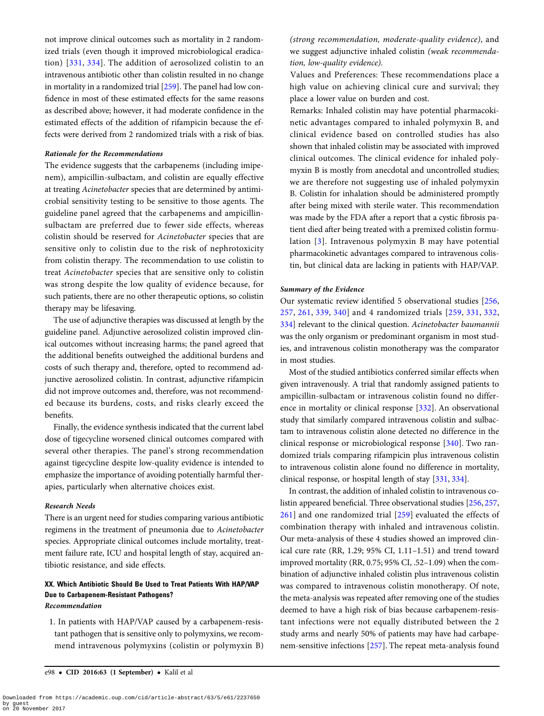not improve clinical outcomes such as mortality in 2 randomized trials (even though it improved microbiological eradication) [[331](#page-50-0), [334](#page-50-0)]. The addition of aerosolized colistin to an intravenous antibiotic other than colistin resulted in no change in mortality in a randomized trial [\[259\]](#page-48-0). The panel had low confidence in most of these estimated effects for the same reasons as described above; however, it had moderate confidence in the estimated effects of the addition of rifampicin because the effects were derived from 2 randomized trials with a risk of bias.

#### Rationale for the Recommendations

The evidence suggests that the carbapenems (including imipenem), ampicillin-sulbactam, and colistin are equally effective at treating Acinetobacter species that are determined by antimicrobial sensitivity testing to be sensitive to those agents. The guideline panel agreed that the carbapenems and ampicillinsulbactam are preferred due to fewer side effects, whereas colistin should be reserved for Acinetobacter species that are sensitive only to colistin due to the risk of nephrotoxicity from colistin therapy. The recommendation to use colistin to treat Acinetobacter species that are sensitive only to colistin was strong despite the low quality of evidence because, for such patients, there are no other therapeutic options, so colistin therapy may be lifesaving.

The use of adjunctive therapies was discussed at length by the guideline panel. Adjunctive aerosolized colistin improved clinical outcomes without increasing harms; the panel agreed that the additional benefits outweighed the additional burdens and costs of such therapy and, therefore, opted to recommend adjunctive aerosolized colistin. In contrast, adjunctive rifampicin did not improve outcomes and, therefore, was not recommended because its burdens, costs, and risks clearly exceed the benefits.

Finally, the evidence synthesis indicated that the current label dose of tigecycline worsened clinical outcomes compared with several other therapies. The panel's strong recommendation against tigecycline despite low-quality evidence is intended to emphasize the importance of avoiding potentially harmful therapies, particularly when alternative choices exist.

#### Research Needs

There is an urgent need for studies comparing various antibiotic regimens in the treatment of pneumonia due to Acinetobacter species. Appropriate clinical outcomes include mortality, treatment failure rate, ICU and hospital length of stay, acquired antibiotic resistance, and side effects.

## XX. Which Antibiotic Should Be Used to Treat Patients With HAP/VAP Due to Carbapenem-Resistant Pathogens? Recommendation

1. In patients with HAP/VAP caused by a carbapenem-resistant pathogen that is sensitive only to polymyxins, we recommend intravenous polymyxins (colistin or polymyxin B) (strong recommendation, moderate-quality evidence), and we suggest adjunctive inhaled colistin (weak recommendation, low-quality evidence).

Values and Preferences: These recommendations place a high value on achieving clinical cure and survival; they place a lower value on burden and cost.

Remarks: Inhaled colistin may have potential pharmacokinetic advantages compared to inhaled polymyxin B, and clinical evidence based on controlled studies has also shown that inhaled colistin may be associated with improved clinical outcomes. The clinical evidence for inhaled polymyxin B is mostly from anecdotal and uncontrolled studies; we are therefore not suggesting use of inhaled polymyxin B. Colistin for inhalation should be administered promptly after being mixed with sterile water. This recommendation was made by the FDA after a report that a cystic fibrosis patient died after being treated with a premixed colistin formulation [[3](#page-43-0)]. Intravenous polymyxin B may have potential pharmacokinetic advantages compared to intravenous colistin, but clinical data are lacking in patients with HAP/VAP.

#### Summary of the Evidence

Our systematic review identified 5 observational studies [[256,](#page-48-0) [257](#page-48-0), [261,](#page-48-0) [339](#page-50-0), [340](#page-50-0)] and 4 randomized trials [[259](#page-48-0), [331](#page-50-0), [332,](#page-50-0) [334\]](#page-50-0) relevant to the clinical question. Acinetobacter baumannii was the only organism or predominant organism in most studies, and intravenous colistin monotherapy was the comparator in most studies.

Most of the studied antibiotics conferred similar effects when given intravenously. A trial that randomly assigned patients to ampicillin-sulbactam or intravenous colistin found no difference in mortality or clinical response [\[332](#page-50-0)]. An observational study that similarly compared intravenous colistin and sulbactam to intravenous colistin alone detected no difference in the clinical response or microbiological response [[340\]](#page-50-0). Two randomized trials comparing rifampicin plus intravenous colistin to intravenous colistin alone found no difference in mortality, clinical response, or hospital length of stay [\[331](#page-50-0), [334\]](#page-50-0).

In contrast, the addition of inhaled colistin to intravenous colistin appeared beneficial. Three observational studies [[256,](#page-48-0) [257,](#page-48-0) [261](#page-48-0)] and one randomized trial [[259\]](#page-48-0) evaluated the effects of combination therapy with inhaled and intravenous colistin. Our meta-analysis of these 4 studies showed an improved clinical cure rate (RR, 1.29; 95% CI, 1.11–1.51) and trend toward improved mortality (RR, 0.75; 95% CI, .52–1.09) when the combination of adjunctive inhaled colistin plus intravenous colistin was compared to intravenous colistin monotherapy. Of note, the meta-analysis was repeated after removing one of the studies deemed to have a high risk of bias because carbapenem-resistant infections were not equally distributed between the 2 study arms and nearly 50% of patients may have had carbapenem-sensitive infections [[257\]](#page-48-0). The repeat meta-analysis found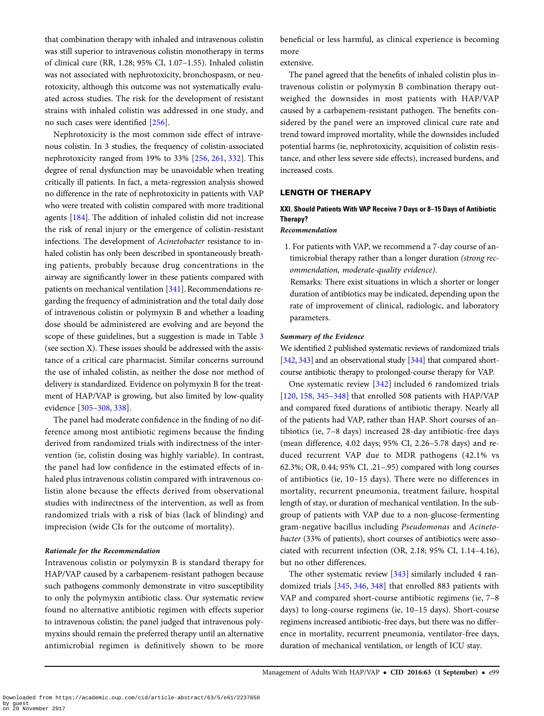that combination therapy with inhaled and intravenous colistin was still superior to intravenous colistin monotherapy in terms of clinical cure (RR, 1.28; 95% CI, 1.07–1.55). Inhaled colistin was not associated with nephrotoxicity, bronchospasm, or neurotoxicity, although this outcome was not systematically evaluated across studies. The risk for the development of resistant strains with inhaled colistin was addressed in one study, and no such cases were identified [\[256\]](#page-48-0).

Nephrotoxicity is the most common side effect of intravenous colistin. In 3 studies, the frequency of colistin-associated nephrotoxicity ranged from 19% to 33% [[256](#page-48-0), [261,](#page-48-0) [332](#page-50-0)]. This degree of renal dysfunction may be unavoidable when treating critically ill patients. In fact, a meta-regression analysis showed no difference in the rate of nephrotoxicity in patients with VAP who were treated with colistin compared with more traditional agents [\[184](#page-46-0)]. The addition of inhaled colistin did not increase the risk of renal injury or the emergence of colistin-resistant infections. The development of Acinetobacter resistance to inhaled colistin has only been described in spontaneously breathing patients, probably because drug concentrations in the airway are significantly lower in these patients compared with patients on mechanical ventilation [[341\]](#page-50-0). Recommendations regarding the frequency of administration and the total daily dose of intravenous colistin or polymyxin B and whether a loading dose should be administered are evolving and are beyond the scope of these guidelines, but a suggestion is made in Table [3](#page-3-0) (see section X). These issues should be addressed with the assistance of a critical care pharmacist. Similar concerns surround the use of inhaled colistin, as neither the dose nor method of delivery is standardized. Evidence on polymyxin B for the treatment of HAP/VAP is growing, but also limited by low-quality evidence [[305](#page-49-0)–[308](#page-49-0), [338\]](#page-50-0).

The panel had moderate confidence in the finding of no difference among most antibiotic regimens because the finding derived from randomized trials with indirectness of the intervention (ie, colistin dosing was highly variable). In contrast, the panel had low confidence in the estimated effects of inhaled plus intravenous colistin compared with intravenous colistin alone because the effects derived from observational studies with indirectness of the intervention, as well as from randomized trials with a risk of bias (lack of blinding) and imprecision (wide CIs for the outcome of mortality).

#### Rationale for the Recommendation

Intravenous colistin or polymyxin B is standard therapy for HAP/VAP caused by a carbapenem-resistant pathogen because such pathogens commonly demonstrate in vitro susceptibility to only the polymyxin antibiotic class. Our systematic review found no alternative antibiotic regimen with effects superior to intravenous colistin; the panel judged that intravenous polymyxins should remain the preferred therapy until an alternative antimicrobial regimen is definitively shown to be more

beneficial or less harmful, as clinical experience is becoming more

extensive.

The panel agreed that the benefits of inhaled colistin plus intravenous colistin or polymyxin B combination therapy outweighed the downsides in most patients with HAP/VAP caused by a carbapenem-resistant pathogen. The benefits considered by the panel were an improved clinical cure rate and trend toward improved mortality, while the downsides included potential harms (ie, nephrotoxicity, acquisition of colistin resistance, and other less severe side effects), increased burdens, and increased costs.

## LENGTH OF THERAPY

## XXI. Should Patients With VAP Receive 7 Days or 8–15 Days of Antibiotic Therapy?

#### Recommendation

1. For patients with VAP, we recommend a 7-day course of antimicrobial therapy rather than a longer duration (strong recommendation, moderate-quality evidence).

Remarks: There exist situations in which a shorter or longer duration of antibiotics may be indicated, depending upon the rate of improvement of clinical, radiologic, and laboratory parameters.

## Summary of the Evidence

We identified 2 published systematic reviews of randomized trials [\[342](#page-50-0), [343](#page-50-0)] and an observational study [\[344](#page-50-0)] that compared shortcourse antibiotic therapy to prolonged-course therapy for VAP.

One systematic review [\[342](#page-50-0)] included 6 randomized trials [\[120,](#page-45-0) [158](#page-46-0), [345](#page-50-0)–[348\]](#page-50-0) that enrolled 508 patients with HAP/VAP and compared fixed durations of antibiotic therapy. Nearly all of the patients had VAP, rather than HAP. Short courses of antibiotics (ie, 7–8 days) increased 28-day antibiotic-free days (mean difference, 4.02 days; 95% CI, 2.26–5.78 days) and reduced recurrent VAP due to MDR pathogens (42.1% vs 62.3%; OR, 0.44; 95% CI, .21–.95) compared with long courses of antibiotics (ie, 10–15 days). There were no differences in mortality, recurrent pneumonia, treatment failure, hospital length of stay, or duration of mechanical ventilation. In the subgroup of patients with VAP due to a non-glucose-fermenting gram-negative bacillus including Pseudomonas and Acinetobacter (33% of patients), short courses of antibiotics were associated with recurrent infection (OR, 2.18; 95% CI, 1.14–4.16), but no other differences.

The other systematic review [[343](#page-50-0)] similarly included 4 randomized trials [[345,](#page-50-0) [346](#page-50-0), [348\]](#page-50-0) that enrolled 883 patients with VAP and compared short-course antibiotic regimens (ie, 7–8 days) to long-course regimens (ie, 10–15 days). Short-course regimens increased antibiotic-free days, but there was no difference in mortality, recurrent pneumonia, ventilator-free days, duration of mechanical ventilation, or length of ICU stay.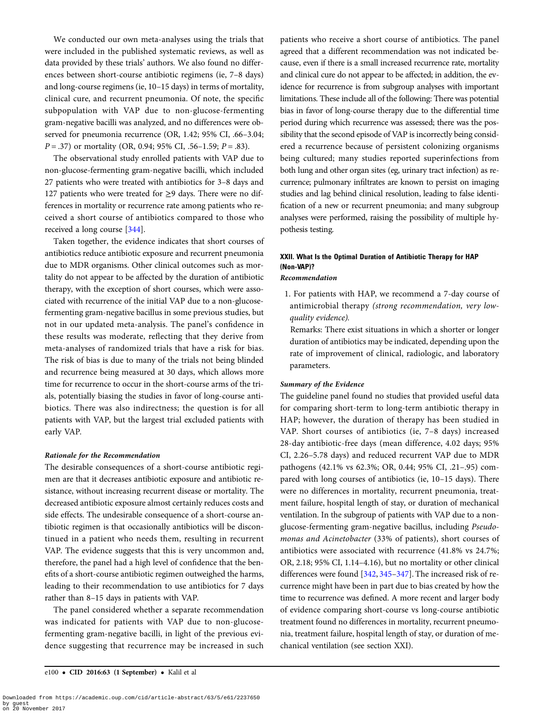We conducted our own meta-analyses using the trials that were included in the published systematic reviews, as well as data provided by these trials' authors. We also found no differences between short-course antibiotic regimens (ie, 7–8 days) and long-course regimens (ie, 10–15 days) in terms of mortality, clinical cure, and recurrent pneumonia. Of note, the specific subpopulation with VAP due to non-glucose-fermenting gram-negative bacilli was analyzed, and no differences were observed for pneumonia recurrence (OR, 1.42; 95% CI, .66–3.04;  $P = .37$ ) or mortality (OR, 0.94; 95% CI, .56–1.59;  $P = .83$ ).

The observational study enrolled patients with VAP due to non-glucose-fermenting gram-negative bacilli, which included 27 patients who were treated with antibiotics for 3–8 days and 127 patients who were treated for ≥9 days. There were no differences in mortality or recurrence rate among patients who received a short course of antibiotics compared to those who received a long course [[344](#page-50-0)].

Taken together, the evidence indicates that short courses of antibiotics reduce antibiotic exposure and recurrent pneumonia due to MDR organisms. Other clinical outcomes such as mortality do not appear to be affected by the duration of antibiotic therapy, with the exception of short courses, which were associated with recurrence of the initial VAP due to a non-glucosefermenting gram-negative bacillus in some previous studies, but not in our updated meta-analysis. The panel's confidence in these results was moderate, reflecting that they derive from meta-analyses of randomized trials that have a risk for bias. The risk of bias is due to many of the trials not being blinded and recurrence being measured at 30 days, which allows more time for recurrence to occur in the short-course arms of the trials, potentially biasing the studies in favor of long-course antibiotics. There was also indirectness; the question is for all patients with VAP, but the largest trial excluded patients with early VAP.

#### Rationale for the Recommendation

The desirable consequences of a short-course antibiotic regimen are that it decreases antibiotic exposure and antibiotic resistance, without increasing recurrent disease or mortality. The decreased antibiotic exposure almost certainly reduces costs and side effects. The undesirable consequence of a short-course antibiotic regimen is that occasionally antibiotics will be discontinued in a patient who needs them, resulting in recurrent VAP. The evidence suggests that this is very uncommon and, therefore, the panel had a high level of confidence that the benefits of a short-course antibiotic regimen outweighed the harms, leading to their recommendation to use antibiotics for 7 days rather than 8–15 days in patients with VAP.

The panel considered whether a separate recommendation was indicated for patients with VAP due to non-glucosefermenting gram-negative bacilli, in light of the previous evidence suggesting that recurrence may be increased in such

patients who receive a short course of antibiotics. The panel agreed that a different recommendation was not indicated because, even if there is a small increased recurrence rate, mortality and clinical cure do not appear to be affected; in addition, the evidence for recurrence is from subgroup analyses with important limitations. These include all of the following: There was potential bias in favor of long-course therapy due to the differential time period during which recurrence was assessed; there was the possibility that the second episode of VAP is incorrectly being considered a recurrence because of persistent colonizing organisms being cultured; many studies reported superinfections from both lung and other organ sites (eg, urinary tract infection) as recurrence; pulmonary infiltrates are known to persist on imaging studies and lag behind clinical resolution, leading to false identification of a new or recurrent pneumonia; and many subgroup analyses were performed, raising the possibility of multiple hypothesis testing.

# XXII. What Is the Optimal Duration of Antibiotic Therapy for HAP (Non-VAP)?

## Recommendation

1. For patients with HAP, we recommend a 7-day course of antimicrobial therapy (strong recommendation, very lowquality evidence).

Remarks: There exist situations in which a shorter or longer duration of antibiotics may be indicated, depending upon the rate of improvement of clinical, radiologic, and laboratory parameters.

#### Summary of the Evidence

The guideline panel found no studies that provided useful data for comparing short-term to long-term antibiotic therapy in HAP; however, the duration of therapy has been studied in VAP. Short courses of antibiotics (ie, 7–8 days) increased 28-day antibiotic-free days (mean difference, 4.02 days; 95% CI, 2.26–5.78 days) and reduced recurrent VAP due to MDR pathogens (42.1% vs 62.3%; OR, 0.44; 95% CI, .21–.95) compared with long courses of antibiotics (ie, 10–15 days). There were no differences in mortality, recurrent pneumonia, treatment failure, hospital length of stay, or duration of mechanical ventilation. In the subgroup of patients with VAP due to a nonglucose-fermenting gram-negative bacillus, including Pseudomonas and Acinetobacter (33% of patients), short courses of antibiotics were associated with recurrence (41.8% vs 24.7%; OR, 2.18; 95% CI, 1.14–4.16), but no mortality or other clinical differences were found [[342,](#page-50-0) [345](#page-50-0)–[347](#page-50-0)]. The increased risk of recurrence might have been in part due to bias created by how the time to recurrence was defined. A more recent and larger body of evidence comparing short-course vs long-course antibiotic treatment found no differences in mortality, recurrent pneumonia, treatment failure, hospital length of stay, or duration of mechanical ventilation (see section XXI).

e100 • CID 2016:63 (1 September) • Kalil et al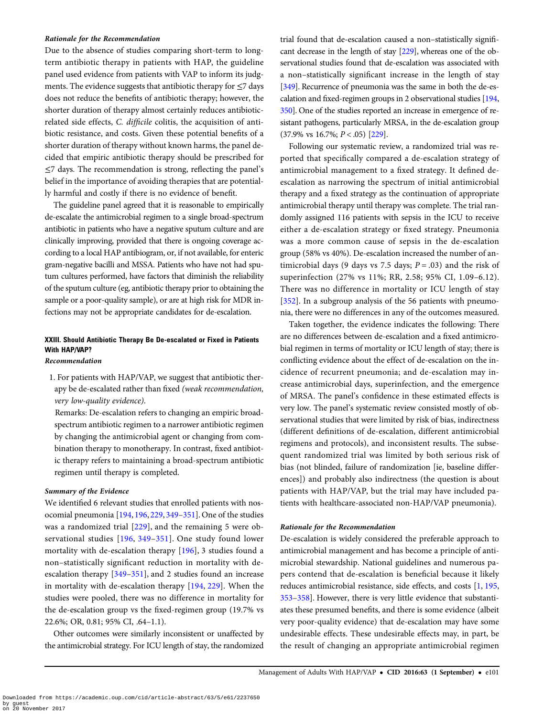#### Rationale for the Recommendation

Due to the absence of studies comparing short-term to longterm antibiotic therapy in patients with HAP, the guideline panel used evidence from patients with VAP to inform its judgments. The evidence suggests that antibiotic therapy for ≤7 days does not reduce the benefits of antibiotic therapy; however, the shorter duration of therapy almost certainly reduces antibioticrelated side effects, C. difficile colitis, the acquisition of antibiotic resistance, and costs. Given these potential benefits of a shorter duration of therapy without known harms, the panel decided that empiric antibiotic therapy should be prescribed for ≤7 days. The recommendation is strong, reflecting the panel's belief in the importance of avoiding therapies that are potentially harmful and costly if there is no evidence of benefit.

The guideline panel agreed that it is reasonable to empirically de-escalate the antimicrobial regimen to a single broad-spectrum antibiotic in patients who have a negative sputum culture and are clinically improving, provided that there is ongoing coverage according to a local HAP antibiogram, or, if not available, for enteric gram-negative bacilli and MSSA. Patients who have not had sputum cultures performed, have factors that diminish the reliability of the sputum culture (eg, antibiotic therapy prior to obtaining the sample or a poor-quality sample), or are at high risk for MDR infections may not be appropriate candidates for de-escalation.

## XXIII. Should Antibiotic Therapy Be De-escalated or Fixed in Patients With HAP/VAP?

Recommendation

1. For patients with HAP/VAP, we suggest that antibiotic therapy be de-escalated rather than fixed (weak recommendation, very low-quality evidence).

Remarks: De-escalation refers to changing an empiric broadspectrum antibiotic regimen to a narrower antibiotic regimen by changing the antimicrobial agent or changing from combination therapy to monotherapy. In contrast, fixed antibiotic therapy refers to maintaining a broad-spectrum antibiotic regimen until therapy is completed.

#### Summary of the Evidence

We identified 6 relevant studies that enrolled patients with nosocomial pneumonia [[194,](#page-46-0) [196,](#page-46-0) [229,](#page-47-0) [349](#page-50-0)–[351](#page-50-0)]. One of the studies was a randomized trial [[229\]](#page-47-0), and the remaining 5 were observational studies [[196](#page-46-0), [349](#page-50-0)–[351](#page-50-0)]. One study found lower mortality with de-escalation therapy [[196](#page-46-0)], 3 studies found a non–statistically significant reduction in mortality with deescalation therapy [[349](#page-50-0)–[351](#page-50-0)], and 2 studies found an increase in mortality with de-escalation therapy [\[194](#page-46-0), [229](#page-47-0)]. When the studies were pooled, there was no difference in mortality for the de-escalation group vs the fixed-regimen group (19.7% vs 22.6%; OR, 0.81; 95% CI, .64–1.1).

Other outcomes were similarly inconsistent or unaffected by the antimicrobial strategy. For ICU length of stay, the randomized

trial found that de-escalation caused a non–statistically significant decrease in the length of stay [[229\]](#page-47-0), whereas one of the observational studies found that de-escalation was associated with a non–statistically significant increase in the length of stay [\[349](#page-50-0)]. Recurrence of pneumonia was the same in both the de-escalation and fixed-regimen groups in 2 observational studies [[194,](#page-46-0) [350](#page-50-0)]. One of the studies reported an increase in emergence of resistant pathogens, particularly MRSA, in the de-escalation group  $(37.9\% \text{ vs } 16.7\%; P < .05)$  [\[229](#page-47-0)].

Following our systematic review, a randomized trial was reported that specifically compared a de-escalation strategy of antimicrobial management to a fixed strategy. It defined deescalation as narrowing the spectrum of initial antimicrobial therapy and a fixed strategy as the continuation of appropriate antimicrobial therapy until therapy was complete. The trial randomly assigned 116 patients with sepsis in the ICU to receive either a de-escalation strategy or fixed strategy. Pneumonia was a more common cause of sepsis in the de-escalation group (58% vs 40%). De-escalation increased the number of antimicrobial days (9 days vs 7.5 days;  $P = .03$ ) and the risk of superinfection (27% vs 11%; RR, 2.58; 95% CI, 1.09–6.12). There was no difference in mortality or ICU length of stay [\[352\]](#page-50-0). In a subgroup analysis of the 56 patients with pneumonia, there were no differences in any of the outcomes measured.

Taken together, the evidence indicates the following: There are no differences between de-escalation and a fixed antimicrobial regimen in terms of mortality or ICU length of stay; there is conflicting evidence about the effect of de-escalation on the incidence of recurrent pneumonia; and de-escalation may increase antimicrobial days, superinfection, and the emergence of MRSA. The panel's confidence in these estimated effects is very low. The panel's systematic review consisted mostly of observational studies that were limited by risk of bias, indirectness (different definitions of de-escalation, different antimicrobial regimens and protocols), and inconsistent results. The subsequent randomized trial was limited by both serious risk of bias (not blinded, failure of randomization [ie, baseline differences]) and probably also indirectness (the question is about patients with HAP/VAP, but the trial may have included patients with healthcare-associated non-HAP/VAP pneumonia).

#### Rationale for the Recommendation

De-escalation is widely considered the preferable approach to antimicrobial management and has become a principle of antimicrobial stewardship. National guidelines and numerous papers contend that de-escalation is beneficial because it likely reduces antimicrobial resistance, side effects, and costs [\[1,](#page-42-0) [195,](#page-46-0) [353](#page-50-0)–[358](#page-50-0)]. However, there is very little evidence that substantiates these presumed benefits, and there is some evidence (albeit very poor-quality evidence) that de-escalation may have some undesirable effects. These undesirable effects may, in part, be the result of changing an appropriate antimicrobial regimen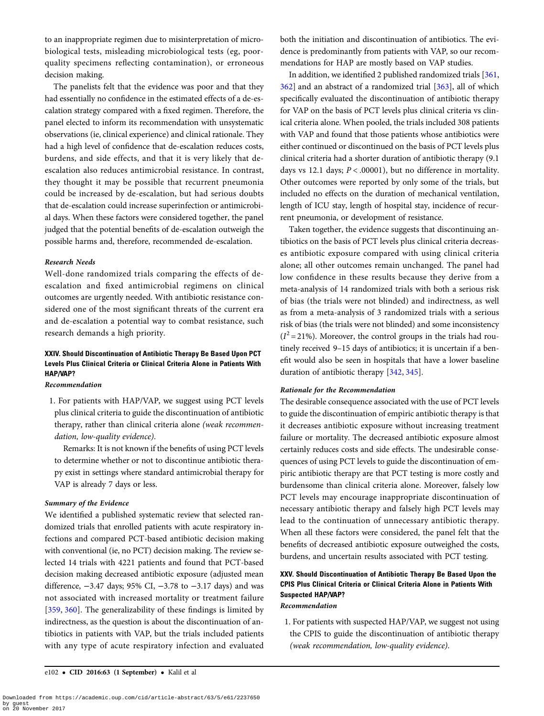to an inappropriate regimen due to misinterpretation of microbiological tests, misleading microbiological tests (eg, poorquality specimens reflecting contamination), or erroneous decision making.

The panelists felt that the evidence was poor and that they had essentially no confidence in the estimated effects of a de-escalation strategy compared with a fixed regimen. Therefore, the panel elected to inform its recommendation with unsystematic observations (ie, clinical experience) and clinical rationale. They had a high level of confidence that de-escalation reduces costs, burdens, and side effects, and that it is very likely that deescalation also reduces antimicrobial resistance. In contrast, they thought it may be possible that recurrent pneumonia could be increased by de-escalation, but had serious doubts that de-escalation could increase superinfection or antimicrobial days. When these factors were considered together, the panel judged that the potential benefits of de-escalation outweigh the possible harms and, therefore, recommended de-escalation.

## Research Needs

Well-done randomized trials comparing the effects of deescalation and fixed antimicrobial regimens on clinical outcomes are urgently needed. With antibiotic resistance considered one of the most significant threats of the current era and de-escalation a potential way to combat resistance, such research demands a high priority.

# XXIV. Should Discontinuation of Antibiotic Therapy Be Based Upon PCT Levels Plus Clinical Criteria or Clinical Criteria Alone in Patients With HAP/VAP?

## Recommendation

1. For patients with HAP/VAP, we suggest using PCT levels plus clinical criteria to guide the discontinuation of antibiotic therapy, rather than clinical criteria alone (weak recommendation, low-quality evidence).

Remarks: It is not known if the benefits of using PCT levels to determine whether or not to discontinue antibiotic therapy exist in settings where standard antimicrobial therapy for VAP is already 7 days or less.

#### Summary of the Evidence

We identified a published systematic review that selected randomized trials that enrolled patients with acute respiratory infections and compared PCT-based antibiotic decision making with conventional (ie, no PCT) decision making. The review selected 14 trials with 4221 patients and found that PCT-based decision making decreased antibiotic exposure (adjusted mean difference, −3.47 days; 95% CI, −3.78 to −3.17 days) and was not associated with increased mortality or treatment failure [\[359](#page-50-0), [360](#page-50-0)]. The generalizability of these findings is limited by indirectness, as the question is about the discontinuation of antibiotics in patients with VAP, but the trials included patients with any type of acute respiratory infection and evaluated both the initiation and discontinuation of antibiotics. The evidence is predominantly from patients with VAP, so our recommendations for HAP are mostly based on VAP studies.

In addition, we identified 2 published randomized trials [\[361,](#page-50-0) [362\]](#page-50-0) and an abstract of a randomized trial [[363](#page-50-0)], all of which specifically evaluated the discontinuation of antibiotic therapy for VAP on the basis of PCT levels plus clinical criteria vs clinical criteria alone. When pooled, the trials included 308 patients with VAP and found that those patients whose antibiotics were either continued or discontinued on the basis of PCT levels plus clinical criteria had a shorter duration of antibiotic therapy (9.1 days vs 12.1 days;  $P < .00001$ ), but no difference in mortality. Other outcomes were reported by only some of the trials, but included no effects on the duration of mechanical ventilation, length of ICU stay, length of hospital stay, incidence of recurrent pneumonia, or development of resistance.

Taken together, the evidence suggests that discontinuing antibiotics on the basis of PCT levels plus clinical criteria decreases antibiotic exposure compared with using clinical criteria alone; all other outcomes remain unchanged. The panel had low confidence in these results because they derive from a meta-analysis of 14 randomized trials with both a serious risk of bias (the trials were not blinded) and indirectness, as well as from a meta-analysis of 3 randomized trials with a serious risk of bias (the trials were not blinded) and some inconsistency  $(I^2 = 21\%)$ . Moreover, the control groups in the trials had routinely received 9–15 days of antibiotics; it is uncertain if a benefit would also be seen in hospitals that have a lower baseline duration of antibiotic therapy [\[342,](#page-50-0) [345\]](#page-50-0).

#### Rationale for the Recommendation

The desirable consequence associated with the use of PCT levels to guide the discontinuation of empiric antibiotic therapy is that it decreases antibiotic exposure without increasing treatment failure or mortality. The decreased antibiotic exposure almost certainly reduces costs and side effects. The undesirable consequences of using PCT levels to guide the discontinuation of empiric antibiotic therapy are that PCT testing is more costly and burdensome than clinical criteria alone. Moreover, falsely low PCT levels may encourage inappropriate discontinuation of necessary antibiotic therapy and falsely high PCT levels may lead to the continuation of unnecessary antibiotic therapy. When all these factors were considered, the panel felt that the benefits of decreased antibiotic exposure outweighed the costs, burdens, and uncertain results associated with PCT testing.

## XXV. Should Discontinuation of Antibiotic Therapy Be Based Upon the CPIS Plus Clinical Criteria or Clinical Criteria Alone in Patients With Suspected HAP/VAP? Recommendation

1. For patients with suspected HAP/VAP, we suggest not using the CPIS to guide the discontinuation of antibiotic therapy (weak recommendation, low-quality evidence).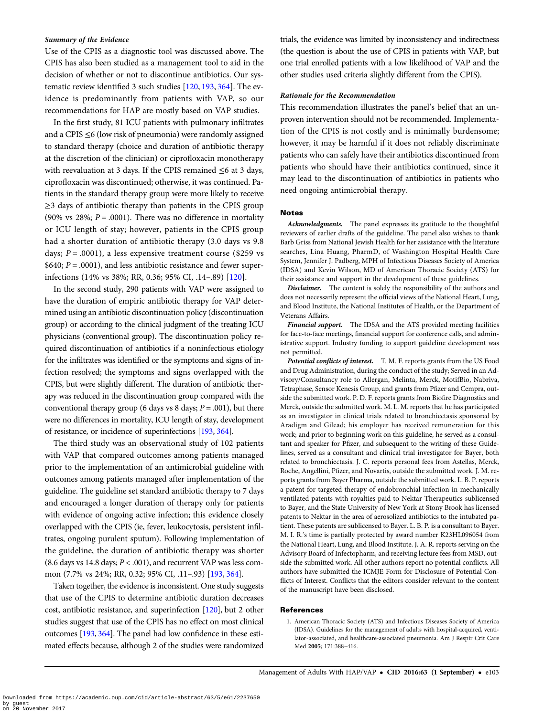#### <span id="page-42-0"></span>Summary of the Evidence

Use of the CPIS as a diagnostic tool was discussed above. The CPIS has also been studied as a management tool to aid in the decision of whether or not to discontinue antibiotics. Our systematic review identified 3 such studies [[120](#page-45-0), [193,](#page-46-0) [364](#page-50-0)]. The evidence is predominantly from patients with VAP, so our recommendations for HAP are mostly based on VAP studies.

In the first study, 81 ICU patients with pulmonary infiltrates and a CPIS ≤6 (low risk of pneumonia) were randomly assigned to standard therapy (choice and duration of antibiotic therapy at the discretion of the clinician) or ciprofloxacin monotherapy with reevaluation at 3 days. If the CPIS remained ≤6 at 3 days, ciprofloxacin was discontinued; otherwise, it was continued. Patients in the standard therapy group were more likely to receive ≥3 days of antibiotic therapy than patients in the CPIS group (90% vs 28%;  $P = .0001$ ). There was no difference in mortality or ICU length of stay; however, patients in the CPIS group had a shorter duration of antibiotic therapy (3.0 days vs 9.8 days;  $P = .0001$ ), a less expensive treatment course (\$259 vs  $$640; P = .0001$ ), and less antibiotic resistance and fewer superinfections (14% vs 38%; RR, 0.36; 95% CI, .14–.89) [\[120](#page-45-0)].

In the second study, 290 patients with VAP were assigned to have the duration of empiric antibiotic therapy for VAP determined using an antibiotic discontinuation policy (discontinuation group) or according to the clinical judgment of the treating ICU physicians (conventional group). The discontinuation policy required discontinuation of antibiotics if a noninfectious etiology for the infiltrates was identified or the symptoms and signs of infection resolved; the symptoms and signs overlapped with the CPIS, but were slightly different. The duration of antibiotic therapy was reduced in the discontinuation group compared with the conventional therapy group (6 days vs 8 days;  $P = .001$ ), but there were no differences in mortality, ICU length of stay, development of resistance, or incidence of superinfections [\[193](#page-46-0), [364\]](#page-50-0).

The third study was an observational study of 102 patients with VAP that compared outcomes among patients managed prior to the implementation of an antimicrobial guideline with outcomes among patients managed after implementation of the guideline. The guideline set standard antibiotic therapy to 7 days and encouraged a longer duration of therapy only for patients with evidence of ongoing active infection; this evidence closely overlapped with the CPIS (ie, fever, leukocytosis, persistent infiltrates, ongoing purulent sputum). Following implementation of the guideline, the duration of antibiotic therapy was shorter (8.6 days vs 14.8 days;  $P < .001$ ), and recurrent VAP was less common (7.7% vs 24%; RR, 0.32; 95% CI, .11–.93) [[193](#page-46-0), [364\]](#page-50-0).

Taken together, the evidence is inconsistent. One study suggests that use of the CPIS to determine antibiotic duration decreases cost, antibiotic resistance, and superinfection [\[120\]](#page-45-0), but 2 other studies suggest that use of the CPIS has no effect on most clinical outcomes [\[193](#page-46-0), [364](#page-50-0)]. The panel had low confidence in these estimated effects because, although 2 of the studies were randomized trials, the evidence was limited by inconsistency and indirectness (the question is about the use of CPIS in patients with VAP, but one trial enrolled patients with a low likelihood of VAP and the other studies used criteria slightly different from the CPIS).

#### Rationale for the Recommendation

This recommendation illustrates the panel's belief that an unproven intervention should not be recommended. Implementation of the CPIS is not costly and is minimally burdensome; however, it may be harmful if it does not reliably discriminate patients who can safely have their antibiotics discontinued from patients who should have their antibiotics continued, since it may lead to the discontinuation of antibiotics in patients who need ongoing antimicrobial therapy.

#### **Notes**

Acknowledgments. The panel expresses its gratitude to the thoughtful reviewers of earlier drafts of the guideline. The panel also wishes to thank Barb Griss from National Jewish Health for her assistance with the literature searches, Lina Huang, PharmD, of Washington Hospital Health Care System, Jennifer J. Padberg, MPH of Infectious Diseases Society of America (IDSA) and Kevin Wilson, MD of American Thoracic Society (ATS) for their assistance and support in the development of these guidelines.

Disclaimer. The content is solely the responsibility of the authors and does not necessarily represent the official views of the National Heart, Lung, and Blood Institute, the National Institutes of Health, or the Department of Veterans Affairs.

Financial support. The IDSA and the ATS provided meeting facilities for face-to-face meetings, financial support for conference calls, and administrative support. Industry funding to support guideline development was not permitted.

Potential conflicts of interest. T. M. F. reports grants from the US Food and Drug Administration, during the conduct of the study; Served in an Advisory/Consultancy role to Allergan, Melinta, Merck, MotifBio, Nabriva, Tetraphase, Sensor Kenesis Group, and grants from Pfizer and Cempra, outside the submitted work. P. D. F. reports grants from Biofire Diagnostics and Merck, outside the submitted work. M. L. M. reports that he has participated as an investigator in clinical trials related to bronchiectasis sponsored by Aradigm and Gilead; his employer has received remuneration for this work; and prior to beginning work on this guideline, he served as a consultant and speaker for Pfizer, and subsequent to the writing of these Guidelines, served as a consultant and clinical trial investigator for Bayer, both related to bronchiectasis. J. C. reports personal fees from Astellas, Merck, Roche, Angellini, Pfizer, and Novartis, outside the submitted work. J. M. reports grants from Bayer Pharma, outside the submitted work. L. B. P. reports a patent for targeted therapy of endobronchial infection in mechanically ventilated patents with royalties paid to Nektar Therapeutics sublicensed to Bayer, and the State University of New York at Stony Brook has licensed patents to Nektar in the area of aerosolized antibiotics to the intubated patient. These patents are sublicensed to Bayer. L. B. P. is a consultant to Bayer. M. I. R.'s time is partially protected by award number K23HL096054 from the National Heart, Lung, and Blood Institute. J. A. R. reports serving on the Advisory Board of Infectopharm, and receiving lecture fees from MSD, outside the submitted work. All other authors report no potential conflicts. All authors have submitted the ICMJE Form for Disclosure of Potential Conflicts of Interest. Conflicts that the editors consider relevant to the content of the manuscript have been disclosed.

#### References

1. American Thoracic Society (ATS) and Infectious Diseases Society of America (IDSA). Guidelines for the management of adults with hospital-acquired, ventilator-associated, and healthcare-associated pneumonia. Am J Respir Crit Care Med 2005; 171:388–416.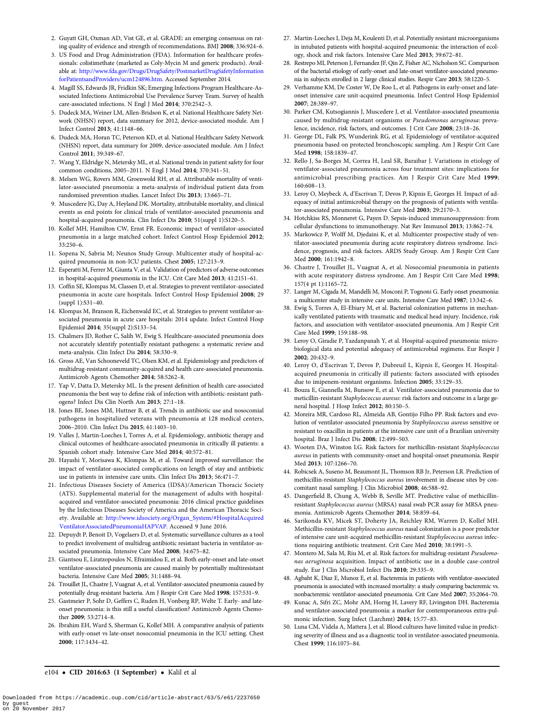- <span id="page-43-0"></span>2. Guyatt GH, Oxman AD, Vist GE, et al. GRADE: an emerging consensus on rating quality of evidence and strength of recommendations. BMJ 2008; 336:924–6.
- 3. US Food and Drug Administration (FDA). Information for healthcare professionals: colistimethate (marketed as Coly-Mycin M and generic products). Available at: [http://www.fda.gov/Drugs/DrugSafety/PostmarketDrugSafetyInformation](http://www.fda.gov/Drugs/DrugSafety/PostmarketDrugSafetyInformationforPatientsandProviders/ucm124896.htm) [forPatientsandProviders/ucm124896.htm.](http://www.fda.gov/Drugs/DrugSafety/PostmarketDrugSafetyInformationforPatientsandProviders/ucm124896.htm) Accessed September 2014.
- 4. Magill SS, Edwards JR, Fridkin SK; Emerging Infections Program Healthcare-Associated Infections Antimicrobial Use Prevalence Survey Team. Survey of health care-associated infections. N Engl J Med 2014; 370:2542–3.
- 5. Dudeck MA, Weiner LM, Allen-Bridson K, et al. National Healthcare Safety Network (NHSN) report, data summary for 2012, device-associated module. Am J Infect Control 2013; 41:1148–66.
- 6. Dudeck MA, Horan TC, Peterson KD, et al. National Healthcare Safety Network (NHSN) report, data summary for 2009, device-associated module. Am J Infect Control 2011; 39:349–67.
- 7. Wang Y, Eldridge N, Metersky ML, et al. National trends in patient safety for four common conditions, 2005–2011. N Engl J Med 2014; 370:341–51.
- 8. Melsen WG, Rovers MM, Groenwold RH, et al. Attributable mortality of ventilator-associated pneumonia: a meta-analysis of individual patient data from randomised prevention studies. Lancet Infect Dis 2013; 13:665–71.
- 9. Muscedere JG, Day A, Heyland DK. Mortality, attributable mortality, and clinical events as end points for clinical trials of ventilator-associated pneumonia and hospital-acquired pneumonia. Clin Infect Dis 2010; 51(suppl 1):S120–5.
- 10. Kollef MH, Hamilton CW, Ernst FR. Economic impact of ventilator-associated pneumonia in a large matched cohort. Infect Control Hosp Epidemiol 2012; 33:250–6.
- 11. Sopena N, Sabria M; Neunos Study Group. Multicenter study of hospital-acquired pneumonia in non-ICU patients. Chest 2005; 127:213–9.
- 12. Esperatti M, Ferrer M, Giunta V, et al. Validation of predictors of adverse outcomes in hospital-acquired pneumonia in the ICU. Crit Care Med 2013; 41:2151–61.
- 13. Coffin SE, Klompas M, Classen D, et al. Strategies to prevent ventilator-associated pneumonia in acute care hospitals. Infect Control Hosp Epidemiol 2008; 29 (suppl 1):S31–40.
- 14. Klompas M, Branson R, Eichenwald EC, et al. Strategies to prevent ventilator-associated pneumonia in acute care hospitals: 2014 update. Infect Control Hosp Epidemiol 2014; 35(suppl 2):S133–54.
- 15. Chalmers JD, Rother C, Salih W, Ewig S. Healthcare-associated pneumonia does not accurately identify potentially resistant pathogens: a systematic review and meta-analysis. Clin Infect Dis 2014; 58:330–9.
- 16. Gross AE, Van Schooneveld TC, Olsen KM, et al. Epidemiology and predictors of multidrug-resistant community-acquired and health care-associated pneumonia. Antimicrob Agents Chemother 2014; 58:5262–8.
- 17. Yap V, Datta D, Metersky ML. Is the present definition of health care-associated pneumonia the best way to define risk of infection with antibiotic-resistant pathogens? Infect Dis Clin North Am 2013; 27:1–18.
- 18. Jones BE, Jones MM, Huttner B, et al. Trends in antibiotic use and nosocomial pathogens in hospitalized veterans with pneumonia at 128 medical centers, 2006–2010. Clin Infect Dis 2015; 61:1403–10.
- 19. Valles J, Martin-Loeches I, Torres A, et al. Epidemiology, antibiotic therapy and clinical outcomes of healthcare-associated pneumonia in critically ill patients: a Spanish cohort study. Intensive Care Med 2014; 40:572–81.
- 20. Hayashi Y, Morisawa K, Klompas M, et al. Toward improved surveillance: the impact of ventilator-associated complications on length of stay and antibiotic use in patients in intensive care units. Clin Infect Dis 2013; 56:471–7.
- 21. Infectious Diseases Society of America (IDSA)/American Thoracic Society (ATS). Supplemental material for the management of adults with hospitalacquired and ventilator-associated pneumonia: 2016 clinical practice guidelines by the Infectious Diseases Society of America and the American Thoracic Society. Available at: [http://www.idsociety.org/Organ\\_System/#HospitalAcquired](http://www.idsociety.org/Organ_System/#HospitalAcquiredVentilatorAssociatedPneumoniaHAPVAP) [VentilatorAssociatedPneumoniaHAPVAP.](http://www.idsociety.org/Organ_System/#HospitalAcquiredVentilatorAssociatedPneumoniaHAPVAP) Accessed 9 June 2016.
- 22. Depuydt P, Benoit D, Vogelaers D, et al. Systematic surveillance cultures as a tool to predict involvement of multidrug antibiotic resistant bacteria in ventilator-associated pneumonia. Intensive Care Med 2008; 34:675–82.
- 23. Giantsou E, Liratzopoulos N, Efraimidou E, et al. Both early-onset and late-onset ventilator-associated pneumonia are caused mainly by potentially multiresistant bacteria. Intensive Care Med 2005; 31:1488–94.
- 24. Trouillet JL, Chastre J, Vuagnat A, et al. Ventilator-associated pneumonia caused by potentially drug-resistant bacteria. Am J Respir Crit Care Med 1998; 157:531–9.
- 25. Gastmeier P, Sohr D, Geffers C, Ruden H, Vonberg RP, Welte T. Early- and lateonset pneumonia: is this still a useful classification? Antimicrob Agents Chemother 2009; 53:2714–8.
- 26. Ibrahim EH, Ward S, Sherman G, Kollef MH. A comparative analysis of patients with early-onset vs late-onset nosocomial pneumonia in the ICU setting. Chest 2000; 117:1434–42.
- 27. Martin-Loeches I, Deja M, Koulenti D, et al. Potentially resistant microorganisms in intubated patients with hospital-acquired pneumonia: the interaction of ecology, shock and risk factors. Intensive Care Med 2013; 39:672–81.
- 28. Restrepo MI, Peterson J, Fernandez JF, Qin Z, Fisher AC, Nicholson SC. Comparison of the bacterial etiology of early-onset and late-onset ventilator-associated pneumonia in subjects enrolled in 2 large clinical studies. Respir Care 2013; 58:1220–5.
- 29. Verhamme KM, De Coster W, De Roo L, et al. Pathogens in early-onset and lateonset intensive care unit-acquired pneumonia. Infect Control Hosp Epidemiol 2007; 28:389–97.
- 30. Parker CM, Kutsogiannis J, Muscedere J, et al. Ventilator-associated pneumonia caused by multidrug-resistant organisms or Pseudomonas aeruginosa: prevalence, incidence, risk factors, and outcomes. J Crit Care 2008; 23:18–26.
- 31. George DL, Falk PS, Wunderink RG, et al. Epidemiology of ventilator-acquired pneumonia based on protected bronchoscopic sampling. Am J Respir Crit Care Med 1998; 158:1839–47.
- 32. Rello J, Sa-Borges M, Correa H, Leal SR, Baraibar J. Variations in etiology of ventilator-associated pneumonia across four treatment sites: implications for antimicrobial prescribing practices. Am J Respir Crit Care Med 1999; 160:608–13.
- 33. Leroy O, Meybeck A, d'Escrivan T, Devos P, Kipnis E, Georges H. Impact of adequacy of initial antimicrobial therapy on the prognosis of patients with ventilator-associated pneumonia. Intensive Care Med 2003; 29:2170–3.
- 34. Hotchkiss RS, Monneret G, Payen D. Sepsis-induced immunosuppression: from cellular dysfunctions to immunotherapy. Nat Rev Immunol 2013; 13:862–74.
- 35. Markowicz P, Wolff M, Djedaini K, et al. Multicenter prospective study of ventilator-associated pneumonia during acute respiratory distress syndrome. Incidence, prognosis, and risk factors. ARDS Study Group. Am J Respir Crit Care Med 2000; 161:1942–8.
- 36. Chastre J, Trouillet JL, Vuagnat A, et al. Nosocomial pneumonia in patients with acute respiratory distress syndrome. Am J Respir Crit Care Med 1998; 157(4 pt 1):1165–72.
- 37. Langer M, Cigada M, Mandelli M, Mosconi P, Tognoni G. Early onset pneumonia: a multicenter study in intensive care units. Intensive Care Med 1987; 13:342–6.
- 38. Ewig S, Torres A, El-Ebiary M, et al. Bacterial colonization patterns in mechanically ventilated patients with traumatic and medical head injury. Incidence, risk factors, and association with ventilator-associated pneumonia. Am J Respir Crit Care Med 1999; 159:188–98.
- 39. Leroy O, Giradie P, Yazdanpanah Y, et al. Hospital-acquired pneumonia: microbiological data and potential adequacy of antimicrobial regimens. Eur Respir J 2002; 20:432–9.
- 40. Leroy O, d'Escrivan T, Devos P, Dubreuil L, Kipnis E, Georges H. Hospitalacquired pneumonia in critically ill patients: factors associated with episodes due to imipenem-resistant organisms. Infection 2005; 33:129–35.
- 41. Bouza E, Giannella M, Bunsow E, et al. Ventilator-associated pneumonia due to meticillin-resistant Staphylococcus aureus: risk factors and outcome in a large general hospital. J Hosp Infect 2012; 80:150–5.
- 42. Moreira MR, Cardoso RL, Almeida AB, Gontijo Filho PP. Risk factors and evolution of ventilator-associated pneumonia by Staphylococcus aureus sensitive or resistant to oxacillin in patients at the intensive care unit of a Brazilian university hospital. Braz J Infect Dis 2008; 12:499–503.
- 43. Wooten DA, Winston LG. Risk factors for methicillin-resistant Staphylococcus aureus in patients with community-onset and hospital-onset pneumonia. Respir Med 2013; 107:1266–70.
- 44. Robicsek A, Suseno M, Beaumont JL, Thomson RB Jr, Peterson LR. Prediction of methicillin-resistant Staphylococcus aureus involvement in disease sites by concomitant nasal sampling. J Clin Microbiol 2008; 46:588–92.
- 45. Dangerfield B, Chung A, Webb B, Seville MT. Predictive value of methicillinresistant Staphylococcus aureus (MRSA) nasal swab PCR assay for MRSA pneumonia. Antimicrob Agents Chemother 2014; 58:859–64.
- 46. Sarikonda KV, Micek ST, Doherty JA, Reichley RM, Warren D, Kollef MH. Methicillin-resistant Staphylococcus aureus nasal colonization is a poor predictor of intensive care unit-acquired methicillin-resistant Staphylococcus aureus infections requiring antibiotic treatment. Crit Care Med 2010; 38:1991–5.
- 47. Montero M, Sala M, Riu M, et al. Risk factors for multidrug-resistant Pseudomonas aeruginosa acquisition. Impact of antibiotic use in a double case-control study. Eur J Clin Microbiol Infect Dis 2010; 29:335–9.
- 48. Agbaht K, Diaz E, Munoz E, et al. Bacteremia in patients with ventilator-associated pneumonia is associated with increased mortality: a study comparing bacteremic vs. nonbacteremic ventilator-associated pneumonia. Crit Care Med 2007; 35:2064–70.
- 49. Kunac A, Sifri ZC, Mohr AM, Horng H, Lavery RF, Livingston DH. Bacteremia and ventilator-associated pneumonia: a marker for contemporaneous extra-pulmonic infection. Surg Infect (Larchmt) 2014; 15:77–83.
- 50. Luna CM, Videla A, Mattera J, et al. Blood cultures have limited value in predicting severity of illness and as a diagnostic tool in ventilator-associated pneumonia. Chest 1999; 116:1075–84.

e104 • CID 2016:63 (1 September) • Kalil et al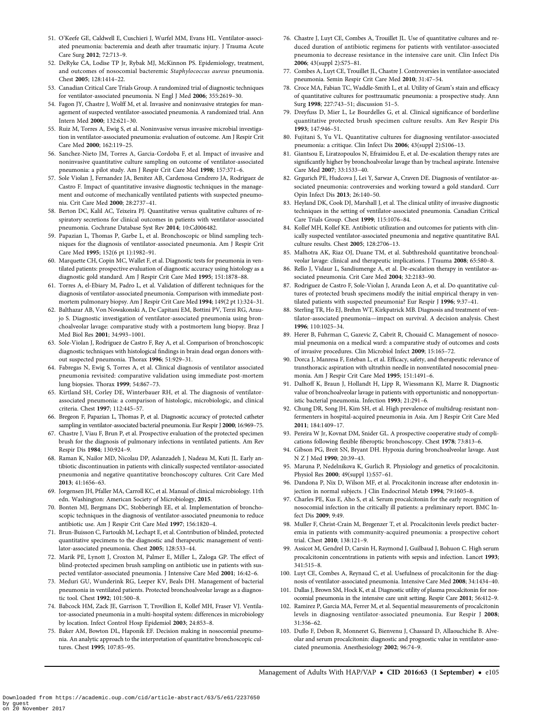- <span id="page-44-0"></span>51. O'Keefe GE, Caldwell E, Cuschieri J, Wurfel MM, Evans HL. Ventilator-associated pneumonia: bacteremia and death after traumatic injury. J Trauma Acute Care Surg 2012; 72:713–9.
- 52. DeRyke CA, Lodise TP Jr, Rybak MJ, McKinnon PS. Epidemiology, treatment, and outcomes of nosocomial bacteremic Staphylococcus aureus pneumonia. Chest 2005; 128:1414–22.
- 53. Canadian Critical Care Trials Group. A randomized trial of diagnostic techniques for ventilator-associated pneumonia. N Engl J Med 2006; 355:2619–30.
- 54. Fagon JY, Chastre J, Wolff M, et al. Invasive and noninvasive strategies for management of suspected ventilator-associated pneumonia. A randomized trial. Ann Intern Med 2000; 132:621–30.
- 55. Ruiz M, Torres A, Ewig S, et al. Noninvasive versus invasive microbial investigation in ventilator-associated pneumonia: evaluation of outcome. Am J Respir Crit Care Med 2000; 162:119–25.
- 56. Sanchez-Nieto JM, Torres A, Garcia-Cordoba F, et al. Impact of invasive and noninvasive quantitative culture sampling on outcome of ventilator-associated pneumonia: a pilot study. Am J Respir Crit Care Med 1998; 157:371–6.
- 57. Sole Violan J, Fernandez JA, Benitez AB, Cardenosa Cendrero JA, Rodriguez de Castro F. Impact of quantitative invasive diagnostic techniques in the management and outcome of mechanically ventilated patients with suspected pneumonia. Crit Care Med 2000; 28:2737–41.
- 58. Berton DC, Kalil AC, Teixeira PJ. Quantitative versus qualitative cultures of respiratory secretions for clinical outcomes in patients with ventilator-associated pneumonia. Cochrane Database Syst Rev 2014; 10:Cd006482.
- 59. Papazian L, Thomas P, Garbe L, et al. Bronchoscopic or blind sampling techniques for the diagnosis of ventilator-associated pneumonia. Am J Respir Crit Care Med 1995; 152(6 pt 1):1982–91.
- 60. Marquette CH, Copin MC, Wallet F, et al. Diagnostic tests for pneumonia in ventilated patients: prospective evaluation of diagnostic accuracy using histology as a diagnostic gold standard. Am J Respir Crit Care Med 1995; 151:1878–88.
- 61. Torres A, el-Ebiary M, Padro L, et al. Validation of different techniques for the diagnosis of ventilator-associated pneumonia. Comparison with immediate postmortem pulmonary biopsy. Am J Respir Crit Care Med 1994; 149(2 pt 1):324–31.
- 62. Balthazar AB, Von Nowakonski A, De Capitani EM, Bottini PV, Terzi RG, Araujo S. Diagnostic investigation of ventilator-associated pneumonia using bronchoalveolar lavage: comparative study with a postmortem lung biopsy. Braz J Med Biol Res 2001; 34:993–1001.
- 63. Sole-Violan J, Rodriguez de Castro F, Rey A, et al. Comparison of bronchoscopic diagnostic techniques with histological findings in brain dead organ donors without suspected pneumonia. Thorax 1996; 51:929–31.
- 64. Fabregas N, Ewig S, Torres A, et al. Clinical diagnosis of ventilator associated pneumonia revisited: comparative validation using immediate post-mortem lung biopsies. Thorax 1999; 54:867–73.
- 65. Kirtland SH, Corley DE, Winterbauer RH, et al. The diagnosis of ventilatorassociated pneumonia: a comparison of histologic, microbiologic, and clinical criteria. Chest 1997; 112:445–57.
- 66. Bregeon F, Papazian L, Thomas P, et al. Diagnostic accuracy of protected catheter sampling in ventilator-associated bacterial pneumonia. Eur Respir J 2000; 16:969–75.
- 67. Chastre J, Viau F, Brun P, et al. Prospective evaluation of the protected specimen brush for the diagnosis of pulmonary infections in ventilated patients. Am Rev Respir Dis 1984; 130:924–9.
- 68. Raman K, Nailor MD, Nicolau DP, Aslanzadeh J, Nadeau M, Kuti JL. Early antibiotic discontinuation in patients with clinically suspected ventilator-associated pneumonia and negative quantitative bronchoscopy cultures. Crit Care Med 2013; 41:1656–63.
- 69. Jorgensen JH, Pfaller MA, Carroll KC, et al. Manual of clinical microbiology. 11th edn. Washington: American Society of Microbiology, 2015.
- 70. Bonten MJ, Bergmans DC, Stobberingh EE, et al. Implementation of bronchoscopic techniques in the diagnosis of ventilator-associated pneumonia to reduce antibiotic use. Am J Respir Crit Care Med 1997; 156:1820–4.
- 71. Brun-Buisson C, Fartoukh M, Lechapt E, et al. Contribution of blinded, protected quantitative specimens to the diagnostic and therapeutic management of ventilator-associated pneumonia. Chest 2005; 128:533–44.
- 72. Marik PE, Lynott J, Croxton M, Palmer E, Miller L, Zaloga GP. The effect of blind-protected specimen brush sampling on antibiotic use in patients with suspected ventilator-associated pneumonia. J Intensive Care Med 2001; 16:42–6.
- 73. Meduri GU, Wunderink RG, Leeper KV, Beals DH. Management of bacterial pneumonia in ventilated patients. Protected bronchoalveolar lavage as a diagnostic tool. Chest 1992; 101:500–8.
- 74. Babcock HM, Zack JE, Garrison T, Trovillion E, Kollef MH, Fraser VJ. Ventilator-associated pneumonia in a multi-hospital system: differences in microbiology by location. Infect Control Hosp Epidemiol 2003; 24:853–8.
- 75. Baker AM, Bowton DL, Haponik EF. Decision making in nosocomial pneumonia. An analytic approach to the interpretation of quantitative bronchoscopic cultures. Chest 1995; 107:85–95.
- 76. Chastre J, Luyt CE, Combes A, Trouillet JL. Use of quantitative cultures and reduced duration of antibiotic regimens for patients with ventilator-associated pneumonia to decrease resistance in the intensive care unit. Clin Infect Dis 2006; 43(suppl 2):S75–81.
- 77. Combes A, Luyt CE, Trouillet JL, Chastre J. Controversies in ventilator-associated pneumonia. Semin Respir Crit Care Med 2010; 31:47–54.
- 78. Croce MA, Fabian TC, Waddle-Smith L, et al. Utility of Gram's stain and efficacy of quantitative cultures for posttraumatic pneumonia: a prospective study. Ann Surg 1998; 227:743–51; discussion 51–5.
- 79. Dreyfuss D, Mier L, Le Bourdelles G, et al. Clinical significance of borderline quantitative protected brush specimen culture results. Am Rev Respir Dis 1993; 147:946–51.
- 80. Fujitani S, Yu VL. Quantitative cultures for diagnosing ventilator-associated pneumonia: a critique. Clin Infect Dis 2006; 43(suppl 2):S106–13.
- 81. Giantsou E, Liratzopoulos N, Efraimidou E, et al. De-escalation therapy rates are significantly higher by bronchoalveolar lavage than by tracheal aspirate. Intensive Care Med 2007; 33:1533–40.
- 82. Grgurich PE, Hudcova J, Lei Y, Sarwar A, Craven DE. Diagnosis of ventilator-associated pneumonia: controversies and working toward a gold standard. Curr Opin Infect Dis 2013; 26:140–50.
- 83. Heyland DK, Cook DJ, Marshall J, et al. The clinical utility of invasive diagnostic techniques in the setting of ventilator-associated pneumonia. Canadian Critical Care Trials Group. Chest 1999; 115:1076–84.
- 84. Kollef MH, Kollef KE. Antibiotic utilization and outcomes for patients with clinically suspected ventilator-associated pneumonia and negative quantitative BAL culture results. Chest 2005; 128:2706–13.
- 85. Malhotra AK, Riaz OJ, Duane TM, et al. Subthreshold quantitative bronchoalveolar lavage: clinical and therapeutic implications. J Trauma 2008; 65:580–8.
- 86. Rello J, Vidaur L, Sandiumenge A, et al. De-escalation therapy in ventilator-associated pneumonia. Crit Care Med 2004; 32:2183–90.
- 87. Rodriguez de Castro F, Sole-Violan J, Aranda Leon A, et al. Do quantitative cultures of protected brush specimens modify the initial empirical therapy in ventilated patients with suspected pneumonia? Eur Respir J 1996; 9:37–41.
- Sterling TR, Ho EJ, Brehm WT, Kirkpatrick MB. Diagnosis and treatment of ventilator-associated pneumonia—impact on survival. A decision analysis. Chest 1996; 110:1025–34.
- 89. Herer B, Fuhrman C, Gazevic Z, Cabrit R, Chouaid C. Management of nosocomial pneumonia on a medical ward: a comparative study of outcomes and costs of invasive procedures. Clin Microbiol Infect 2009; 15:165–72.
- 90. Dorca J, Manresa F, Esteban L, et al. Efficacy, safety, and therapeutic relevance of transthoracic aspiration with ultrathin needle in nonventilated nosocomial pneumonia. Am J Respir Crit Care Med 1995; 151:1491–6.
- 91. Dalhoff K, Braun J, Hollandt H, Lipp R, Wiessmann KJ, Marre R. Diagnostic value of bronchoalveolar lavage in patients with opportunistic and nonopportunistic bacterial pneumonia. Infection 1993; 21:291–6.
- 92. Chung DR, Song JH, Kim SH, et al. High prevalence of multidrug-resistant nonfermenters in hospital-acquired pneumonia in Asia. Am J Respir Crit Care Med 2011; 184:1409–17.
- 93. Pereira W Jr, Kovnat DM, Snider GL. A prospective cooperative study of complications following flexible fiberoptic bronchoscopy. Chest 1978; 73:813–6.
- 94. Gibson PG, Breit SN, Bryant DH. Hypoxia during bronchoalveolar lavage. Aust N Z J Med 1990; 20:39–43.
- 95. Maruna P, Nedelnikova K, Gurlich R. Physiology and genetics of procalcitonin. Physiol Res 2000; 49(suppl 1):S57–61.
- 96. Dandona P, Nix D, Wilson MF, et al. Procalcitonin increase after endotoxin injection in normal subjects. J Clin Endocrinol Metab 1994; 79:1605–8.
- 97. Charles PE, Kus E, Aho S, et al. Serum procalcitonin for the early recognition of nosocomial infection in the critically ill patients: a preliminary report. BMC Infect Dis 2009; 9:49.
- 98. Muller F, Christ-Crain M, Bregenzer T, et al. Procalcitonin levels predict bacteremia in patients with community-acquired pneumonia: a prospective cohort trial. Chest 2010; 138:121–9.
- 99. Assicot M, Gendrel D, Carsin H, Raymond J, Guilbaud J, Bohuon C. High serum procalcitonin concentrations in patients with sepsis and infection. Lancet 1993; 341:515–8.
- 100. Luyt CE, Combes A, Reynaud C, et al. Usefulness of procalcitonin for the diagnosis of ventilator-associated pneumonia. Intensive Care Med 2008; 34:1434–40.
- 101. Dallas J, Brown SM, Hock K, et al. Diagnostic utility of plasma procalcitonin for nosocomial pneumonia in the intensive care unit setting. Respir Care 2011; 56:412–9.
- 102. Ramirez P, Garcia MA, Ferrer M, et al. Sequential measurements of procalcitonin levels in diagnosing ventilator-associated pneumonia. Eur Respir J 2008; 31:356–62.
- 103. Duflo F, Debon R, Monneret G, Bienvenu J, Chassard D, Allaouchiche B. Alveolar and serum procalcitonin: diagnostic and prognostic value in ventilator-associated pneumonia. Anesthesiology 2002; 96:74–9.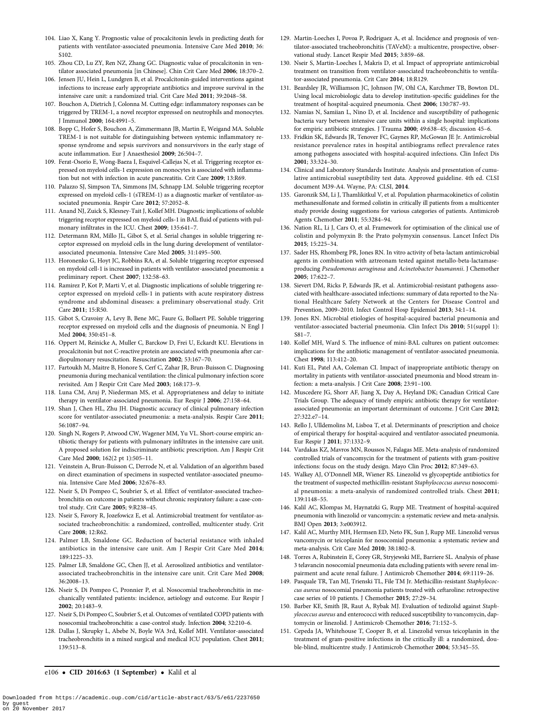- <span id="page-45-0"></span>104. Liao X, Kang Y. Prognostic value of procalcitonin levels in predicting death for patients with ventilator-associated pneumonia. Intensive Care Med 2010; 36: S102.
- 105. Zhou CD, Lu ZY, Ren NZ, Zhang GC. Diagnostic value of procalcitonin in ventilator associated pneumonia [in Chinese]. Chin Crit Care Med 2006; 18:370–2.
- 106. Jensen JU, Hein L, Lundgren B, et al. Procalcitonin-guided interventions against infections to increase early appropriate antibiotics and improve survival in the intensive care unit: a randomized trial. Crit Care Med 2011; 39:2048–58.
- 107. Bouchon A, Dietrich J, Colonna M. Cutting edge: inflammatory responses can be triggered by TREM-1, a novel receptor expressed on neutrophils and monocytes. J Immunol 2000; 164:4991–5.
- 108. Bopp C, Hofer S, Bouchon A, Zimmermann JB, Martin E, Weigand MA. Soluble TREM-1 is not suitable for distinguishing between systemic inflammatory response syndrome and sepsis survivors and nonsurvivors in the early stage of acute inflammation. Eur J Anaesthesiol 2009; 26:504–7.
- 109. Ferat-Osorio E, Wong-Baeza I, Esquivel-Callejas N, et al. Triggering receptor expressed on myeloid cells-1 expression on monocytes is associated with inflammation but not with infection in acute pancreatitis. Crit Care 2009; 13:R69.
- 110. Palazzo SJ, Simpson TA, Simmons JM, Schnapp LM. Soluble triggering receptor expressed on myeloid cells-1 (sTREM-1) as a diagnostic marker of ventilator-associated pneumonia. Respir Care 2012; 57:2052–8.
- 111. Anand NJ, Zuick S, Klesney-Tait J, Kollef MH. Diagnostic implications of soluble triggering receptor expressed on myeloid cells-1 in BAL fluid of patients with pulmonary infiltrates in the ICU. Chest 2009; 135:641–7.
- 112. Determann RM, Millo JL, Gibot S, et al. Serial changes in soluble triggering receptor expressed on myeloid cells in the lung during development of ventilatorassociated pneumonia. Intensive Care Med 2005; 31:1495–500.
- 113. Horonenko G, Hoyt JC, Robbins RA, et al. Soluble triggering receptor expressed on myeloid cell-1 is increased in patients with ventilator-associated pneumonia: a preliminary report. Chest 2007; 132:58–63.
- 114. Ramirez P, Kot P, Marti V, et al. Diagnostic implications of soluble triggering receptor expressed on myeloid cells-1 in patients with acute respiratory distress syndrome and abdominal diseases: a preliminary observational study. Crit Care 2011; 15:R50.
- 115. Gibot S, Cravoisy A, Levy B, Bene MC, Faure G, Bollaert PE. Soluble triggering receptor expressed on myeloid cells and the diagnosis of pneumonia. N Engl J Med 2004; 350:451–8.
- 116. Oppert M, Reinicke A, Muller C, Barckow D, Frei U, Eckardt KU. Elevations in procalcitonin but not C-reactive protein are associated with pneumonia after cardiopulmonary resuscitation. Resuscitation 2002; 53:167–70.
- 117. Fartoukh M, Maitre B, Honore S, Cerf C, Zahar JR, Brun-Buisson C. Diagnosing pneumonia during mechanical ventilation: the clinical pulmonary infection score revisited. Am J Respir Crit Care Med 2003; 168:173–9.
- 118. Luna CM, Aruj P, Niederman MS, et al. Appropriateness and delay to initiate therapy in ventilator-associated pneumonia. Eur Respir J 2006; 27:158–64.
- 119. Shan J, Chen HL, Zhu JH. Diagnostic accuracy of clinical pulmonary infection score for ventilator-associated pneumonia: a meta-analysis. Respir Care 2011; 56:1087–94.
- 120. Singh N, Rogers P, Atwood CW, Wagener MM, Yu VL. Short-course empiric antibiotic therapy for patients with pulmonary infiltrates in the intensive care unit. A proposed solution for indiscriminate antibiotic prescription. Am J Respir Crit Care Med 2000; 162(2 pt 1):505–11.
- 121. Veinstein A, Brun-Buisson C, Derrode N, et al. Validation of an algorithm based on direct examination of specimens in suspected ventilator-associated pneumonia. Intensive Care Med 2006; 32:676–83.
- 122. Nseir S, Di Pompeo C, Soubrier S, et al. Effect of ventilator-associated tracheobronchitis on outcome in patients without chronic respiratory failure: a case-control study. Crit Care 2005; 9:R238–45.
- 123. Nseir S, Favory R, Jozefowicz E, et al. Antimicrobial treatment for ventilator-associated tracheobronchitis: a randomized, controlled, multicenter study. Crit Care 2008; 12:R62.
- 124. Palmer LB, Smaldone GC. Reduction of bacterial resistance with inhaled antibiotics in the intensive care unit. Am J Respir Crit Care Med 2014; 189:1225–33.
- 125. Palmer LB, Smaldone GC, Chen JJ, et al. Aerosolized antibiotics and ventilatorassociated tracheobronchitis in the intensive care unit. Crit Care Med 2008; 36:2008–13.
- 126. Nseir S, Di Pompeo C, Pronnier P, et al. Nosocomial tracheobronchitis in mechanically ventilated patients: incidence, aetiology and outcome. Eur Respir J 2002; 20:1483–9.
- 127. Nseir S, Di Pompeo C, Soubrier S, et al. Outcomes of ventilated COPD patients with nosocomial tracheobronchitis: a case-control study. Infection 2004; 32:210–6.
- 128. Dallas J, Skrupky L, Abebe N, Boyle WA 3rd, Kollef MH. Ventilator-associated tracheobronchitis in a mixed surgical and medical ICU population. Chest 2011; 139:513–8.
- 129. Martin-Loeches I, Povoa P, Rodriguez A, et al. Incidence and prognosis of ventilator-associated tracheobronchitis (TAVeM): a multicentre, prospective, observational study. Lancet Respir Med 2015; 3:859–68.
- 130. Nseir S, Martin-Loeches I, Makris D, et al. Impact of appropriate antimicrobial treatment on transition from ventilator-associated tracheobronchitis to ventilator-associated pneumonia. Crit Care 2014; 18:R129.
- 131. Beardsley JR, Williamson JC, Johnson JW, Ohl CA, Karchmer TB, Bowton DL. Using local microbiologic data to develop institution-specific guidelines for the treatment of hospital-acquired pneumonia. Chest 2006; 130:787–93.
- 132. Namias N, Samiian L, Nino D, et al. Incidence and susceptibility of pathogenic bacteria vary between intensive care units within a single hospital: implications for empiric antibiotic strategies. J Trauma 2000; 49:638–45; discussion 45–6.
- 133. Fridkin SK, Edwards JR, Tenover FC, Gaynes RP, McGowan JE Jr. Antimicrobial resistance prevalence rates in hospital antibiograms reflect prevalence rates among pathogens associated with hospital-acquired infections. Clin Infect Dis 2001; 33:324–30.
- 134. Clinical and Laboratory Standards Institute. Analysis and presentation of cumulative antimicrobial suseptibility test data. Approved guideline. 4th ed. CLSI document M39-A4. Wayne, PA: CLSI, 2014.
- 135. Garonzik SM, Li J, Thamlikitkul V, et al. Population pharmacokinetics of colistin methanesulfonate and formed colistin in critically ill patients from a multicenter study provide dosing suggestions for various categories of patients. Antimicrob Agents Chemother 2011; 55:3284–94.
- 136. Nation RL, Li J, Cars O, et al. Framework for optimisation of the clinical use of colistin and polymyxin B: the Prato polymyxin consensus. Lancet Infect Dis 2015; 15:225–34.
- 137. Sader HS, Rhomberg PR, Jones RN. In vitro activity of beta-lactam antimicrobial agents in combination with aztreonam tested against metallo-beta-lactamaseproducing Pseudomonas aeruginosa and Acinetobacter baumannii. J Chemother 2005; 17:622–7.
- 138. Sievert DM, Ricks P, Edwards JR, et al. Antimicrobial-resistant pathogens associated with healthcare-associated infections: summary of data reported to the National Healthcare Safety Network at the Centers for Disease Control and Prevention, 2009–2010. Infect Control Hosp Epidemiol 2013; 34:1–14.
- 139. Jones RN. Microbial etiologies of hospital-acquired bacterial pneumonia and ventilator-associated bacterial pneumonia. Clin Infect Dis 2010; 51(suppl 1): S81–7.
- 140. Kollef MH, Ward S. The influence of mini-BAL cultures on patient outcomes: implications for the antibiotic management of ventilator-associated pneumonia. Chest 1998; 113:412–20.
- 141. Kuti EL, Patel AA, Coleman CI. Impact of inappropriate antibiotic therapy on mortality in patients with ventilator-associated pneumonia and blood stream infection: a meta-analysis. J Crit Care 2008; 23:91–100.
- 142. Muscedere JG, Shorr AF, Jiang X, Day A, Heyland DK; Canadian Critical Care Trials Group. The adequacy of timely empiric antibiotic therapy for ventilatorassociated pneumonia: an important determinant of outcome. J Crit Care 2012; 27:322.e7–14.
- 143. Rello J, Ulldemolins M, Lisboa T, et al. Determinants of prescription and choice of empirical therapy for hospital-acquired and ventilator-associated pneumonia. Eur Respir J 2011; 37:1332–9.
- 144. Vardakas KZ, Mavros MN, Roussos N, Falagas ME. Meta-analysis of randomized controlled trials of vancomycin for the treatment of patients with gram-positive infections: focus on the study design. Mayo Clin Proc 2012; 87:349–63.
- 145. Walkey AJ, O'Donnell MR, Wiener RS. Linezolid vs glycopeptide antibiotics for the treatment of suspected methicillin-resistant Staphylococcus aureus nosocomial pneumonia: a meta-analysis of randomized controlled trials. Chest 2011; 139:1148–55.
- 146. Kalil AC, Klompas M, Haynatzki G, Rupp ME. Treatment of hospital-acquired pneumonia with linezolid or vancomycin: a systematic review and meta-analysis. BMJ Open 2013; 3:e003912.
- 147. Kalil AC, Murthy MH, Hermsen ED, Neto FK, Sun J, Rupp ME. Linezolid versus vancomycin or teicoplanin for nosocomial pneumonia: a systematic review and meta-analysis. Crit Care Med 2010; 38:1802–8.
- 148. Torres A, Rubinstein E, Corey GR, Stryjewski ME, Barriere SL. Analysis of phase 3 telavancin nosocomial pneumonia data excluding patients with severe renal impairment and acute renal failure. J Antimicrob Chemother 2014; 69:1119–26.
- 149. Pasquale TR, Tan MJ, Trienski TL, File TM Jr. Methicillin-resistant Staphylococcus aureus nosocomial pneumonia patients treated with ceftaroline: retrospective case series of 10 patients. J Chemother 2015; 27:29–34.
- 150. Barber KE, Smith JR, Raut A, Rybak MJ. Evaluation of tedizolid against Staphylococcus aureus and enterococci with reduced susceptibility to vancomycin, daptomycin or linezolid. J Antimicrob Chemother 2016; 71:152–5.
- 151. Cepeda JA, Whitehouse T, Cooper B, et al. Linezolid versus teicoplanin in the treatment of gram-positive infections in the critically ill: a randomized, double-blind, multicentre study. J Antimicrob Chemother 2004; 53:345–55.

e106 • CID 2016:63 (1 September) • Kalil et al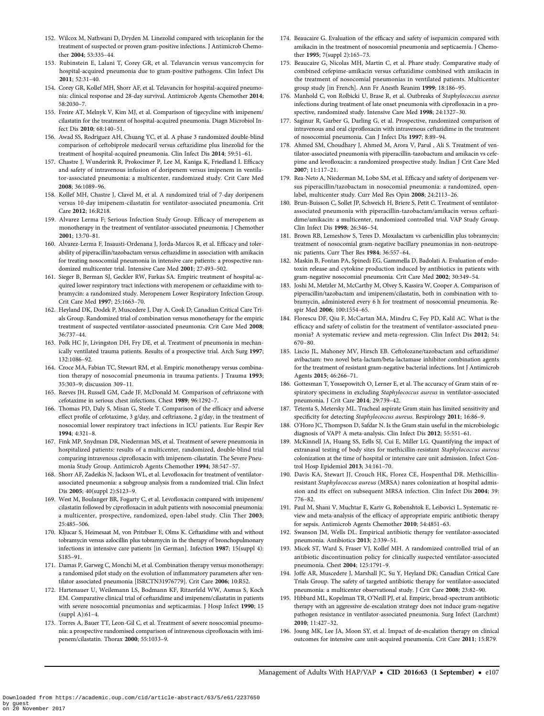- <span id="page-46-0"></span>152. Wilcox M, Nathwani D, Dryden M. Linezolid compared with teicoplanin for the treatment of suspected or proven gram-positive infections. J Antimicrob Chemother 2004; 53:335–44.
- 153. Rubinstein E, Lalani T, Corey GR, et al. Telavancin versus vancomycin for hospital-acquired pneumonia due to gram-positive pathogens. Clin Infect Dis 2011; 52:31–40.
- 154. Corey GR, Kollef MH, Shorr AF, et al. Telavancin for hospital-acquired pneumonia: clinical response and 28-day survival. Antimicrob Agents Chemother 2014; 58:2030–7.
- 155. Freire AT, Melnyk V, Kim MJ, et al. Comparison of tigecycline with imipenem/ cilastatin for the treatment of hospital-acquired pneumonia. Diagn Microbiol Infect Dis 2010; 68:140–51.
- 156. Awad SS, Rodriguez AH, Chuang YC, et al. A phase 3 randomized double-blind comparison of ceftobiprole medocaril versus ceftazidime plus linezolid for the treatment of hospital-acquired pneumonia. Clin Infect Dis 2014; 59:51–61.
- 157. Chastre J, Wunderink R, Prokocimer P, Lee M, Kaniga K, Friedland I. Efficacy and safety of intravenous infusion of doripenem versus imipenem in ventilator-associated pneumonia: a multicenter, randomized study. Crit Care Med 2008; 36:1089–96.
- 158. Kollef MH, Chastre J, Clavel M, et al. A randomized trial of 7-day doripenem versus 10-day imipenem-cilastatin for ventilator-associated pneumonia. Crit Care 2012; 16:R218.
- 159. Alvarez Lerma F; Serious Infection Study Group. Efficacy of meropenem as monotherapy in the treatment of ventilator-associated pneumonia. J Chemother 2001; 13:70–81.
- 160. Alvarez-Lerma F, Insausti-Ordenana J, Jorda-Marcos R, et al. Efficacy and tolerability of piperacillin/tazobactam versus ceftazidime in association with amikacin for treating nosocomial pneumonia in intensive care patients: a prospective randomized multicenter trial. Intensive Care Med 2001; 27:493–502.
- 161. Sieger B, Berman SJ, Geckler RW, Farkas SA. Empiric treatment of hospital-acquired lower respiratory tract infections with meropenem or ceftazidime with tobramycin: a randomized study. Meropenem Lower Respiratory Infection Group. Crit Care Med 1997; 25:1663–70.
- 162. Heyland DK, Dodek P, Muscedere J, Day A, Cook D; Canadian Critical Care Trials Group. Randomized trial of combination versus monotherapy for the empiric treatment of suspected ventilator-associated pneumonia. Crit Care Med 2008; 36:737–44.
- 163. Polk HC Jr, Livingston DH, Fry DE, et al. Treatment of pneumonia in mechanically ventilated trauma patients. Results of a prospective trial. Arch Surg 1997; 132:1086–92.
- 164. Croce MA, Fabian TC, Stewart RM, et al. Empiric monotherapy versus combination therapy of nosocomial pneumonia in trauma patients. J Trauma 1993; 35:303–9; discussion 309–11.
- 165. Reeves JH, Russell GM, Cade JF, McDonald M. Comparison of ceftriaxone with cefotaxime in serious chest infections. Chest 1989; 96:1292–7.
- 166. Thomas PD, Daly S, Misan G, Steele T. Comparison of the efficacy and adverse effect profile of cefotaxime, 3 g/day, and ceftriaxone, 2 g/day, in the treatment of nosocomial lower respiratory tract infections in ICU patients. Eur Respir Rev 1994; 4:321–8.
- 167. Fink MP, Snydman DR, Niederman MS, et al. Treatment of severe pneumonia in hospitalized patients: results of a multicenter, randomized, double-blind trial comparing intravenous ciprofloxacin with imipenem-cilastatin. The Severe Pneumonia Study Group. Antimicrob Agents Chemother 1994; 38:547–57.
- 168. Shorr AF, Zadeikis N, Jackson WL, et al. Levofloxacin for treatment of ventilatorassociated pneumonia: a subgroup analysis from a randomized trial. Clin Infect Dis 2005; 40(suppl 2):S123–9.
- 169. West M, Boulanger BR, Fogarty C, et al. Levofloxacin compared with imipenem/ cilastatin followed by ciprofloxacin in adult patients with nosocomial pneumonia: a multicenter, prospective, randomized, open-label study. Clin Ther 2003; 25:485–506.
- 170. Kljucar S, Heimesaat M, von Pritzbuer E, Olms K. Ceftazidime with and without tobramycin versus azlocillin plus tobramycin in the therapy of bronchopulmonary infections in intensive care patients [in German]. Infection 1987; 15(suppl 4): S185–91.
- 171. Damas P, Garweg C, Monchi M, et al. Combination therapy versus monotherapy: a randomised pilot study on the evolution of inflammatory parameters after ventilator associated pneumonia [ISRCTN31976779]. Crit Care 2006; 10:R52.
- 172. Hartenauer U, Weilemann LS, Bodmann KF, Ritzerfeld WW, Asmus S, Koch EM. Comparative clinical trial of ceftazidime and imipenem/cilastatin in patients with severe nosocomial pneumonias and septicaemias. J Hosp Infect 1990; 15 (suppl A):61–4.
- 173. Torres A, Bauer TT, Leon-Gil C, et al. Treatment of severe nosocomial pneumonia: a prospective randomised comparison of intravenous ciprofloxacin with imipenem/cilastatin. Thorax 2000; 55:1033–9.
- 174. Beaucaire G. Evaluation of the efficacy and safety of isepamicin compared with amikacin in the treatment of nosocomial pneumonia and septicaemia. J Chemother 1995; 7(suppl 2):165–73.
- 175. Beaucaire G, Nicolas MH, Martin C, et al. Phare study. Comparative study of combined cefepime-amikacin versus ceftazidime combined with amikacin in the treatment of nosocomial pneumonias in ventilated patients. Multicenter group study [in French]. Ann Fr Anesth Reanim 1999; 18:186–95.
- 176. Manhold C, von Rolbicki U, Brase R, et al. Outbreaks of Staphylococcus aureus infections during treatment of late onset pneumonia with ciprofloxacin in a prospective, randomized study. Intensive Care Med 1998; 24:1327–30.
- 177. Saginur R, Garber G, Darling G, et al. Prospective, randomized comparison of intravenous and oral ciprofloxacin with intravenous ceftazidime in the treatment of nosocomial pneumonia. Can J Infect Dis 1997; 8:89–94.
- 178. Ahmed SM, Choudhary J, Ahmed M, Arora V, Parul , Ali S. Treatment of ventilator-associated pneumonia with piperacillin-tazobactum and amikacin vs cefepime and levofloxacin: a randomized prospective study. Indian J Crit Care Med 2007; 11:117–21.
- 179. Rea-Neto A, Niederman M, Lobo SM, et al. Efficacy and safety of doripenem versus piperacillin/tazobactam in nosocomial pneumonia: a randomized, openlabel, multicenter study. Curr Med Res Opin 2008; 24:2113–26.
- 180. Brun-Buisson C, Sollet JP, Schweich H, Briere S, Petit C. Treatment of ventilatorassociated pneumonia with piperacillin-tazobactam/amikacin versus ceftazidime/amikacin: a multicenter, randomized controlled trial. VAP Study Group. Clin Infect Dis 1998; 26:346–54.
- 181. Brown RB, Lemeshow S, Teres D. Moxalactam vs carbenicillin plus tobramycin: treatment of nosocomial gram-negative bacillary pneumonias in non-neutropenic patients. Curr Ther Res 1984; 36:557–64.
- 182. Maskin B, Fontan PA, Spinedi EG, Gammella D, Badolati A. Evaluation of endotoxin release and cytokine production induced by antibiotics in patients with gram-negative nosocomial pneumonia. Crit Care Med 2002; 30:349–54.
- 183. Joshi M, Metzler M, McCarthy M, Olvey S, Kassira W, Cooper A. Comparison of piperacillin/tazobactam and imipenem/cilastatin, both in combination with tobramycin, administered every 6 h for treatment of nosocomial pneumonia. Respir Med 2006; 100:1554–65.
- 184. Florescu DF, Qiu F, McCartan MA, Mindru C, Fey PD, Kalil AC. What is the efficacy and safety of colistin for the treatment of ventilator-associated pneumonia? A systematic review and meta-regression. Clin Infect Dis 2012; 54: 670–80.
- 185. Liscio JL, Mahoney MV, Hirsch EB. Ceftolozane/tazobactam and ceftazidime/ avibactam: two novel beta-lactam/beta-lactamase inhibitor combination agents for the treatment of resistant gram-negative bacterial infections. Int J Antimicrob Agents 2015; 46:266–71.
- 186. Gottesman T, Yossepowitch O, Lerner E, et al. The accuracy of Gram stain of respiratory specimens in excluding Staphylococcus aureus in ventilator-associated pneumonia. J Crit Care 2014; 29:739–42.
- 187. Tetenta S, Metersky ML. Tracheal aspirate Gram stain has limited sensitivity and specificity for detecting Staphylococcus aureus. Respirology 2011; 16:86-9.
- 188. O'Horo JC, Thompson D, Safdar N. Is the Gram stain useful in the microbiologic diagnosis of VAP? A meta-analysis. Clin Infect Dis 2012; 55:551–61.
- 189. McKinnell JA, Huang SS, Eells SJ, Cui E, Miller LG. Quantifying the impact of extranasal testing of body sites for methicillin-resistant Staphylococcus aureus colonization at the time of hospital or intensive care unit admission. Infect Control Hosp Epidemiol 2013; 34:161–70.
- 190. Davis KA, Stewart JJ, Crouch HK, Florez CE, Hospenthal DR. Methicillinresistant Staphylococcus aureus (MRSA) nares colonization at hospital admission and its effect on subsequent MRSA infection. Clin Infect Dis 2004; 39: 776–82.
- 191. Paul M, Shani V, Muchtar E, Kariv G, Robenshtok E, Leibovici L. Systematic review and meta-analysis of the efficacy of appropriate empiric antibiotic therapy for sepsis. Antimicrob Agents Chemother 2010; 54:4851–63.
- 192. Swanson JM, Wells DL. Empirical antibiotic therapy for ventilator-associated pneumonia. Antibiotics 2013; 2:339–51.
- 193. Micek ST, Ward S, Fraser VJ, Kollef MH. A randomized controlled trial of an antibiotic discontinuation policy for clinically suspected ventilator-associated pneumonia. Chest 2004; 125:1791–9.
- 194. Joffe AR, Muscedere J, Marshall JC, Su Y, Heyland DK; Canadian Critical Care Trials Group. The safety of targeted antibiotic therapy for ventilator-associated pneumonia: a multicenter observational study. J Crit Care 2008; 23:82–90.
- 195. Hibbard ML, Kopelman TR, O'Neill PJ, et al. Empiric, broad-spectrum antibiotic therapy with an aggressive de-escalation strategy does not induce gram-negative pathogen resistance in ventilator-associated pneumonia. Surg Infect (Larchmt) 2010; 11:427–32.
- 196. Joung MK, Lee JA, Moon SY, et al. Impact of de-escalation therapy on clinical outcomes for intensive care unit-acquired pneumonia. Crit Care 2011; 15:R79.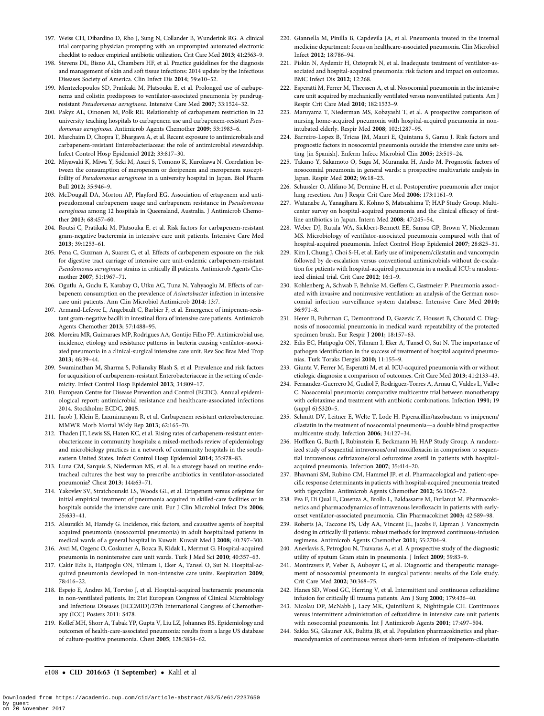- <span id="page-47-0"></span>197. Weiss CH, Dibardino D, Rho J, Sung N, Collander B, Wunderink RG. A clinical trial comparing physician prompting with an unprompted automated electronic checklist to reduce empirical antibiotic utilization. Crit Care Med 2013; 41:2563–9.
- 198. Stevens DL, Bisno AL, Chambers HF, et al. Practice guidelines for the diagnosis and management of skin and soft tissue infections: 2014 update by the Infectious Diseases Society of America. Clin Infect Dis 2014; 59:e10–52.
- 199. Mentzelopoulos SD, Pratikaki M, Platsouka E, et al. Prolonged use of carbapenems and colistin predisposes to ventilator-associated pneumonia by pandrugresistant Pseudomonas aeruginosa. Intensive Care Med 2007; 33:1524–32.
- 200. Pakyz AL, Oinonen M, Polk RE. Relationship of carbapenem restriction in 22 university teaching hospitals to carbapenem use and carbapenem-resistant Pseudomonas aeruginosa. Antimicrob Agents Chemother 2009; 53:1983–6.
- 201. Marchaim D, Chopra T, Bhargava A, et al. Recent exposure to antimicrobials and carbapenem-resistant Enterobacteriaceae: the role of antimicrobial stewardship. Infect Control Hosp Epidemiol 2012; 33:817–30.
- 202. Miyawaki K, Miwa Y, Seki M, Asari S, Tomono K, Kurokawa N. Correlation between the consumption of meropenem or doripenem and meropenem susceptibility of Pseudomonas aeruginosa in a university hospital in Japan. Biol Pharm Bull 2012; 35:946–9.
- 203. McDougall DA, Morton AP, Playford EG. Association of ertapenem and antipseudomonal carbapenem usage and carbapenem resistance in Pseudomonas aeruginosa among 12 hospitals in Queensland, Australia. J Antimicrob Chemother 2013; 68:457–60.
- 204. Routsi C, Pratikaki M, Platsouka E, et al. Risk factors for carbapenem-resistant gram-negative bacteremia in intensive care unit patients. Intensive Care Med 2013; 39:1253–61.
- 205. Pena C, Guzman A, Suarez C, et al. Effects of carbapenem exposure on the risk for digestive tract carriage of intensive care unit-endemic carbapenem-resistant Pseudomonas aeruginosa strains in critically ill patients. Antimicrob Agents Chemother 2007; 51:1967–71.
- 206. Ogutlu A, Guclu E, Karabay O, Utku AC, Tuna N, Yahyaoglu M. Effects of carbapenem consumption on the prevalence of Acinetobacter infection in intensive care unit patients. Ann Clin Microbiol Antimicrob 2014; 13:7.
- 207. Armand-Lefevre L, Angebault C, Barbier F, et al. Emergence of imipenem-resistant gram-negative bacilli in intestinal flora of intensive care patients. Antimicrob Agents Chemother 2013; 57:1488–95.
- 208. Moreira MR, Guimaraes MP, Rodrigues AA, Gontijo Filho PP. Antimicrobial use, incidence, etiology and resistance patterns in bacteria causing ventilator-associated pneumonia in a clinical-surgical intensive care unit. Rev Soc Bras Med Trop 2013; 46:39–44.
- 209. Swaminathan M, Sharma S, Poliansky Blash S, et al. Prevalence and risk factors for acquisition of carbapenem-resistant Enterobacteriaceae in the setting of endemicity. Infect Control Hosp Epidemiol 2013; 34:809–17.
- 210. European Centre for Disease Prevention and Control (ECDC). Annual epidemiological report: antimicrobial resistance and healthcare-associated infections 2014. Stockholm: ECDC, 2015.
- 211. Jacob J, Klein E, Laxminarayan R, et al. Carbapenem resistant enterobactereciae. MMWR Morb Mortal Wkly Rep 2013; 62:165–70.
- 212. Thaden JT, Lewis SS, Hazen KC, et al. Rising rates of carbapenem-resistant enterobacteriaceae in community hospitals: a mixed-methods review of epidemiology and microbiology practices in a network of community hospitals in the southeastern United States. Infect Control Hosp Epidemiol 2014; 35:978–83.
- 213. Luna CM, Sarquis S, Niederman MS, et al. Is a strategy based on routine endotracheal cultures the best way to prescribe antibiotics in ventilator-associated pneumonia? Chest 2013; 144:63–71.
- 214. Yakovlev SV, Stratchounski LS, Woods GL, et al. Ertapenem versus cefepime for initial empirical treatment of pneumonia acquired in skilled-care facilities or in hospitals outside the intensive care unit. Eur J Clin Microbiol Infect Dis 2006; 25:633–41.
- 215. Alsuraikh M, Hamdy G. Incidence, risk factors, and causative agents of hospital acquired pneumonia (nosocomial pneumonia) in adult hospitalized patients in medical wards of a general hospital in Kuwait. Kuwait Med J 2008; 40:297–300.
- 216. Avci M, Ozgenc O, Coskuner A, Bozca B, Kidak L, Mermut G. Hospital-acquired pneumonia in nonintensive care unit wards. Turk J Med Sci 2010; 40:357–63.
- 217. Cakir Edis E, Hatipoglu ON, Yilmam I, Eker A, Tansel O, Sut N. Hospital-acquired pneumonia developed in non-intensive care units. Respiration 2009; 78:416–22.
- 218. Espejo E, Andres M, Torviso J, et al. Hospital-acquired bacteraemic pneumonia in non-ventilated patients. In: 21st European Congress of Clinical Microbiology and Infectious Diseases (ECCMID)/27th International Congress of Chemotherapy (ICC) Posters 2011: S478.
- 219. Kollef MH, Shorr A, Tabak YP, Gupta V, Liu LZ, Johannes RS. Epidemiology and outcomes of health-care-associated pneumonia: results from a large US database of culture-positive pneumonia. Chest 2005; 128:3854–62.
- 220. Giannella M, Pinilla B, Capdevila JA, et al. Pneumonia treated in the internal medicine department: focus on healthcare-associated pneumonia. Clin Microbiol Infect 2012; 18:786–94.
- 221. Piskin N, Aydemir H, Oztoprak N, et al. Inadequate treatment of ventilator-associated and hospital-acquired pneumonia: risk factors and impact on outcomes. BMC Infect Dis 2012; 12:268.
- 222. Esperatti M, Ferrer M, Theessen A, et al. Nosocomial pneumonia in the intensive care unit acquired by mechanically ventilated versus nonventilated patients. Am J Respir Crit Care Med 2010; 182:1533–9.
- 223. Maruyama T, Niederman MS, Kobayashi T, et al. A prospective comparison of nursing home-acquired pneumonia with hospital-acquired pneumonia in nonintubated elderly. Respir Med 2008; 102:1287–95.
- 224. Barreiro-Lopez B, Tricas JM, Mauri E, Quintana S, Garau J. Risk factors and prognostic factors in nosocomial pneumonia outside the intensive care units setting [in Spanish]. Enferm Infecc Microbiol Clin 2005; 23:519–24.
- 225. Takano Y, Sakamoto O, Suga M, Muranaka H, Ando M. Prognostic factors of nosocomial pneumonia in general wards: a prospective multivariate analysis in Japan. Respir Med 2002; 96:18–23.
- 226. Schussler O, Alifano M, Dermine H, et al. Postoperative pneumonia after major lung resection. Am J Respir Crit Care Med 2006; 173:1161–9.
- 227. Watanabe A, Yanagihara K, Kohno S, Matsushima T; HAP Study Group. Multicenter survey on hospital-acquired pneumonia and the clinical efficacy of firstline antibiotics in Japan. Intern Med 2008; 47:245–54.
- 228. Weber DJ, Rutala WA, Sickbert-Bennett EE, Samsa GP, Brown V, Niederman MS. Microbiology of ventilator-associated pneumonia compared with that of hospital-acquired pneumonia. Infect Control Hosp Epidemiol 2007; 28:825–31.
- 229. Kim J, Chung J, Choi S-H, et al. Early use of imipenem/cilastatin and vancomycin followed by de-escalation versus conventional antimicrobials without de-escalation for patients with hospital-acquired pneumonia in a medical ICU: a randomized clinical trial. Crit Care 2012; 16:1–9.
- 230. Kohlenberg A, Schwab F, Behnke M, Geffers C, Gastmeier P. Pneumonia associated with invasive and noninvasive ventilation: an analysis of the German nosocomial infection surveillance system database. Intensive Care Med 2010; 36:971–8.
- 231. Herer B, Fuhrman C, Demontrond D, Gazevic Z, Housset B, Chouaid C. Diagnosis of nosocomial pneumonia in medical ward: repeatability of the protected specimen brush. Eur Respir J 2001; 18:157-63.
- 232. Edis EC, Hatipoglu ON, Yilmam I, Eker A, Tansel O, Sut N. The importance of pathogen identification in the success of treatment of hospital acquired pneumonias. Turk Toraks Dergisi 2010; 11:155–9.
- 233. Giunta V, Ferrer M, Esperatti M, et al. ICU-acquired pneumonia with or without etiologic diagnosis: a comparison of outcomes. Crit Care Med 2013; 41:2133–43.
- 234. Fernandez-Guerrero M, Gudiol F, Rodriguez-Torres A, Arnau C, Valdes L, Vallve C. Nosocomial pneumonia: comparative multicentre trial between monotherapy with cefotaxime and treatment with antibiotic combinations. Infection 1991; 19 (suppl 6):S320–5.
- 235. Schmitt DV, Leitner E, Welte T, Lode H. Piperacillin/tazobactam vs imipenem/ cilastatin in the treatment of nosocomial pneumonia—a double blind prospective multicentre study. Infection 2006; 34:127–34.
- 236. Hoffken G, Barth J, Rubinstein E, Beckmann H; HAP Study Group. A randomized study of sequential intravenous/oral moxifloxacin in comparison to sequential intravenous ceftriaxone/oral cefuroxime axetil in patients with hospitalacquired pneumonia. Infection 2007; 35:414–20.
- 237. Bhavnani SM, Rubino CM, Hammel JP, et al. Pharmacological and patient-specific response determinants in patients with hospital-acquired pneumonia treated with tigecycline. Antimicrob Agents Chemother 2012; 56:1065–72.
- 238. Pea F, Di Qual E, Cusenza A, Brollo L, Baldassarre M, Furlanut M. Pharmacokinetics and pharmacodynamics of intravenous levofloxacin in patients with earlyonset ventilator-associated pneumonia. Clin Pharmacokinet 2003; 42:589–98.
- 239. Roberts JA, Taccone FS, Udy AA, Vincent JL, Jacobs F, Lipman J. Vancomycin dosing in critically ill patients: robust methods for improved continuous-infusion regimens. Antimicrob Agents Chemother 2011; 55:2704–9.
- 240. Anevlavis S, Petroglou N, Tzavaras A, et al. A prospective study of the diagnostic utility of sputum Gram stain in pneumonia. J Infect 2009; 59:83–9.
- 241. Montravers P, Veber B, Auboyer C, et al. Diagnostic and therapeutic management of nosocomial pneumonia in surgical patients: results of the Eole study. Crit Care Med 2002; 30:368–75.
- 242. Hanes SD, Wood GC, Herring V, et al. Intermittent and continuous ceftazidime infusion for critically ill trauma patients. Am J Surg 2000; 179:436–40.
- 243. Nicolau DP, McNabb J, Lacy MK, Quintiliani R, Nightingale CH. Continuous versus intermittent administration of ceftazidime in intensive care unit patients with nosocomial pneumonia. Int J Antimicrob Agents 2001; 17:497–504.
- 244. Sakka SG, Glauner AK, Bulitta JB, et al. Population pharmacokinetics and pharmacodynamics of continuous versus short-term infusion of imipenem-cilastatin

e108 • CID 2016:63 (1 September) • Kalil et al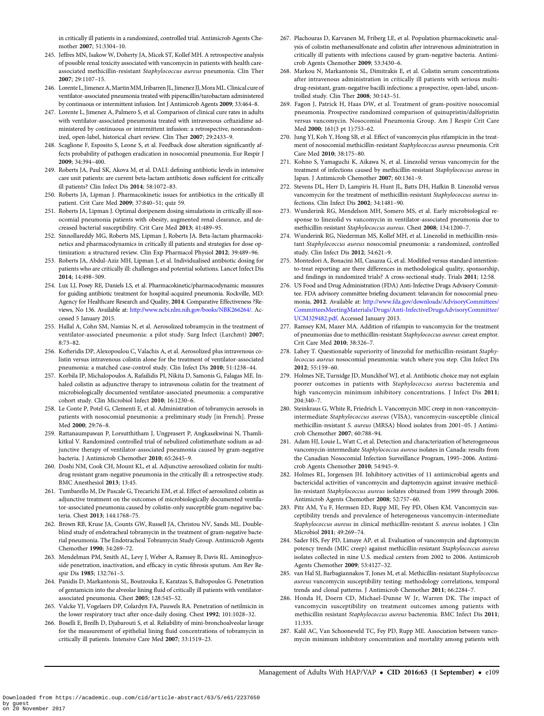<span id="page-48-0"></span>in critically ill patients in a randomized, controlled trial. Antimicrob Agents Chemother 2007; 51:3304–10.

- 245. Jeffres MN, Isakow W, Doherty JA, Micek ST, Kollef MH. A retrospective analysis of possible renal toxicity associated with vancomycin in patients with health careassociated methicillin-resistant Staphylococcus aureus pneumonia. Clin Ther 2007; 29:1107–15.
- 246. Lorente L, Jimenez A, Martin MM, Iribarren JL, Jimenez JJ, Mora ML. Clinical cure of ventilator-associated pneumonia treated with piperacillin/tazobactam administered by continuous or intermittent infusion. Int J Antimicrob Agents 2009; 33:464–8.
- 247. Lorente L, Jimenez A, Palmero S, et al. Comparison of clinical cure rates in adults with ventilator-associated pneumonia treated with intravenous ceftazidime administered by continuous or intermittent infusion: a retrospective, nonrandomized, open-label, historical chart review. Clin Ther 2007; 29:2433–9.
- 248. Scaglione F, Esposito S, Leone S, et al. Feedback dose alteration significantly affects probability of pathogen eradication in nosocomial pneumonia. Eur Respir J 2009; 34:394–400.
- 249. Roberts JA, Paul SK, Akova M, et al. DALI: defining antibiotic levels in intensive care unit patients: are current beta-lactam antibiotic doses sufficient for critically ill patients? Clin Infect Dis 2014; 58:1072–83.
- 250. Roberts JA, Lipman J. Pharmacokinetic issues for antibiotics in the critically ill patient. Crit Care Med 2009; 37:840–51; quiz 59.
- 251. Roberts JA, Lipman J. Optimal doripenem dosing simulations in critically ill nosocomial pneumonia patients with obesity, augmented renal clearance, and decreased bacterial susceptibility. Crit Care Med 2013; 41:489–95.
- 252. Sinnollareddy MG, Roberts MS, Lipman J, Roberts JA. Beta-lactam pharmacokinetics and pharmacodynamics in critically ill patients and strategies for dose optimization: a structured review. Clin Exp Pharmacol Physiol 2012; 39:489–96.
- 253. Roberts JA, Abdul-Aziz MH, Lipman J, et al. Individualised antibiotic dosing for patients who are critically ill: challenges and potential solutions. Lancet Infect Dis 2014; 14:498–509.
- 254. Lux LJ, Posey RE, Daniels LS, et al. Pharmacokinetic/pharmacodynamic measures for guiding antibiotic treatment for hospital-acquired pneumonia. Rockville, MD: Agency for Healthcare Research and Quality, 2014. Comparative Effectiveness ?Reviews, No 136. Available at: <http://www.ncbi.nlm.nih.gov/books/NBK266264/>. Accessed 5 January 2015.
- 255. Hallal A, Cohn SM, Namias N, et al. Aerosolized tobramycin in the treatment of ventilator-associated pneumonia: a pilot study. Surg Infect (Larchmt) 2007; 8:73–82.
- 256. Kofteridis DP, Alexopoulou C, Valachis A, et al. Aerosolized plus intravenous colistin versus intravenous colistin alone for the treatment of ventilator-associated pneumonia: a matched case-control study. Clin Infect Dis 2010; 51:1238–44.
- 257. Korbila IP, Michalopoulos A, Rafailidis PI, Nikita D, Samonis G, Falagas ME. Inhaled colistin as adjunctive therapy to intravenous colistin for the treatment of microbiologically documented ventilator-associated pneumonia: a comparative cohort study. Clin Microbiol Infect 2010; 16:1230–6.
- 258. Le Conte P, Potel G, Clementi E, et al. Administration of tobramycin aerosols in patients with nosocomial pneumonia: a preliminary study [in French]. Presse Med 2000; 29:76–8.
- 259. Rattanaumpawan P, Lorsutthitham J, Ungprasert P, Angkasekwinai N, Thamlikitkul V. Randomized controlled trial of nebulized colistimethate sodium as adjunctive therapy of ventilator-associated pneumonia caused by gram-negative bacteria. J Antimicrob Chemother 2010; 65:2645–9.
- 260. Doshi NM, Cook CH, Mount KL, et al. Adjunctive aerosolized colistin for multidrug resistant gram-negative pneumonia in the critically ill: a retrospective study. BMC Anesthesiol 2013; 13:45.
- 261. Tumbarello M, De Pascale G, Trecarichi EM, et al. Effect of aerosolized colistin as adjunctive treatment on the outcomes of microbiologically documented ventilator-associated pneumonia caused by colistin-only susceptible gram-negative bacteria. Chest 2013; 144:1768–75.
- 262. Brown RB, Kruse JA, Counts GW, Russell JA, Christou NV, Sands ML. Doubleblind study of endotracheal tobramycin in the treatment of gram-negative bacterial pneumonia. The Endotracheal Tobramycin Study Group. Antimicrob Agents Chemother 1990; 34:269–72.
- 263. Mendelman PM, Smith AL, Levy J, Weber A, Ramsey B, Davis RL. Aminoglycoside penetration, inactivation, and efficacy in cystic fibrosis sputum. Am Rev Respir Dis 1985; 132:761–5.
- 264. Panidis D, Markantonis SL, Boutzouka E, Karatzas S, Baltopoulos G. Penetration of gentamicin into the alveolar lining fluid of critically ill patients with ventilatorassociated pneumonia. Chest 2005; 128:545–52.
- 265. Valcke YJ, Vogelaers DP, Colardyn FA, Pauwels RA. Penetration of netilmicin in the lower respiratory tract after once-daily dosing. Chest 1992; 101:1028–32.
- 266. Boselli E, Breilh D, Djabarouti S, et al. Reliability of mini-bronchoalveolar lavage for the measurement of epithelial lining fluid concentrations of tobramycin in critically ill patients. Intensive Care Med 2007; 33:1519–23.
- 267. Plachouras D, Karvanen M, Friberg LE, et al. Population pharmacokinetic analysis of colistin methanesulfonate and colistin after intravenous administration in critically ill patients with infections caused by gram-negative bacteria. Antimicrob Agents Chemother 2009; 53:3430–6.
- 268. Markou N, Markantonis SL, Dimitrakis E, et al. Colistin serum concentrations after intravenous administration in critically ill patients with serious multidrug-resistant, gram-negative bacilli infections: a prospective, open-label, uncontrolled study. Clin Ther 2008; 30:143–51.
- 269. Fagon J, Patrick H, Haas DW, et al. Treatment of gram-positive nosocomial pneumonia. Prospective randomized comparison of quinupristin/dalfopristin versus vancomycin. Nosocomial Pneumonia Group. Am J Respir Crit Care Med 2000; 161(3 pt 1):753–62.
- 270. Jung YJ, Koh Y, Hong SB, et al. Effect of vancomycin plus rifampicin in the treatment of nosocomial methicillin-resistant Staphylococcus aureus pneumonia. Crit Care Med 2010; 38:175–80.
- 271. Kohno S, Yamaguchi K, Aikawa N, et al. Linezolid versus vancomycin for the treatment of infections caused by methicillin-resistant Staphylococcus aureus in Japan. J Antimicrob Chemother 2007; 60:1361–9.
- 272. Stevens DL, Herr D, Lampiris H, Hunt JL, Batts DH, Hafkin B. Linezolid versus vancomycin for the treatment of methicillin-resistant Staphylococcus aureus infections. Clin Infect Dis 2002; 34:1481–90.
- 273. Wunderink RG, Mendelson MH, Somero MS, et al. Early microbiological response to linezolid vs vancomycin in ventilator-associated pneumonia due to methicillin-resistant Staphylococcus aureus. Chest 2008; 134:1200–7.
- 274. Wunderink RG, Niederman MS, Kollef MH, et al. Linezolid in methicillin-resistant Staphylococcus aureus nosocomial pneumonia: a randomized, controlled study. Clin Infect Dis 2012; 54:621–9.
- 275. Montedori A, Bonacini MI, Casazza G, et al. Modified versus standard intentionto-treat reporting: are there differences in methodological quality, sponsorship, and findings in randomized trials? A cross-sectional study. Trials 2011; 12:58.
- 276. US Food and Drug Administration (FDA) Anti-Infective Drugs Advisory Committee. FDA advisory committee briefing document: telavancin for nosocomial pneumonia, 2012. Available at: [http://www.fda.gov/downloads/AdvisoryCommittees/](http://www.fda.gov/downloads/AdvisoryCommittees/CommitteesMeetingMaterials/Drugs/Anti-InfectiveDrugsAdvisoryCommittee/UCM329482.pdf) [CommitteesMeetingMaterials/Drugs/Anti-InfectiveDrugsAdvisoryCommittee/](http://www.fda.gov/downloads/AdvisoryCommittees/CommitteesMeetingMaterials/Drugs/Anti-InfectiveDrugsAdvisoryCommittee/UCM329482.pdf) [UCM329482.pdf.](http://www.fda.gov/downloads/AdvisoryCommittees/CommitteesMeetingMaterials/Drugs/Anti-InfectiveDrugsAdvisoryCommittee/UCM329482.pdf) Accessed January 2013.
- 277. Ramsey KM, Mazer MA. Addition of rifampin to vancomycin for the treatment of pneumonias due to methicillin-resistant Staphylococcus aureus: caveat emptor. Crit Care Med 2010; 38:326–7.
- 278. Lahey T. Questionable superiority of linezolid for methicillin-resistant Staphylococcus aureus nosocomial pneumonia: watch where you step. Clin Infect Dis 2012; 55:159–60.
- 279. Holmes NE, Turnidge JD, Munckhof WJ, et al. Antibiotic choice may not explain poorer outcomes in patients with Staphylococcus aureus bacteremia and high vancomycin minimum inhibitory concentrations. J Infect Dis 2011; 204:340–7.
- 280. Steinkraus G, White R, Friedrich L. Vancomycin MIC creep in non-vancomycinintermediate Staphylococcus aureus (VISA), vancomycin-susceptible clinical methicillin-resistant S. aureus (MRSA) blood isolates from 2001–05. J Antimicrob Chemother 2007; 60:788–94.
- 281. Adam HJ, Louie L, Watt C, et al. Detection and characterization of heterogeneous vancomycin-intermediate Staphylococcus aureus isolates in Canada: results from the Canadian Nosocomial Infection Surveillance Program, 1995–2006. Antimicrob Agents Chemother 2010; 54:945–9.
- 282. Holmes RL, Jorgensen JH. Inhibitory activities of 11 antimicrobial agents and bactericidal activities of vancomycin and daptomycin against invasive methicillin-resistant Staphylococcus aureus isolates obtained from 1999 through 2006. Antimicrob Agents Chemother 2008; 52:757–60.
- 283. Pitz AM, Yu F, Hermsen ED, Rupp ME, Fey PD, Olsen KM. Vancomycin susceptibility trends and prevalence of heterogeneous vancomycin-intermediate Staphylococcus aureus in clinical methicillin-resistant S. aureus isolates. J Clin Microbiol 2011; 49:269–74.
- 284. Sader HS, Fey PD, Limaye AP, et al. Evaluation of vancomycin and daptomycin potency trends (MIC creep) against methicillin-resistant Staphylococcus aureus isolates collected in nine U.S. medical centers from 2002 to 2006. Antimicrob Agents Chemother 2009; 53:4127–32.
- 285. van Hal SJ, Barbagiannakos T, Jones M, et al. Methicillin-resistant Staphylococcus aureus vancomycin susceptibility testing: methodology correlations, temporal trends and clonal patterns. J Antimicrob Chemother 2011; 66:2284–7.
- 286. Honda H, Doern CD, Michael-Dunne W Jr, Warren DK. The impact of vancomycin susceptibility on treatment outcomes among patients with methicillin resistant Staphylococcus aureus bacteremia. BMC Infect Dis 2011; 11:335.
- 287. Kalil AC, Van Schooneveld TC, Fey PD, Rupp ME. Association between vancomycin minimum inhibitory concentration and mortality among patients with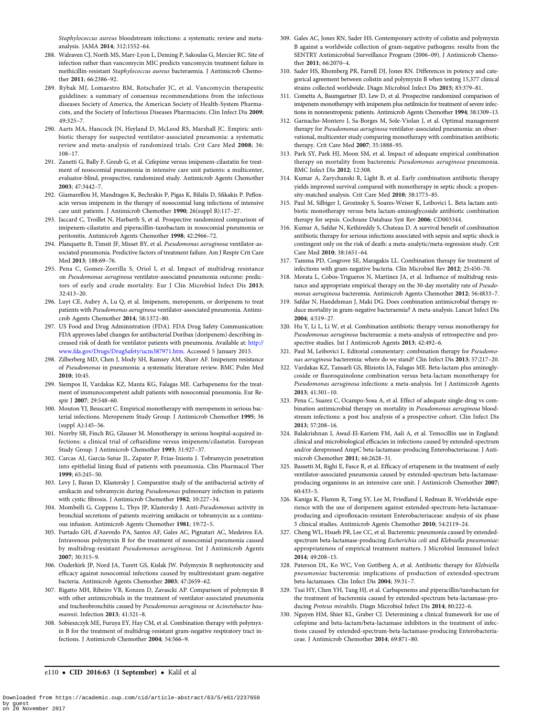<span id="page-49-0"></span>Staphylococcus aureus bloodstream infections: a systematic review and metaanalysis. JAMA 2014; 312:1552–64.

- 288. Walraven CJ, North MS, Marr-Lyon L, Deming P, Sakoulas G, Mercier RC. Site of infection rather than vancomycin MIC predicts vancomycin treatment failure in methicillin-resistant Staphylococcus aureus bacteraemia. J Antimicrob Chemother 2011; 66:2386–92.
- 289. Rybak MJ, Lomaestro BM, Rotschafer JC, et al. Vancomycin therapeutic guidelines: a summary of consensus recommendations from the infectious diseases Society of America, the American Society of Health-System Pharmacists, and the Society of Infectious Diseases Pharmacists. Clin Infect Dis 2009; 49:325–7.
- 290. Aarts MA, Hancock JN, Heyland D, McLeod RS, Marshall JC. Empiric antibiotic therapy for suspected ventilator-associated pneumonia: a systematic review and meta-analysis of randomized trials. Crit Care Med 2008; 36: 108–17.
- 291. Zanetti G, Bally F, Greub G, et al. Cefepime versus imipenem-cilastatin for treatment of nosocomial pneumonia in intensive care unit patients: a multicenter, evaluator-blind, prospective, randomized study. Antimicrob Agents Chemother 2003; 47:3442–7.
- 292. Giamarellou H, Mandragos K, Bechrakis P, Pigas K, Bilalis D, Sfikakis P. Pefloxacin versus imipenem in the therapy of nosocomial lung infections of intensive care unit patients. J Antimicrob Chemother 1990; 26(suppl B):117–27.
- 293. Jaccard C, Troillet N, Harbarth S, et al. Prospective randomized comparison of imipenem-cilastatin and piperacillin-tazobactam in nosocomial pneumonia or peritonitis. Antimicrob Agents Chemother 1998; 42:2966–72.
- 294. Planquette B, Timsit JF, Misset BY, et al. Pseudomonas aeruginosa ventilator-associated pneumonia. Predictive factors of treatment failure. Am J Respir Crit Care Med 2013; 188:69–76.
- 295. Pena C, Gomez-Zorrilla S, Oriol I, et al. Impact of multidrug resistance on Pseudomonas aeruginosa ventilator-associated pneumonia outcome: predictors of early and crude mortality. Eur J Clin Microbiol Infect Dis 2013; 32:413–20.
- 296. Luyt CE, Aubry A, Lu Q, et al. Imipenem, meropenem, or doripenem to treat patients with Pseudomonas aeruginosa ventilator-associated pneumonia. Antimicrob Agents Chemother 2014; 58:1372–80.
- 297. US Food and Drug Administration (FDA). FDA Drug Safety Communication: FDA approves label changes for antibacterial Doribax (doripenem) describing increased risk of death for ventilator patients with pneumonia. Available at: [http://](http://www.fda.gov/Drugs/DrugSafety/ucm387971.htm) [www.fda.gov/Drugs/DrugSafety/ucm387971.htm](http://www.fda.gov/Drugs/DrugSafety/ucm387971.htm). Accessed 5 January 2015.
- 298. Zilberberg MD, Chen J, Mody SH, Ramsey AM, Shorr AF. Imipenem resistance of Pseudomonas in pneumonia: a systematic literature review. BMC Pulm Med 2010; 10:45.
- 299. Siempos II, Vardakas KZ, Manta KG, Falagas ME. Carbapenems for the treatment of immunocompetent adult patients with nosocomial pneumonia. Eur Respir J 2007; 29:548–60.
- 300. Mouton YJ, Beuscart C. Empirical monotherapy with meropenem in serious bacterial infections. Meropenem Study Group. J Antimicrob Chemother 1995; 36 (suppl A):145–56.
- 301. Norrby SR, Finch RG, Glauser M. Monotherapy in serious hospital-acquired infections: a clinical trial of ceftazidime versus imipenem/cilastatin. European Study Group. J Antimicrob Chemother 1993; 31:927–37.
- 302. Carcas AJ, Garcia-Satue JL, Zapater P, Frias-Iniesta J. Tobramycin penetration into epithelial lining fluid of patients with pneumonia. Clin Pharmacol Ther 1999; 65:245–50.
- 303. Levy J, Baran D, Klastersky J. Comparative study of the antibacterial activity of amikacin and tobramycin during Pseudomonas pulmonary infection in patients with cystic fibrosis. J Antimicrob Chemother 1982; 10:227–34.
- 304. Mombelli G, Coppens L, Thys JP, Klastersky J. Anti-Pseudomonas activity in bronchial secretions of patients receiving amikacin or tobramycin as a continuous infusion. Antimicrob Agents Chemother 1981; 19:72–5.
- 305. Furtado GH, d'Azevedo PA, Santos AF, Gales AC, Pignatari AC, Medeiros EA. Intravenous polymyxin B for the treatment of nosocomial pneumonia caused by multidrug-resistant Pseudomonas aeruginosa. Int J Antimicrob Agents 2007; 30:315–9.
- 306. Ouderkirk JP, Nord JA, Turett GS, Kislak JW. Polymyxin B nephrotoxicity and efficacy against nosocomial infections caused by multiresistant gram-negative bacteria. Antimicrob Agents Chemother 2003; 47:2659–62.
- 307. Rigatto MH, Ribeiro VB, Konzen D, Zavascki AP. Comparison of polymyxin B with other antimicrobials in the treatment of ventilator-associated pneumonia and tracheobronchitis caused by Pseudomonas aeruginosa or Acinetobacter baumannii. Infection 2013; 41:321–8.
- 308. Sobieszczyk ME, Furuya EY, Hay CM, et al. Combination therapy with polymyxin B for the treatment of multidrug-resistant gram-negative respiratory tract infections. J Antimicrob Chemother 2004; 54:566–9.
- 309. Gales AC, Jones RN, Sader HS. Contemporary activity of colistin and polymyxin B against a worldwide collection of gram-negative pathogens: results from the SENTRY Antimicrobial Surveillance Program (2006–09). J Antimicrob Chemother 2011; 66:2070–4.
- 310. Sader HS, Rhomberg PR, Farrell DJ, Jones RN. Differences in potency and categorical agreement between colistin and polymyxin B when testing 15,377 clinical strains collected worldwide. Diagn Microbiol Infect Dis 2015; 83:379–81.
- 311. Cometta A, Baumgartner JD, Lew D, et al. Prospective randomized comparison of imipenem monotherapy with imipenem plus netilmicin for treatment of severe infections in nonneutropenic patients. Antimicrob Agents Chemother 1994; 38:1309–13.
- 312. Garnacho-Montero J, Sa-Borges M, Sole-Violan J, et al. Optimal management therapy for Pseudomonas aeruginosa ventilator-associated pneumonia: an observational, multicenter study comparing monotherapy with combination antibiotic therapy. Crit Care Med 2007; 35:1888–95.
- 313. Park SY, Park HJ, Moon SM, et al. Impact of adequate empirical combination therapy on mortality from bacteremic Pseudomonas aeruginosa pneumonia. BMC Infect Dis 2012; 12:308.
- 314. Kumar A, Zarychanski R, Light B, et al. Early combination antibiotic therapy yields improved survival compared with monotherapy in septic shock: a propensity-matched analysis. Crit Care Med 2010; 38:1773–85.
- 315. Paul M, Silbiger I, Grozinsky S, Soares-Weiser K, Leibovici L. Beta lactam antibiotic monotherapy versus beta lactam-aminoglycoside antibiotic combination therapy for sepsis. Cochrane Database Syst Rev 2006; CD003344.
- 316. Kumar A, Safdar N, Kethireddy S, Chateau D. A survival benefit of combination antibiotic therapy for serious infections associated with sepsis and septic shock is contingent only on the risk of death: a meta-analytic/meta-regression study. Crit Care Med 2010; 38:1651–64.
- 317. Tamma PD, Cosgrove SE, Maragakis LL. Combination therapy for treatment of infections with gram-negative bacteria. Clin Microbiol Rev 2012; 25:450–70.
- 318. Morata L, Cobos-Trigueros N, Martinez JA, et al. Influence of multidrug resistance and appropriate empirical therapy on the 30-day mortality rate of Pseudomonas aeruginosa bacteremia. Antimicrob Agents Chemother 2012; 56:4833–7.
- 319. Safdar N, Handelsman J, Maki DG. Does combination antimicrobial therapy reduce mortality in gram-negative bacteraemia? A meta-analysis. Lancet Infect Dis 2004; 4:519–27.
- 320. Hu Y, Li L, Li W, et al. Combination antibiotic therapy versus monotherapy for Pseudomonas aeruginosa bacteraemia: a meta-analysis of retrospective and prospective studies. Int J Antimicrob Agents 2013; 42:492-6.
- 321. Paul M, Leibovici L. Editorial commentary: combination therapy for Pseudomonas aeruginosa bacteremia: where do we stand? Clin Infect Dis 2013; 57:217–20.
- 322. Vardakas KZ, Tansarli GS, Bliziotis IA, Falagas ME. Beta-lactam plus aminoglycoside or fluoroquinolone combination versus beta-lactam monotherapy for Pseudomonas aeruginosa infections: a meta-analysis. Int J Antimicrob Agents 2013; 41:301–10.
- 323. Pena C, Suarez C, Ocampo-Sosa A, et al. Effect of adequate single-drug vs combination antimicrobial therapy on mortality in Pseudomonas aeruginosa bloodstream infections: a post hoc analysis of a prospective cohort. Clin Infect Dis 2013; 57:208–16.
- 324. Balakrishnan I, Awad-El-Kariem FM, Aali A, et al. Temocillin use in England: clinical and microbiological efficacies in infections caused by extended-spectrum and/or derepressed AmpC beta-lactamase-producing Enterobacteriaceae. J Antimicrob Chemother 2011; 66:2628–31.
- 325. Bassetti M, Righi E, Fasce R, et al. Efficacy of ertapenem in the treatment of early ventilator-associated pneumonia caused by extended-spectrum beta-lactamaseproducing organisms in an intensive care unit. J Antimicrob Chemother 2007; 60:433–5.
- 326. Kaniga K, Flamm R, Tong SY, Lee M, Friedland I, Redman R. Worldwide experience with the use of doripenem against extended-spectrum-beta-lactamaseproducing and ciprofloxacin-resistant Enterobacteriaceae: analysis of six phase 3 clinical studies. Antimicrob Agents Chemother 2010; 54:2119–24.
- 327. Cheng WL, Hsueh PR, Lee CC, et al. Bacteremic pneumonia caused by extendedspectrum beta-lactamase-producing Escherichia coli and Klebsiella pneumoniae: appropriateness of empirical treatment matters. J Microbiol Immunol Infect 2014; 49:208–15.
- 328. Paterson DL, Ko WC, Von Gottberg A, et al. Antibiotic therapy for Klebsiella pneumoniae bacteremia: implications of production of extended-spectrum beta-lactamases. Clin Infect Dis 2004; 39:31–7.
- 329. Tsai HY, Chen YH, Tang HJ, et al. Carbapenems and piperacillin/tazobactam for the treatment of bacteremia caused by extended-spectrum beta-lactamase-producing Proteus mirabilis. Diagn Microbiol Infect Dis 2014; 80:222–6.
- 330. Nguyen HM, Shier KL, Graber CJ. Determining a clinical framework for use of cefepime and beta-lactam/beta-lactamase inhibitors in the treatment of infections caused by extended-spectrum-beta-lactamase-producing Enterobacteriaceae. J Antimicrob Chemother 2014; 69:871–80.

e110 • CID 2016:63 (1 September) • Kalil et al